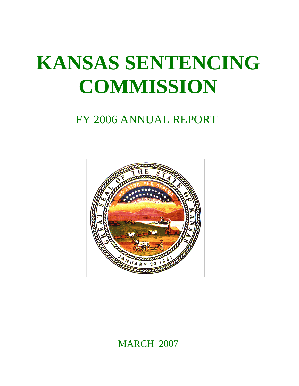# **KANSAS SENTENCING COMMISSION**

# FY 2006 ANNUAL REPORT



MARCH 2007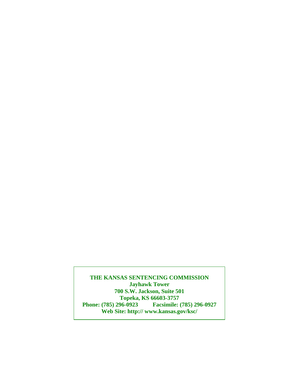**THE KANSAS SENTENCING COMMISSION Jayhawk Tower 700 S.W. Jackson, Suite 501 Topeka, KS 66603-3757<br>Phone: (785) 296-0923 Facsimile: Phone: (785) 296-0923 Facsimile: (785) 296-0927 Web Site: http:// www.kansas.gov/ksc/**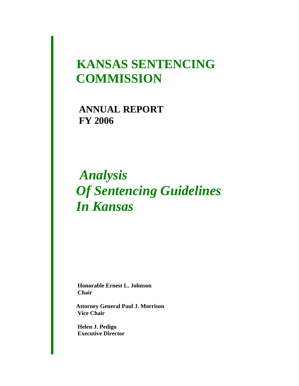# **KANSAS SENTENCING COMMISSION**

 **ANNUAL REPORT FY 2006**

# *Analysis Of Sentencing Guidelines In Kansas*

 **Honorable Ernest L. Johnson Chair** 

 **Attorney General Paul J. Morrison Vice Chair**

 **Helen J. Pedigo Executive Director**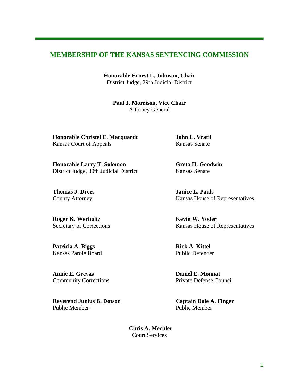#### **MEMBERSHIP OF THE KANSAS SENTENCING COMMISSION**

**Honorable Ernest L. Johnson, Chair**  District Judge, 29th Judicial District

**Paul J. Morrison, Vice Chair**  Attorney General

**Honorable Christel E. Marquardt John L. Vratil** Kansas Court of Appeals Kansas Senate

**Honorable Larry T. Solomon Greta H. Goodwin** District Judge, 30th Judicial District Kansas Senate

**Thomas J. Drees Janice L. Pauls** 

**Roger K. Werholtz Kevin W. Yoder** 

Patricia A. Biggs **Rick A. Kittel** Kansas Parole Board Public Defender

**Annie E. Grevas Daniel E. Monnat**

**Reverend Junius B. Dotson Captain Dale A. Finger**  Public MemberPublic Member

County Attorney Kansas House of Representatives

Secretary of Corrections Kansas House of Representatives

Community Corrections Private Defense Council

 **Chris A. Mechler**  Court Services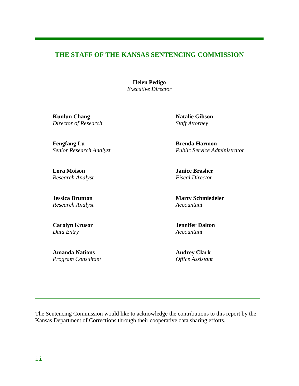#### **THE STAFF OF THE KANSAS SENTENCING COMMISSION**

**Helen Pedigo** *Executive Director*

**Kunlun Chang Natalie Gibson** *Director of Research* Staff Attorney

**Fengfang Lu Brenda Harmon** 

**Lora Moison Janice Brasher** *Research Analyst* Fiscal Director

*Research Analyst* Accountant

**Carolyn Krusor Jennifer Dalton** *Data Entry**Accountant* 

Amanda Nations **Audrey Clark Audrey Clark** *Program Consultant*  $\qquad \qquad$  *Office Assistant* 

*Senior Research Analyst Public Service Administrator* 

*Jessica Brunton Marty Schmiedeler* 

The Sentencing Commission would like to acknowledge the contributions to this report by the Kansas Department of Corrections through their cooperative data sharing efforts.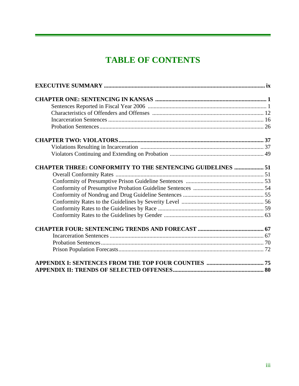# **TABLE OF CONTENTS**

| <b>CHAPTER THREE: CONFORMITY TO THE SENTENCING GUIDELINES  51</b> |  |
|-------------------------------------------------------------------|--|
|                                                                   |  |
|                                                                   |  |
|                                                                   |  |
|                                                                   |  |
|                                                                   |  |
|                                                                   |  |
|                                                                   |  |
|                                                                   |  |
|                                                                   |  |
|                                                                   |  |
|                                                                   |  |
|                                                                   |  |
|                                                                   |  |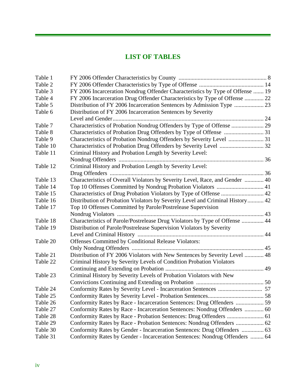### **LIST OF TABLES**

| Table 1  |                                                                               |  |
|----------|-------------------------------------------------------------------------------|--|
| Table 2  |                                                                               |  |
| Table 3  | FY 2006 Incarceration Nondrug Offender Characteristics by Type of Offense  19 |  |
| Table 4  | FY 2006 Incarceration Drug Offender Characteristics by Type of Offense  22    |  |
| Table 5  |                                                                               |  |
| Table 6  | Distribution of FY 2006 Incarceration Sentences by Severity                   |  |
|          |                                                                               |  |
| Table 7  | Characteristics of Probation Nondrug Offenders by Type of Offense  29         |  |
| Table 8  |                                                                               |  |
| Table 9  | Characteristics of Probation Nondrug Offenders by Severity Level  31          |  |
| Table 10 |                                                                               |  |
| Table 11 | Criminal History and Probation Length by Severity Level:                      |  |
|          |                                                                               |  |
| Table 12 | Criminal History and Probation Length by Severity Level:                      |  |
|          |                                                                               |  |
| Table 13 | Characteristics of Overall Violators by Severity Level, Race, and Gender  40  |  |
| Table 14 |                                                                               |  |
| Table 15 |                                                                               |  |
| Table 16 | Distribution of Probation Violators by Severity Level and Criminal History 42 |  |
| Table 17 | Top 10 Offenses Committed by Parole/Postrelease Supervision                   |  |
|          |                                                                               |  |
| Table 18 | Characteristics of Parole/Postrelease Drug Violators by Type of Offense  44   |  |
| Table 19 | Distribution of Parole/Postrelease Supervision Violators by Severity          |  |
|          |                                                                               |  |
| Table 20 | Offenses Committed by Conditional Release Violators:                          |  |
|          |                                                                               |  |
| Table 21 | Distribution of FY 2006 Violators with New Sentences by Severity Level  48    |  |
| Table 22 | Criminal History by Severity Levels of Condition Probation Violators          |  |
|          |                                                                               |  |
| Table 23 | Criminal History by Severity Levels of Probation Violators with New           |  |
|          |                                                                               |  |
| Table 24 |                                                                               |  |
| Table 25 |                                                                               |  |
| Table 26 | Conformity Rates by Race - Incarceration Sentences: Drug Offenders  59        |  |
| Table 27 | Conformity Rates by Race - Incarceration Sentences: Nondrug Offenders  60     |  |
| Table 28 |                                                                               |  |
| Table 29 | Conformity Rates by Race - Probation Sentences: Nondrug Offenders  62         |  |
| Table 30 | Conformity Rates by Gender - Incarceration Sentences: Drug Offenders  63      |  |
| Table 31 | Conformity Rates by Gender - Incarceration Sentences: Nondrug Offenders  64   |  |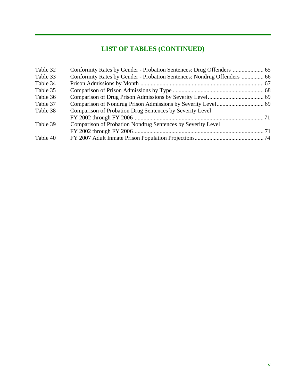# **LIST OF TABLES (CONTINUED)**

| Table 32 |                                                                         |  |
|----------|-------------------------------------------------------------------------|--|
| Table 33 | Conformity Rates by Gender - Probation Sentences: Nondrug Offenders  66 |  |
| Table 34 |                                                                         |  |
| Table 35 |                                                                         |  |
| Table 36 |                                                                         |  |
| Table 37 |                                                                         |  |
| Table 38 | Comparison of Probation Drug Sentences by Severity Level                |  |
|          |                                                                         |  |
| Table 39 | Comparison of Probation Nondrug Sentences by Severity Level             |  |
|          |                                                                         |  |
| Table 40 |                                                                         |  |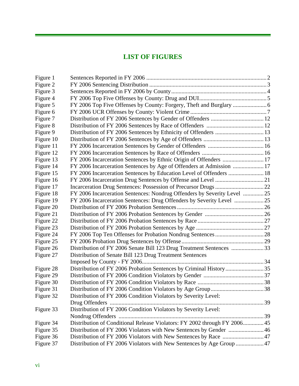### **LIST OF FIGURES**

| Figure 1  |                                                                           |  |
|-----------|---------------------------------------------------------------------------|--|
| Figure 2  |                                                                           |  |
| Figure 3  |                                                                           |  |
| Figure 4  |                                                                           |  |
| Figure 5  |                                                                           |  |
| Figure 6  |                                                                           |  |
| Figure 7  |                                                                           |  |
| Figure 8  |                                                                           |  |
| Figure 9  | Distribution of FY 2006 Sentences by Ethnicity of Offenders  13           |  |
| Figure 10 |                                                                           |  |
| Figure 11 |                                                                           |  |
| Figure 12 |                                                                           |  |
| Figure 13 | FY 2006 Incarceration Sentences by Ethnic Origin of Offenders  17         |  |
| Figure 14 | FY 2006 Incarceration Sentences by Age of Offenders at Admission  17      |  |
| Figure 15 | FY 2006 Incarceration Sentences by Education Level of Offenders  18       |  |
| Figure 16 |                                                                           |  |
| Figure 17 |                                                                           |  |
| Figure 18 | FY 2006 Incarceration Sentences: Nondrug Offenders by Severity Level 25   |  |
| Figure 19 | FY 2006 Incarceration Sentences: Drug Offenders by Severity Level  25     |  |
| Figure 20 |                                                                           |  |
| Figure 21 |                                                                           |  |
| Figure 22 |                                                                           |  |
| Figure 23 |                                                                           |  |
| Figure 24 |                                                                           |  |
| Figure 25 |                                                                           |  |
| Figure 26 | Distribution of FY 2006 Senate Bill 123 Drug Treatment Sentences 33       |  |
| Figure 27 | Distribution of Senate Bill 123 Drug Treatment Sentences                  |  |
|           |                                                                           |  |
| Figure 28 | Distribution of FY 2006 Probation Sentences by Criminal History35         |  |
| Figure 29 |                                                                           |  |
| Figure 30 |                                                                           |  |
| Figure 31 |                                                                           |  |
| Figure 32 | Distribution of FY 2006 Condition Violators by Severity Level:            |  |
|           |                                                                           |  |
| Figure 33 | Distribution of FY 2006 Condition Violators by Severity Level:            |  |
|           |                                                                           |  |
| Figure 34 | Distribution of Conditional Release Violators: FY 2002 through FY 2006 45 |  |
| Figure 35 | Distribution of FY 2006 Violators with New Sentences by Gender  46        |  |
| Figure 36 | Distribution of FY 2006 Violators with New Sentences by Race  47          |  |
| Figure 37 | Distribution of FY 2006 Violators with New Sentences by Age Group  47     |  |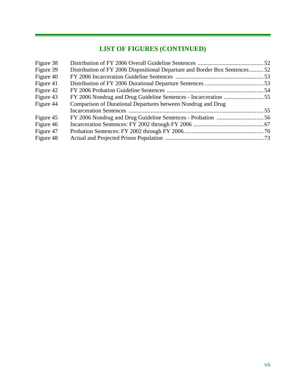# **LIST OF FIGURES (CONTINUED)**

| Figure 38 |                                                                            |  |
|-----------|----------------------------------------------------------------------------|--|
| Figure 39 | Distribution of FY 2006 Dispositional Departure and Border Box Sentences52 |  |
| Figure 40 |                                                                            |  |
| Figure 41 |                                                                            |  |
| Figure 42 |                                                                            |  |
| Figure 43 |                                                                            |  |
| Figure 44 | Comparison of Durational Departures between Nondrug and Drug               |  |
|           |                                                                            |  |
| Figure 45 |                                                                            |  |
| Figure 46 |                                                                            |  |
| Figure 47 |                                                                            |  |
| Figure 48 |                                                                            |  |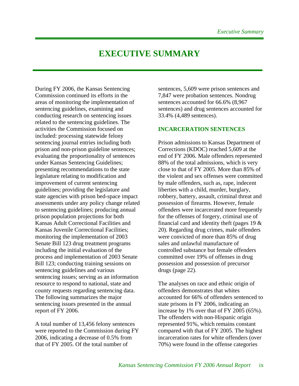### **EXECUTIVE SUMMARY**

During FY 2006, the Kansas Sentencing Commission continued its efforts in the areas of monitoring the implementation of sentencing guidelines, examining and conducting research on sentencing issues related to the sentencing guidelines. The activities the Commission focused on included: processing statewide felony sentencing journal entries including both prison and non-prison guideline sentences; evaluating the proportionality of sentences under Kansas Sentencing Guidelines; presenting recommendations to the state legislature relating to modification and improvement of current sentencing guidelines; providing the legislature and state agencies with prison bed-space impact assessments under any policy change related to sentencing guidelines; producing annual prison population projections for both Kansas Adult Correctional Facilities and Kansas Juvenile Correctional Facilities; monitoring the implementation of 2003 Senate Bill 123 drug treatment programs including the initial evaluation of the process and implementation of 2003 Senate Bill 123; conducting training sessions on sentencing guidelines and various sentencing issues; serving as an information resource to respond to national, state and county requests regarding sentencing data. The following summarizes the major sentencing issues presented in the annual report of FY 2006.

A total number of 13,456 felony sentences were reported to the Commission during FY 2006, indicating a decrease of 0.5% from that of FY 2005. Of the total number of

sentences, 5,609 were prison sentences and 7,847 were probation sentences. Nondrug sentences accounted for 66.6% (8,967 sentences) and drug sentences accounted for 33.4% (4,489 sentences).

#### **INCARCERATION SENTENCES**

Prison admissions to Kansas Department of Corrections (KDOC) reached 5,609 at the end of FY 2006. Male offenders represented 88% of the total admissions, which is very close to that of FY 2005. More than 85% of the violent and sex offenses were committed by male offenders, such as, rape, indecent liberties with a child, murder, burglary, robbery, battery, assault, criminal threat and possession of firearms. However, female offenders were incarcerated more frequently for the offenses of forgery, criminal use of financial card and identity theft (pages 19 & 20). Regarding drug crimes, male offenders were convicted of more than 85% of drug sales and unlawful manufacture of controlled substance but female offenders committed over 19% of offenses in drug possession and possession of precursor drugs (page 22).

The analyses on race and ethnic origin of offenders demonstrates that whites accounted for 66% of offenders sentenced to state prisons in FY 2006, indicating an increase by 1% over that of FY 2005 (65%). The offenders with non-Hispanic origin represented 91%, which remains constant compared with that of FY 2005. The highest incarceration rates for white offenders (over 70%) were found in the offense categories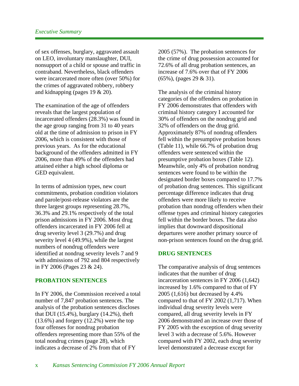of sex offenses, burglary, aggravated assault on LEO, involuntary manslaughter, DUI, nonsupport of a child or spouse and traffic in contraband. Nevertheless, black offenders were incarcerated more often (over 50%) for the crimes of aggravated robbery, robbery and kidnapping (pages 19 & 20).

The examination of the age of offenders reveals that the largest population of incarcerated offenders (28.3%) was found in the age group ranging from 31 to 40 years old at the time of admission to prison in FY 2006, which is consistent with those of previous years. As for the educational background of the offenders admitted in FY 2006, more than 49% of the offenders had attained either a high school diploma or GED equivalent.

In terms of admission types, new court commitments, probation condition violators and parole/post-release violators are the three largest groups representing 28.7%, 36.3% and 29.1% respectively of the total prison admissions in FY 2006. Most drug offenders incarcerated in FY 2006 fell at drug severity level 3 (29.7%) and drug severity level 4 (49.9%), while the largest numbers of nondrug offenders were identified at nondrug severity levels 7 and 9 with admissions of 792 and 804 respectively in FY 2006 (Pages 23 & 24).

#### **PROBATION SENTENCES**

In FY 2006, the Commission received a total number of 7,847 probation sentences. The analysis of the probation sentences discloses that DUI  $(15.4\%)$ , burglary  $(14.2\%)$ , theft (13.6%) and forgery (12.2%) were the top four offenses for nondrug probation offenders representing more than 55% of the total nondrug crimes (page 28), which indicates a decrease of 2% from that of FY

2005 (57%). The probation sentences for the crime of drug possession accounted for 72.6% of all drug probation sentences, an increase of 7.6% over that of FY 2006 (65%), (pages 29 & 31).

The analysis of the criminal history categories of the offenders on probation in FY 2006 demonstrates that offenders with criminal history category I accounted for 30% of offenders on the nondrug grid and 32% of offenders on the drug grid. Approximately 87% of nondrug offenders fell within the presumptive probation boxes (Table 11), while 66.7% of probation drug offenders were sentenced within the presumptive probation boxes (Table 12). Meanwhile, only 4% of probation nondrug sentences were found to be within the designated border boxes compared to 17.7% of probation drug sentences. This significant percentage difference indicates that drug offenders were more likely to receive probation than nondrug offenders when their offense types and criminal history categories fell within the border boxes. The data also implies that downward dispositional departures were another primary source of non-prison sentences found on the drug grid.

#### **DRUG SENTENCES**

The comparative analysis of drug sentences indicates that the number of drug incarceration sentences in FY 2006 (1,642) increased by 1.6% compared to that of FY 2005 (1,616) but decreased by 4.4% compared to that of FY 2002 (1,717). When individual drug severity levels were compared, all drug severity levels in FY 2006 demonstrated an increase over those of FY 2005 with the exception of drug severity level 3 with a decrease of 5.6%. However compared with FY 2002, each drug severity level demonstrated a decrease except for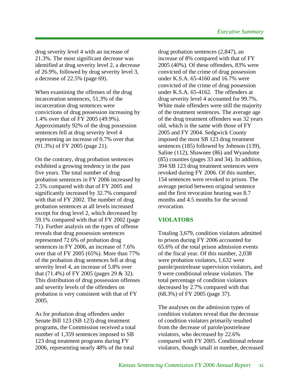drug severity level 4 with an increase of 21.3%. The most significant decrease was identified at drug severity level 2, a decrease of 26.9%, followed by drug severity level 3, a decrease of 22.5% (page 69).

When examining the offenses of the drug incarceration sentences, 51.3% of the incarceration drug sentences were convictions of drug possession increasing by 1.4% over that of FY 2005 (49.9%). Approximately 92% of the drug possession sentences fell at drug severity level 4 representing an increase of 0.7% over that (91.3%) of FY 2005 (page 21).

On the contrary, drug probation sentences exhibited a growing tendency in the past five years. The total number of drug probation sentences in FY 2006 increased by 2.5% compared with that of FY 2005 and significantly increased by 32.7% compared with that of FY 2002. The number of drug probation sentences at all levels increased except for drug level 2, which decreased by 59.1% compared with that of FY 2002 (page 71). Further analysis on the types of offense reveals that drug possession sentences represented 72.6% of probation drug sentences in FY 2006, an increase of 7.6% over that of FY 2005 (65%). More than 77% of the probation drug sentences fell at drug severity level 4, an increase of 5.8% over that (71.4%) of FY 2005 (pages 29 & 32). This distribution of drug possession offenses and severity levels of the offenders on probation is very consistent with that of FY 2005.

As for probation drug offenders under Senate Bill 123 (SB 123) drug treatment programs, the Commission received a total number of 1,359 sentences imposed to SB 123 drug treatment programs during FY 2006, representing nearly 48% of the total

drug probation sentences (2,847), an increase of 8% compared with that of FY 2005 (40%). Of these offenders, 83% were convicted of the crime of drug possession under K.S.A. 65-4160 and 16.7% were convicted of the crime of drug possession under K.S.A. 65-4162. The offenders at drug severity level 4 accounted for 99.7%. White male offenders were still the majority of the treatment sentences. The average age of the drug treatment offenders was 32 years old, which is the same with those of FY 2005 and FY 2004. Sedgwick County imposed the most SB 123 drug treatment sentences (185) followed by Johnson (139), Saline (112), Shawnee (86) and Wyandotte (85) counties (pages 33 and 34). In addition, 394 SB 123 drug treatment sentences were revoked during FY 2006. Of this number, 154 sentences were revoked to prison. The average period between original sentence and the first revocation hearing was 8.7 months and 4.5 months for the second revocation.

#### **VIOLATORS**

Totaling 3,679, condition violators admitted to prison during FY 2006 accounted for 65.6% of the total prison admission events of the fiscal year. Of this number, 2,038 were probation violators, 1,632 were parole/postrelease supervision violators, and 9 were conditional release violators. The total percentage of condition violators decreased by 2.7% compared with that (68.3%) of FY 2005 (page 37).

The analyses on the admission types of condition violators reveal that the decrease of condition violators primarily resulted from the decrease of parole/postrelease violators, who decreased by 22.6% compared with FY 2005. Conditional release violators, though small in number, decreased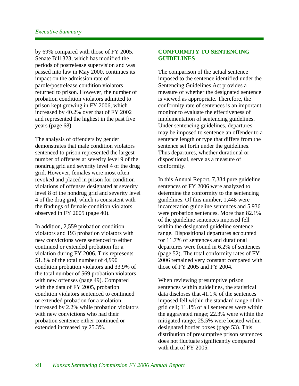by 69% compared with those of FY 2005. Senate Bill 323, which has modified the periods of postrelease supervision and was passed into law in May 2000, continues its impact on the admission rate of parole/postrelease condition violators returned to prison. However, the number of probation condition violators admitted to prison kept growing in FY 2006, which increased by 40.2% over that of FY 2002 and represented the highest in the past five years (page 68).

The analysis of offenders by gender demonstrates that male condition violators sentenced to prison represented the largest number of offenses at severity level 9 of the nondrug grid and severity level 4 of the drug grid. However, females were most often revoked and placed in prison for condition violations of offenses designated at severity level 8 of the nondrug grid and severity level 4 of the drug grid, which is consistent with the findings of female condition violators observed in FY 2005 (page 40).

In addition, 2,559 probation condition violators and 193 probation violators with new convictions were sentenced to either continued or extended probation for a violation during FY 2006. This represents 51.3% of the total number of 4,990 condition probation violators and 33.9% of the total number of 569 probation violators with new offenses (page 49). Compared with the data of FY 2005, probation condition violators sentenced to continued or extended probation for a violation increased by 2.2% while probation violators with new convictions who had their probation sentence either continued or extended increased by 25.3%.

#### **CONFORMITY TO SENTENCING GUIDELINES**

The comparison of the actual sentence imposed to the sentence identified under the Sentencing Guidelines Act provides a measure of whether the designated sentence is viewed as appropriate. Therefore, the conformity rate of sentences is an important monitor to evaluate the effectiveness of implementation of sentencing guidelines. Under sentencing guidelines, departures may be imposed to sentence an offender to a sentence length or type that differs from the sentence set forth under the guidelines. Thus departures, whether durational or dispositional, serve as a measure of conformity.

In this Annual Report, 7,384 pure guideline sentences of FY 2006 were analyzed to determine the conformity to the sentencing guidelines. Of this number, 1,448 were incarceration guideline sentences and 5,936 were probation sentences. More than 82.1% of the guideline sentences imposed fell within the designated guideline sentence range. Dispositional departures accounted for 11.7% of sentences and durational departures were found in 6.2% of sentences (page 52). The total conformity rates of FY 2006 remained very constant compared with those of FY 2005 and FY 2004.

When reviewing presumptive prison sentences within guidelines, the statistical data discloses that 41.1% of the sentences imposed fell within the standard range of the grid cell; 11.1% of all sentences were within the aggravated range; 22.3% were within the mitigated range; 25.5% were located within designated border boxes (page 53). This distribution of presumptive prison sentences does not fluctuate significantly compared with that of FY 2005.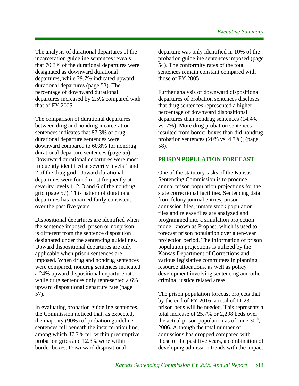The analysis of durational departures of the incarceration guideline sentences reveals that 70.3% of the durational departures were designated as downward durational departures, while 29.7% indicated upward durational departures (page 53). The percentage of downward durational departures increased by 2.5% compared with that of FY 2005.

The comparison of durational departures between drug and nondrug incarceration sentences indicates that 87.3% of drug durational departure sentences were downward compared to 60.8% for nondrug durational departure sentences (page 55). Downward durational departures were most frequently identified at severity levels 1 and 2 of the drug grid. Upward durational departures were found most frequently at severity levels 1, 2, 3 and 6 of the nondrug grid (page 57). This pattern of durational departures has remained fairly consistent over the past five years.

Dispositional departures are identified when the sentence imposed, prison or nonprison, is different from the sentence disposition designated under the sentencing guidelines. Upward dispositional departures are only applicable when prison sentences are imposed. When drug and nondrug sentences were compared, nondrug sentences indicated a 24% upward dispositional departure rate while drug sentences only represented a 6% upward dispositional departure rate (page 57).

In evaluating probation guideline sentences, the Commission noticed that, as expected, the majority (90%) of probation guideline sentences fell beneath the incarceration line, among which 87.7% fell within presumptive probation grids and 12.3% were within border boxes. Downward dispositional

departure was only identified in 10% of the probation guideline sentences imposed (page 54). The conformity rates of the total sentences remain constant compared with those of FY 2005.

Further analysis of downward dispositional departures of probation sentences discloses that drug sentences represented a higher percentage of downward dispositional departures than nondrug sentences (14.4% vs. 7%). More drug probation sentences resulted from border boxes than did nondrug probation sentences (20% vs. 4.7%), (page 58).

#### **PRISON POPULATION FORECAST**

One of the statutory tasks of the Kansas Sentencing Commission is to produce annual prison population projections for the state correctional facilities. Sentencing data from felony journal entries, prison admission files, inmate stock population files and release files are analyzed and programmed into a simulation projection model known as Prophet, which is used to forecast prison population over a ten-year projection period. The information of prison population projections is utilized by the Kansas Department of Corrections and various legislative committees in planning resource allocations, as well as policy development involving sentencing and other criminal justice related areas.

The prison population forecast projects that by the end of FY 2016, a total of 11,231 prison beds will be needed. This represents a total increase of 25.7% or 2,298 beds over the actual prison population as of June  $30<sup>th</sup>$ , 2006. Although the total number of admissions has dropped compared with those of the past five years, a combination of developing admission trends with the impact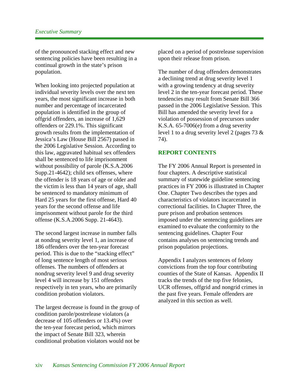of the pronounced stacking effect and new sentencing policies have been resulting in a continual growth in the state's prison population.

When looking into projected population at individual severity levels over the next ten years, the most significant increase in both number and percentage of incarcerated population is identified in the group of offgrid offenders, an increase of 1,629 offenders or 229.1%. This significant growth results from the implementation of Jessica's Law (House Bill 2567) passed in the 2006 Legislative Session. According to this law, aggravated habitual sex offenders shall be sentenced to life imprisonment without possibility of parole (K.S.A.2006 Supp.21-4642); child sex offenses, where the offender is 18 years of age or older and the victim is less than 14 years of age, shall be sentenced to mandatory minimum of Hard 25 years for the first offense, Hard 40 years for the second offense and life imprisonment without parole for the third offense (K.S.A.2006 Supp. 21-4643).

The second largest increase in number falls at nondrug severity level 1, an increase of 186 offenders over the ten-year forecast period. This is due to the "stacking effect" of long sentence length of most serious offenses. The numbers of offenders at nondrug severity level 9 and drug severity level 4 will increase by 151 offenders respectively in ten years, who are primarily condition probation violators.

The largest decrease is found in the group of condition parole/postrelease violators (a decrease of 105 offenders or 13.4%) over the ten-year forecast period, which mirrors the impact of Senate Bill 323, wherein conditional probation violators would not be placed on a period of postrelease supervision upon their release from prison.

The number of drug offenders demonstrates a declining trend at drug severity level 1 with a growing tendency at drug severity level 2 in the ten-year forecast period. These tendencies may result from Senate Bill 366 passed in the 2006 Legislative Session. This Bill has amended the severity level for a violation of possession of precursors under K.S.A. 65-7006(e) from a drug severity level 1 to a drug severity level 2 (pages 73 & 74).

#### **REPORT CONTENTS**

The FY 2006 Annual Report is presented in four chapters. A descriptive statistical summary of statewide guideline sentencing practices in FY 2006 is illustrated in Chapter One. Chapter Two describes the types and characteristics of violators incarcerated in correctional facilities. In Chapter Three, the pure prison and probation sentences imposed under the sentencing guidelines are examined to evaluate the conformity to the sentencing guidelines. Chapter Four contains analyses on sentencing trends and prison population projections.

Appendix I analyzes sentences of felony convictions from the top four contributing counties of the State of Kansas. Appendix II tracks the trends of the top five felonies, UCR offenses, offgrid and nongrid crimes in the past five years. Female offenders are analyzed in this section as well.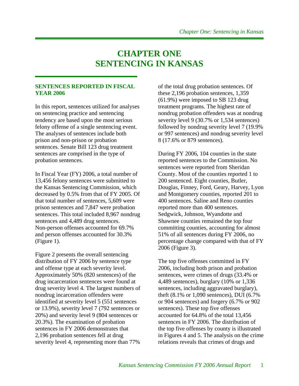# **CHAPTER ONE SENTENCING IN KANSAS**

#### **SENTENCES REPORTED IN FISCAL YEAR 2006**

In this report, sentences utilized for analyses on sentencing practice and sentencing tendency are based upon the most serious felony offense of a single sentencing event. The analyses of sentences include both prison and non-prison or probation sentences. Senate Bill 123 drug treatment sentences are comprised in the type of probation sentences.

In Fiscal Year (FY) 2006, a total number of 13,456 felony sentences were submitted to the Kansas Sentencing Commission, which decreased by 0.5% from that of FY 2005. Of that total number of sentences, 5,609 were prison sentences and 7,847 were probation sentences. This total included 8,967 nondrug sentences and 4,489 drug sentences. Non-person offenses accounted for 69.7% and person offenses accounted for 30.3% (Figure 1).

Figure 2 presents the overall sentencing distribution of FY 2006 by sentence type and offense type at each severity level. Approximately 50% (820 sentences) of the drug incarceration sentences were found at drug severity level 4. The largest numbers of nondrug incarceration offenders were identified at severity level 5 (551 sentences or 13.9%), severity level 7 (792 sentences or 20%) and severity level 9 (804 sentences or 20.3%). The examination of probation sentences in FY 2006 demonstrates that 2,196 probation sentences fell at drug severity level 4, representing more than 77%

of the total drug probation sentences. Of these 2,196 probation sentences, 1,359 (61.9%) were imposed to SB 123 drug treatment programs. The highest rate of nondrug probation offenders was at nondrug severity level 9 (30.7% or 1,534 sentences) followed by nondrug severity level 7 (19.9% or 997 sentences) and nondrug severity level 8 (17.6% or 879 sentences).

During FY 2006, 104 counties in the state reported sentences to the Commission. No sentences were reported from Sheridan County. Most of the counties reported 1 to 200 sentenced. Eight counties, Butler, Douglas, Finney, Ford, Geary, Harvey, Lyon and Montgomery counties, reported 201 to 400 sentences. Saline and Reno counties reported more than 400 sentences. Sedgwick, Johnson, Wyandotte and Shawnee counties remained the top four committing counties, accounting for almost 51% of all sentences during FY 2006, no percentage change compared with that of FY 2006 (Figure 3).

The top five offenses committed in FY 2006, including both prison and probation sentences, were crimes of drugs (33.4% or 4,489 sentences), burglary (10% or 1,336 sentences, including aggravated burglary), theft (8.1% or 1,090 sentences), DUI (6.7% or 904 sentences) and forgery (6.7% or 902 sentences). These top five offenses accounted for 64.8% of the total 13,456 sentences in FY 2006. The distribution of the top five offenses by county is illustrated in Figures 4 and 5. The analysis on the crime relations reveals that crimes of drugs and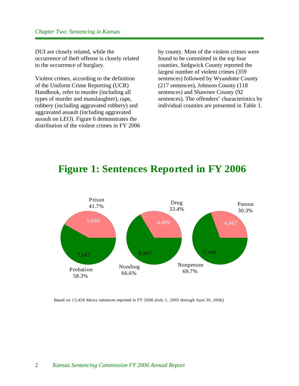DUI are closely related, while the occurrence of theft offense is closely related to the occurrence of burglary.

Violent crimes, according to the definition of the Uniform Crime Reporting (UCR) Handbook, refer to murder (including all types of murder and manslaughter), rape, robbery (including aggravated robbery) and aggravated assault (including aggravated assault on LEO). Figure 6 demonstrates the distribution of the violent crimes in FY 2006 by county. Most of the violent crimes were found to be committed in the top four counties. Sedgwick County reported the largest number of violent crimes (359 sentences) followed by Wyandotte County (217 sentences), Johnson County (118 sentences) and Shawnee County (92 sentences). The offenders' characteristics by individual counties are presented in Table 1.



# **Figure 1: Sentences Reported in FY 2006**

Based on 13,456 felony sentences reported in FY 2006 (July 1, 2005 through June 30, 2006)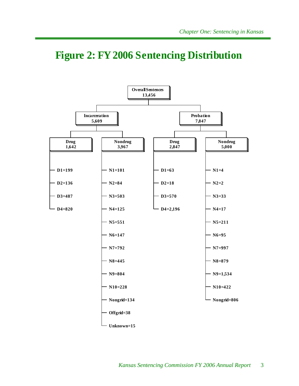# **Figure 2: FY 2006 Sentencing Distribution**

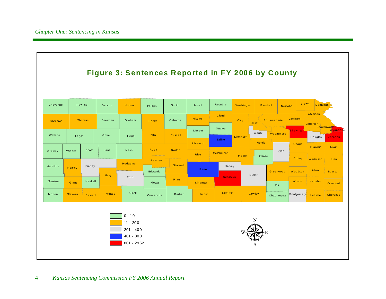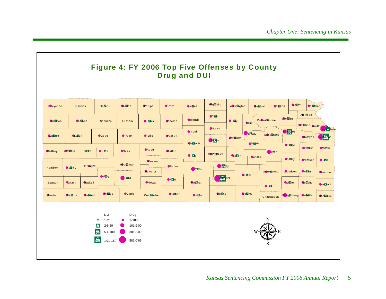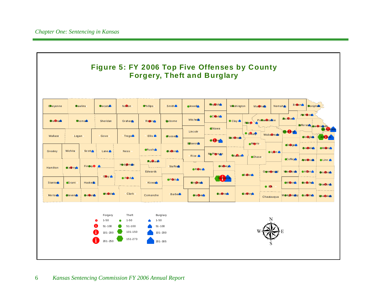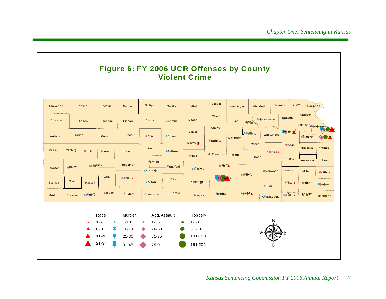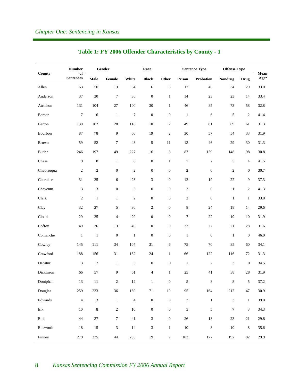|                          | <b>Number</b>          |                | Gender           |                  | Race                     |                             |                  | <b>Sentence Type</b> | <b>Offense Type</b> |                  |              |
|--------------------------|------------------------|----------------|------------------|------------------|--------------------------|-----------------------------|------------------|----------------------|---------------------|------------------|--------------|
| County                   | of<br><b>Sentences</b> | Male           | Female           | White            | <b>Black</b>             | Other                       | Prison           | Probation            | <b>Nondrug</b>      | <b>Drug</b>      | Mean<br>Age* |
| Allen                    | 63                     | $50\,$         | 13               | 54               | 6                        | $\mathfrak{Z}$              | 17               | 46                   | 34                  | 29               | 33.0         |
| Anderson                 | 37                     | 30             | $\tau$           | 36               | $\boldsymbol{0}$         | $\mathbf{1}$                | 14               | 23                   | 23                  | 14               | 33.4         |
| Atchison                 | 131                    | 104            | $27\,$           | 100              | $30\,$                   | $\mathbf{1}$                | 46               | 85                   | 73                  | 58               | 32.8         |
| <b>Barber</b>            | $\tau$                 | 6              | $\mathbf{1}$     | $\boldsymbol{7}$ | $\boldsymbol{0}$         | $\boldsymbol{0}$            | $\mathbf{1}$     | 6                    | 5                   | $\overline{c}$   | 41.4         |
| Barton                   | 130                    | 102            | 28               | 118              | 10                       | $\boldsymbol{2}$            | 49               | $81\,$               | 69                  | 61               | 31.3         |
| Bourbon                  | 87                     | 78             | 9                | 66               | 19                       | $\boldsymbol{2}$            | 30               | 57                   | 54                  | 33               | 31.9         |
| Brown                    | 59                     | 52             | $\tau$           | 43               | 5                        | 11                          | 13               | 46                   | 29                  | 30               | 31.3         |
| <b>Butler</b>            | 246                    | 197            | 49               | 227              | 16                       | $\ensuremath{\mathfrak{Z}}$ | 87               | 159                  | 148                 | 98               | 30.8         |
| Chase                    | 9                      | $\,$ 8 $\,$    | $\mathbf{1}$     | $\,8\,$          | $\boldsymbol{0}$         | $\mathbf{1}$                | $\boldsymbol{7}$ | $\boldsymbol{2}$     | 5                   | $\overline{4}$   | 41.5         |
| Chautauqua               | $\overline{c}$         | $\sqrt{2}$     | $\boldsymbol{0}$ | $\overline{2}$   | $\boldsymbol{0}$         | $\boldsymbol{0}$            | $\sqrt{2}$       | $\boldsymbol{0}$     | $\overline{2}$      | $\boldsymbol{0}$ | 30.7         |
| Cherokee                 | 31                     | 25             | 6                | 28               | 3                        | $\boldsymbol{0}$            | 12               | 19                   | 22                  | 9                | 37.3         |
| Cheyenne                 | 3                      | 3              | $\boldsymbol{0}$ | $\mathfrak z$    | $\boldsymbol{0}$         | $\boldsymbol{0}$            | $\mathfrak{Z}$   | $\boldsymbol{0}$     | $\mathbf{1}$        | $\overline{c}$   | 41.3         |
| Clark                    | $\mathfrak{2}$         | $\mathbf{1}$   | $\mathbf{1}$     | $\mathfrak{2}$   | $\boldsymbol{0}$         | $\boldsymbol{0}$            | $\overline{2}$   | $\boldsymbol{0}$     | $\mathbf{1}$        | $\mathbf{1}$     | 33.8         |
| Clay                     | 32                     | $27\,$         | 5                | $30\,$           | $\overline{c}$           | $\boldsymbol{0}$            | $\,$ 8 $\,$      | 24                   | 18                  | 14               | 29.6         |
| Cloud                    | 29                     | 25             | $\overline{4}$   | 29               | $\boldsymbol{0}$         | $\boldsymbol{0}$            | $\tau$           | $22\,$               | 19                  | 10               | 31.9         |
| Coffey                   | 49                     | 36             | 13               | 49               | $\boldsymbol{0}$         | $\boldsymbol{0}$            | $22\,$           | $27\,$               | $21\,$              | $28\,$           | 31.6         |
| Comanche                 | $\mathbf{1}$           | $\mathbf{1}$   | $\boldsymbol{0}$ | $\mathbf{1}$     | $\boldsymbol{0}$         | $\boldsymbol{0}$            | $\mathbf{1}$     | $\boldsymbol{0}$     | $\mathbf{1}$        | $\boldsymbol{0}$ | 46.0         |
| Cowley                   | 145                    | 111            | 34               | 107              | 31                       | 6                           | 75               | $70\,$               | 85                  | 60               | 34.1         |
| Crawford                 | 188                    | 156            | 31               | 162              | 24                       | $\mathbf{1}$                | 66               | 122                  | 116                 | 72               | 31.3         |
| Decatur                  | 3                      | $\sqrt{2}$     | $\mathbf{1}$     | $\mathfrak{Z}$   | $\boldsymbol{0}$         | $\boldsymbol{0}$            | $\mathbf{1}$     | $\boldsymbol{2}$     | 3                   | $\boldsymbol{0}$ | 34.5         |
| Dickinson                | 66                     | 57             | 9                | 61               | $\overline{\mathcal{L}}$ | $\mathbf{1}$                | 25               | 41                   | 38                  | $28\,$           | 31.9         |
| Doniphan                 | $13\,$                 | $11\,$         | $\overline{c}$   | $12\,$           | $\mathbf{1}$             | $\overline{0}$              | $\mathfrak{S}$   | $\,8\,$              | $8\,$               | $5\overline{)}$  | 37.2         |
| Douglas                  | 259                    | 223            | $36\,$           | 169              | $71\,$                   | 19                          | 95               | 164                  | 212                 | 47               | 30.9         |
| $\operatorname{Edwards}$ | $\sqrt{4}$             | $\mathfrak{Z}$ | $\,1\,$          | $\sqrt{4}$       | $\boldsymbol{0}$         | $\boldsymbol{0}$            | $\sqrt{3}$       | $\,1\,$              | $\mathfrak{Z}$      | $\,1\,$          | 39.0         |
| $\rm{Elk}$               | $10\,$                 | $\,8\,$        | $\sqrt{2}$       | $10\,$           | $\boldsymbol{0}$         | $\boldsymbol{0}$            | $\mathfrak s$    | $\mathfrak s$        | $\boldsymbol{7}$    | 3                | 34.3         |
| Ellis                    | $44\,$                 | 37             | $\boldsymbol{7}$ | $41\,$           | 3                        | $\boldsymbol{0}$            | $26\,$           | $18\,$               | $23\,$              | $21\,$           | 29.8         |
| Ellsworth                | $18\,$                 | $15\,$         | $\sqrt{3}$       | 14               | 3                        | $1\,$                       | $10\,$           | $\,8\,$              | $10\,$              | $\,8\,$          | 35.6         |
| Finney                   | 279                    | 235            | 44               | 253              | 19                       | $\boldsymbol{7}$            | $102\,$          | 177                  | 197                 | 82               | 29.9         |

#### **Table 1: FY 2006 Offender Characteristics by County - 1**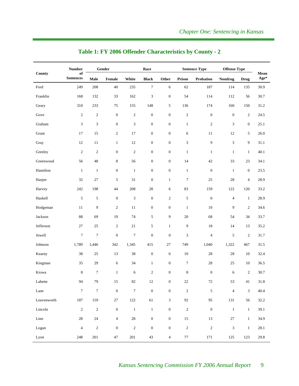|                              | <b>Number</b>          |                  | Gender           |                  | Race             |                  |                  | <b>Sentence Type</b>    | <b>Offense Type</b> |                  |              |
|------------------------------|------------------------|------------------|------------------|------------------|------------------|------------------|------------------|-------------------------|---------------------|------------------|--------------|
| County                       | of<br><b>Sentences</b> | Male             | Female           | White            | <b>Black</b>     | Other            | Prison           | Probation               | Nondrug             | <b>Drug</b>      | Mean<br>Age* |
| Ford                         | 249                    | 208              | $40\,$           | 235              | $\boldsymbol{7}$ | $\sqrt{6}$       | 62               | 187                     | 114                 | 135              | 30.9         |
| Franklin                     | 168                    | 132              | 33               | 162              | $\mathfrak{Z}$   | $\boldsymbol{0}$ | 54               | 114                     | 112                 | 56               | 30.7         |
| Geary                        | 310                    | 233              | 75               | 155              | 148              | 5                | 136              | 174                     | 160                 | 150              | 31.2         |
| Gove                         | $\sqrt{2}$             | $\sqrt{2}$       | $\boldsymbol{0}$ | $\boldsymbol{2}$ | $\boldsymbol{0}$ | $\boldsymbol{0}$ | $\sqrt{2}$       | $\boldsymbol{0}$        | $\boldsymbol{0}$    | $\sqrt{2}$       | 24.5         |
| Graham                       | 3                      | 3                | $\boldsymbol{0}$ | 3                | $\mathbf{0}$     | $\boldsymbol{0}$ | $\mathbf{1}$     | $\overline{c}$          | $\mathfrak{Z}$      | $\boldsymbol{0}$ | 25.1         |
| Grant                        | 17                     | 15               | $\sqrt{2}$       | 17               | $\boldsymbol{0}$ | $\boldsymbol{0}$ | 6                | 11                      | 12                  | 5                | 26.0         |
| Gray                         | 12                     | 11               | $\mathbf{1}$     | $12\,$           | $\boldsymbol{0}$ | $\boldsymbol{0}$ | $\mathfrak{Z}$   | 9                       | $\mathfrak{Z}$      | $\boldsymbol{9}$ | 31.1         |
| Greeley                      | $\sqrt{2}$             | $\mathfrak{2}$   | $\mathbf{0}$     | $\sqrt{2}$       | $\boldsymbol{0}$ | $\mathbf{0}$     | $\mathbf{1}$     | $\mathbf{1}$            | $\mathbf{1}$        | $\mathbf{1}$     | 40.1         |
| Greenwood                    | 56                     | $48\,$           | 8                | 56               | $\boldsymbol{0}$ | $\boldsymbol{0}$ | 14               | $42\,$                  | 33                  | 23               | 34.1         |
| Hamilton                     | $\mathbf{1}$           | $\mathbf{1}$     | $\boldsymbol{0}$ | $\mathbf{1}$     | $\mathbf{0}$     | $\boldsymbol{0}$ | $\mathbf{1}$     | $\boldsymbol{0}$        | $\mathbf{1}$        | $\boldsymbol{0}$ | 23.5         |
| Harper                       | 32                     | $27\,$           | $\sqrt{5}$       | 31               | $\boldsymbol{0}$ | $\mathbf{1}$     | $\overline{7}$   | $25\,$                  | 28                  | $\overline{4}$   | 28.9         |
| Harvey                       | 242                    | 198              | 44               | 208              | $28\,$           | 6                | 83               | 159                     | 122                 | 120              | 33.2         |
| Haskell                      | 5                      | 5                | $\boldsymbol{0}$ | 3                | $\boldsymbol{0}$ | $\sqrt{2}$       | 5                | $\boldsymbol{0}$        | $\overline{4}$      | $\mathbf{1}$     | 28.9         |
| Hodgeman                     | 11                     | 9                | $\sqrt{2}$       | $11\,$           | $\boldsymbol{0}$ | $\boldsymbol{0}$ | $\mathbf{1}$     | $10\,$                  | 9                   | $\sqrt{2}$       | 34.6         |
| Jackson                      | $88\,$                 | 69               | 19               | 74               | 5                | 9                | $20\,$           | 68                      | 54                  | 34               | 33.7         |
| Jefferson                    | 27                     | 25               | 2                | $21\,$           | 5                | $\mathbf{1}$     | 9                | 18                      | 14                  | 13               | 35.2         |
| Jewell                       | $\boldsymbol{7}$       | $\boldsymbol{7}$ | $\boldsymbol{0}$ | $\boldsymbol{7}$ | $\boldsymbol{0}$ | $\boldsymbol{0}$ | $\mathfrak{Z}$   | 4                       | 5                   | $\sqrt{2}$       | 31.7         |
| Johnson                      | 1,789                  | 1,446            | 342              | 1,345            | 415              | 27               | 749              | 1,040                   | 1,322               | 467              | 31.5         |
| Kearny                       | 38                     | 25               | 13               | 38               | $\boldsymbol{0}$ | $\boldsymbol{0}$ | 10               | 28                      | $28\,$              | 10               | 32.4         |
| Kingman                      | 35                     | 29               | 6                | 34               | $\mathbf{1}$     | $\boldsymbol{0}$ | $\boldsymbol{7}$ | $28\,$                  | 25                  | 10               | 36.5         |
| Kiowa                        | 8                      | $\boldsymbol{7}$ | $\mathbf{1}$     | 6                | $\overline{c}$   | $\boldsymbol{0}$ | $\,$ 8 $\,$      | $\boldsymbol{0}$        | 6                   | $\sqrt{2}$       | 30.7         |
| Labette                      | 94                     | 79               | 15               | 82               | 12               | 0                | 22               | 72                      | 53                  | 41               | 31.8         |
| Lane                         | $\boldsymbol{7}$       | $\boldsymbol{7}$ | $\boldsymbol{0}$ | $\boldsymbol{7}$ | $\boldsymbol{0}$ | $\boldsymbol{0}$ | $\sqrt{2}$       | 5                       | $\overline{4}$      | 3                | 40.4         |
| Leavenworth                  | 187                    | 159              | $27\,$           | $122\,$          | 61               | 3                | 92               | 95                      | 131                 | 56               | 32.2         |
| Lincoln                      | $\sqrt{2}$             | $\sqrt{2}$       | $\boldsymbol{0}$ | $\,1\,$          | $\,1\,$          | $\boldsymbol{0}$ | $\sqrt{2}$       | $\boldsymbol{0}$        | $\,1\,$             | $\,1\,$          | 39.1         |
| $\mathop{\rm Linn}\nolimits$ | $28\,$                 | $24\,$           | $\overline{4}$   | $28\,$           | $\boldsymbol{0}$ | $\boldsymbol{0}$ | $15\,$           | 13                      | $27\,$              | $\mathbf{1}$     | 34.9         |
| Logan                        | $\overline{4}$         | $\sqrt{2}$       | $\boldsymbol{0}$ | $\sqrt{2}$       | $\boldsymbol{0}$ | $\boldsymbol{0}$ | $\sqrt{2}$       | $\overline{\mathbf{c}}$ | $\mathfrak{Z}$      | $\mathbf 1$      | 28.1         |
| Lyon                         | 248                    | $201\,$          | $47\,$           | 201              | 43               | $\overline{4}$   | $77\,$           | $171\,$                 | $125\,$             | 123              | 29.8         |

### **Table 1: FY 2006 Offender Characteristics by County - 2**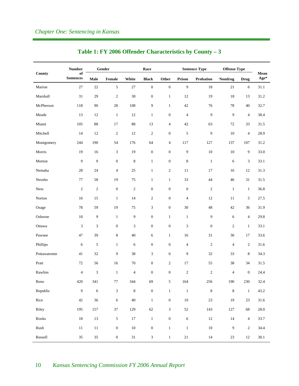|               | <b>Number</b>          |                             | Gender                      |                          | Race             |                  |                  | <b>Sentence Type</b> | <b>Offense Type</b> |                  |              |
|---------------|------------------------|-----------------------------|-----------------------------|--------------------------|------------------|------------------|------------------|----------------------|---------------------|------------------|--------------|
| County        | of<br><b>Sentences</b> | Male                        | Female                      | White                    | <b>Black</b>     | Other            | Prison           | Probation            | Nondrug             | <b>Drug</b>      | Mean<br>Age* |
| Marion        | 27                     | $22\,$                      | 5                           | $27\,$                   | $\boldsymbol{0}$ | $\boldsymbol{0}$ | 9                | $18\,$               | $21\,$              | 6                | 31.1         |
| Marshall      | 31                     | 29                          | $\sqrt{2}$                  | 30                       | $\boldsymbol{0}$ | $\mathbf{1}$     | 12               | 19                   | 18                  | 13               | 31.2         |
| McPherson     | 118                    | 90                          | $28\,$                      | 108                      | 9                | $\mathbf{1}$     | 42               | 76                   | 78                  | 40               | 32.7         |
| Meade         | 13                     | 12                          | $\mathbf{1}$                | 12                       | $\mathbf{1}$     | $\boldsymbol{0}$ | $\overline{4}$   | 9                    | 9                   | $\overline{4}$   | 38.4         |
| Miami         | 105                    | 88                          | $17\,$                      | 88                       | 13               | $\overline{4}$   | 42               | 63                   | 72                  | 33               | 31.5         |
| Mitchell      | 14                     | 12                          | $\sqrt{2}$                  | 12                       | $\sqrt{2}$       | $\mathbf{0}$     | 5                | 9                    | 10                  | $\overline{4}$   | 28.9         |
| Montgomery    | 244                    | 190                         | 54                          | 176                      | 64               | $\overline{4}$   | 117              | 127                  | 137                 | 107              | 31.2         |
| Morris        | 19                     | 16                          | $\mathfrak{Z}$              | 19                       | $\boldsymbol{0}$ | $\boldsymbol{0}$ | 9                | $10\,$               | $10\,$              | 9                | 33.0         |
| Morton        | 9                      | 9                           | $\boldsymbol{0}$            | $\,$ 8 $\,$              | $\mathbf{1}$     | $\boldsymbol{0}$ | $\,$ 8 $\,$      | $\mathbf{1}$         | 6                   | 3                | 33.1         |
| Nemaha        | 28                     | 24                          | $\overline{4}$              | $25\,$                   | $\mathbf{1}$     | $\mathfrak{2}$   | 11               | 17                   | 16                  | 12               | 31.3         |
| Neosho        | 77                     | 58                          | 19                          | 75                       | $\mathbf{1}$     | $\mathbf{1}$     | 33               | 44                   | $46\,$              | 31               | 31.5         |
| <b>Ness</b>   | $\sqrt{2}$             | $\sqrt{2}$                  | $\boldsymbol{0}$            | $\sqrt{2}$               | $\boldsymbol{0}$ | $\mathbf{0}$     | $\boldsymbol{0}$ | $\boldsymbol{2}$     | $\mathbf{1}$        | $\mathbf{1}$     | 36.8         |
| Norton        | 16                     | 15                          | $\mathbf{1}$                | 14                       | $\sqrt{2}$       | $\boldsymbol{0}$ | $\overline{4}$   | $12\,$               | 11                  | 5                | 27.5         |
| Osage         | $78\,$                 | 59                          | 19                          | 75                       | 3                | $\boldsymbol{0}$ | 30               | 48                   | $42\,$              | 36               | 31.9         |
| Osborne       | 10                     | 9                           | $\mathbf{1}$                | 9                        | $\boldsymbol{0}$ | $\mathbf{1}$     | $\mathbf{1}$     | 9                    | 6                   | $\overline{4}$   | 29.8         |
| Ottawa        | $\mathfrak{Z}$         | $\mathfrak{Z}$              | $\boldsymbol{0}$            | 3                        | $\boldsymbol{0}$ | $\boldsymbol{0}$ | 3                | $\boldsymbol{0}$     | $\mathfrak{2}$      | $\mathbf{1}$     | 33.1         |
| Pawnee        | 47                     | 39                          | 8                           | 40                       | 6                | $\mathbf{1}$     | 16               | 31                   | 30                  | 17               | 33.6         |
| Phillips      | 6                      | 5                           | $\mathbf{1}$                | 6                        | $\boldsymbol{0}$ | $\boldsymbol{0}$ | $\overline{4}$   | $\sqrt{2}$           | $\overline{4}$      | $\boldsymbol{2}$ | 31.6         |
| Pottawatomie  | 41                     | 32                          | 9                           | 38                       | 3                | $\boldsymbol{0}$ | 9                | 32                   | 33                  | $\,$ 8 $\,$      | 34.3         |
| Pratt         | 72                     | 56                          | 16                          | 70                       | $\boldsymbol{0}$ | $\mathfrak{2}$   | 17               | 55                   | 38                  | 34               | 31.5         |
| Rawlins       | $\overline{4}$         | $\ensuremath{\mathfrak{Z}}$ | $\mathbf{1}$                | $\overline{\mathcal{A}}$ | $\boldsymbol{0}$ | $\boldsymbol{0}$ | $\sqrt{2}$       | $\mathfrak{2}$       | $\overline{4}$      | $\boldsymbol{0}$ | 24.4         |
| $\mbox{Reno}$ | 420                    | $341\,$                     | $77\,$                      | 344                      | 69               | 5 <sup>5</sup>   | 164              | 256                  | 190                 | $230\,$          | 32.4         |
| Republic      | $\boldsymbol{9}$       | $\sqrt{6}$                  | $\ensuremath{\mathfrak{Z}}$ | $\,8\,$                  | $\boldsymbol{0}$ | $\,1$            | $\mathbf 1$      | $\,$ 8 $\,$          | $\,8\,$             | $\mathbf 1$      | 43.2         |
| Rice          | $42\,$                 | $36\,$                      | $\sqrt{6}$                  | $40\,$                   | $\,1\,$          | $\boldsymbol{0}$ | 19               | $23\,$               | 19                  | 23               | 31.6         |
| Riley         | 195                    | 157                         | $37\,$                      | 129                      | 62               | $\mathfrak{Z}$   | $52\,$           | 143                  | $127\,$             | 68               | $28.0\,$     |
| ${\rm Roots}$ | $18\,$                 | 13                          | $\sqrt{5}$                  | $17\,$                   | $\,1\,$          | $\boldsymbol{0}$ | $\sqrt{6}$       | $12\,$               | $14\,$              | $\overline{4}$   | 33.7         |
| Rush          | $11\,$                 | $11\,$                      | $\boldsymbol{0}$            | $10\,$                   | $\boldsymbol{0}$ | $\,1$            | $\,1\,$          | $10\,$               | $\overline{9}$      | $\sqrt{2}$       | 34.4         |
| Russell       | 35                     | $35\,$                      | $\boldsymbol{0}$            | 31                       | $\mathfrak{Z}$   | $\,1$            | $21\,$           | $14\,$               | $23\,$              | $12\,$           | $30.1\,$     |

#### **Table 1: FY 2006 Offender Characteristics by County – 3**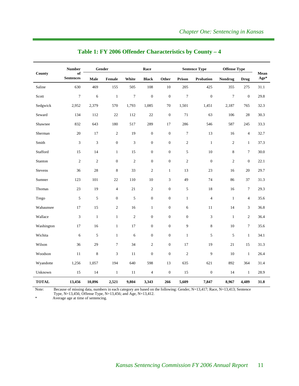|              | <b>Number</b>          | Gender       |                  | Race           |                  |                  | <b>Sentence Type</b> |                  | <b>Offense Type</b> |                  |                          |  |
|--------------|------------------------|--------------|------------------|----------------|------------------|------------------|----------------------|------------------|---------------------|------------------|--------------------------|--|
| County       | of<br><b>Sentences</b> | Male         | Female           | White          | <b>Black</b>     | Other            | <b>Prison</b>        | <b>Probation</b> | <b>Nondrug</b>      | <b>Drug</b>      | Mean<br>$\mathbf{Age}^*$ |  |
| Saline       | 630                    | 469          | 155              | 505            | 108              | $10\,$           | 205                  | 425              | 355                 | 275              | 31.1                     |  |
| Scott        | $\tau$                 | 6            | $\,1\,$          | $\tau$         | $\boldsymbol{0}$ | $\mathbf{0}$     | $\tau$               | $\boldsymbol{0}$ | $\overline{7}$      | $\boldsymbol{0}$ | 29.8                     |  |
| Sedgwick     | 2,952                  | 2,379        | 570              | 1,793          | 1,085            | 70               | 1,501                | 1,451            | 2,187               | 765              | 32.3                     |  |
| Seward       | 134                    | 112          | 22               | 112            | 22               | $\boldsymbol{0}$ | 71                   | 63               | 106                 | 28               | 30.3                     |  |
| Shawnee      | 832                    | 643          | 180              | 517            | 289              | 17               | 286                  | 546              | 587                 | 245              | 33.3                     |  |
| Sherman      | 20                     | 17           | $\sqrt{2}$       | 19             | $\boldsymbol{0}$ | $\mathbf{0}$     | $\boldsymbol{7}$     | 13               | 16                  | $\overline{4}$   | 32.7                     |  |
| Smith        | 3                      | 3            | $\boldsymbol{0}$ | 3              | $\boldsymbol{0}$ | $\boldsymbol{0}$ | $\overline{c}$       | $\mathbf{1}$     | $\overline{c}$      | $\mathbf{1}$     | 37.3                     |  |
| Stafford     | 15                     | 14           | $\mathbf{1}$     | 15             | $\mathbf{0}$     | $\mathbf{0}$     | 5                    | 10               | 8                   | $\boldsymbol{7}$ | 30.0                     |  |
| Stanton      | $\sqrt{2}$             | $\sqrt{2}$   | $\boldsymbol{0}$ | $\sqrt{2}$     | $\boldsymbol{0}$ | $\boldsymbol{0}$ | $\overline{c}$       | $\boldsymbol{0}$ | $\overline{c}$      | $\boldsymbol{0}$ | 22.1                     |  |
| Stevens      | 36                     | 28           | $\,$ 8 $\,$      | 33             | $\sqrt{2}$       | $\mathbf{1}$     | 13                   | 23               | 16                  | $20\,$           | 29.7                     |  |
| Sumner       | 123                    | 101          | $22\,$           | 110            | 10               | 3                | 49                   | 74               | 86                  | 37               | 31.3                     |  |
| Thomas       | 23                     | 19           | $\overline{4}$   | 21             | $\sqrt{2}$       | $\boldsymbol{0}$ | 5                    | 18               | 16                  | $\tau$           | 29.3                     |  |
| Trego        | 5                      | 5            | $\boldsymbol{0}$ | $\sqrt{5}$     | $\boldsymbol{0}$ | $\boldsymbol{0}$ | $\,1$                | $\overline{4}$   | $\mathbf{1}$        | $\overline{4}$   | 35.6                     |  |
| Wabaunsee    | 17                     | 15           | $\overline{c}$   | 16             | $\mathbf{1}$     | $\boldsymbol{0}$ | 6                    | 11               | 14                  | 3                | 36.8                     |  |
| Wallace      | 3                      | $\mathbf{1}$ | $\mathbf{1}$     | $\overline{c}$ | $\boldsymbol{0}$ | $\boldsymbol{0}$ | $\boldsymbol{0}$     | 3                | $\mathbf{1}$        | $\overline{c}$   | 36.4                     |  |
| Washington   | 17                     | 16           | $\mathbf{1}$     | 17             | $\mathbf{0}$     | $\boldsymbol{0}$ | 9                    | $\,8\,$          | 10                  | $\tau$           | 35.6                     |  |
| Wichita      | 6                      | $\sqrt{5}$   | $\mathbf{1}$     | 6              | $\boldsymbol{0}$ | $\boldsymbol{0}$ | $\mathbf 1$          | 5                | 5                   | $\mathbf{1}$     | 34.1                     |  |
| Wilson       | 36                     | 29           | $\tau$           | 34             | $\sqrt{2}$       | $\boldsymbol{0}$ | 17                   | 19               | 21                  | 15               | 31.3                     |  |
| Woodson      | 11                     | $\,$ 8 $\,$  | 3                | 11             | $\boldsymbol{0}$ | $\boldsymbol{0}$ | $\sqrt{2}$           | 9                | 10                  | $\mathbf{1}$     | 26.4                     |  |
| Wyandotte    | 1,256                  | 1,057        | 194              | 640            | 598              | 13               | 635                  | 621              | 892                 | 364              | 31.4                     |  |
| Unknown      | 15                     | 14           | $\,1$            | $11\,$         | $\overline{4}$   | $\boldsymbol{0}$ | 15                   | $\boldsymbol{0}$ | 14                  | $\mathbf{1}$     | 28.9                     |  |
| <b>TOTAL</b> | 13,456                 | 10,896       | 2,521            | 9.804          | 3.343            | 266              | 5,609                | 7,847            | 8.967               | 4,489            | 31.8                     |  |

#### **Table 1: FY 2006 Offender Characteristics by County – 4**

Note: Because of missing data, numbers in each category are based on the following: Gender, N=13,417; Race, N=13,413; Sentence Type, N=13,456; Offense Type, N=13,456; and Age, N=13,412. \* Average age at time of sentencing.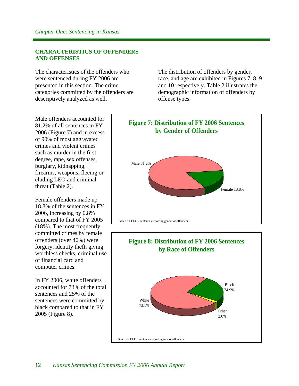#### **CHARACTERISTICS OF OFFENDERS AND OFFENSES**

The characteristics of the offenders who were sentenced during FY 2006 are presented in this section. The crime categories committed by the offenders are descriptively analyzed as well.

The distribution of offenders by gender, race, and age are exhibited in Figures 7, 8, 9 and 10 respectively. Table 2 illustrates the demographic information of offenders by offense types.

Male offenders accounted for 81.2% of all sentences in FY 2006 (Figure 7) and in excess of 90% of most aggravated crimes and violent crimes such as murder in the first degree, rape, sex offenses, burglary, kidnapping, firearms, weapons, fleeing or eluding LEO and criminal threat (Table 2).

Female offenders made up 18.8% of the sentences in FY 2006, increasing by 0.8% compared to that of FY 2005 (18%). The most frequently committed crimes by female offenders (over 40%) were forgery, identity theft, giving worthless checks, criminal use of financial card and computer crimes.

In FY 2006, white offenders accounted for 73% of the total sentences and 25% of the sentences were committed by black compared to that in FY 2005 (Figure 8).



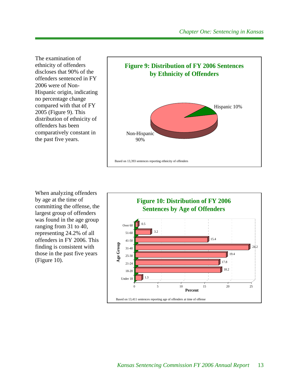The examination of ethnicity of offenders discloses that 90% of the offenders sentenced in FY 2006 were of Non-Hispanic origin, indicating no percentage change compared with that of FY 2005 (Figure 9). This distribution of ethnicity of offenders has been comparatively constant in the past five years.



When analyzing offenders by age at the time of committing the offense, the largest group of offenders was found in the age group ranging from 31 to 40, representing 24.2% of all offenders in FY 2006. This finding is consistent with those in the past five years (Figure 10).

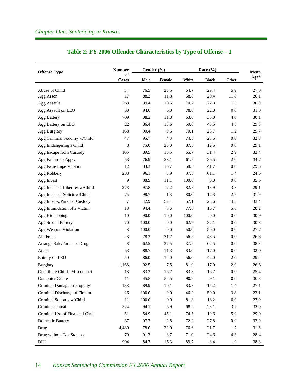| <b>Offense Type</b>            | <b>Number</b>      | Gender $(\% )$ |         | Race $(\% )$ | Mean         |         |      |
|--------------------------------|--------------------|----------------|---------|--------------|--------------|---------|------|
|                                | of<br><b>Cases</b> | Male           | Female  | White        | <b>Black</b> | Other   | Age* |
| Abuse of Child                 | 34                 | 76.5           | 23.5    | 64.7         | 29.4         | 5.9     | 27.0 |
| Agg Arson                      | 17                 | 88.2           | 11.8    | 58.8         | 29.4         | 11.8    | 26.1 |
| Agg Assault                    | 263                | 89.4           | 10.6    | 70.7         | 27.8         | 1.5     | 30.0 |
| Agg Assault on LEO             | 50                 | 94.0           | 6.0     | 78.0         | 22.0         | 0.0     | 31.0 |
| <b>Agg Battery</b>             | 709                | 88.2           | 11.8    | 63.0         | 33.0         | 4.0     | 30.1 |
| Agg Battery on LEO             | 22                 | 86.4           | 13.6    | 50.0         | 45.5         | 4.5     | 29.3 |
| Agg Burglary                   | 168                | 90.4           | 9.6     | 70.1         | 28.7         | 1.2     | 29.7 |
| Agg Criminal Sodomy w/Child    | 47                 | 95.7           | 4.3     | 74.5         | 25.5         | 0.0     | 32.8 |
| Agg Endangering a Child        | 8                  | 75.0           | 25.0    | 87.5         | 12.5         | 0.0     | 29.1 |
| Agg Escape from Custody        | 105                | 89.5           | 10.5    | 65.7         | 31.4         | 2.9     | 32.4 |
| Agg Failure to Appear          | 53                 | 76.9           | 23.1    | 61.5         | 36.5         | $2.0\,$ | 34.7 |
| Agg False Impersonation        | 12                 | 83.3           | 16.7    | 58.3         | 41.7         | 0.0     | 29.5 |
| Agg Robbery                    | 283                | 96.1           | 3.9     | 37.5         | 61.1         | 1.4     | 24.6 |
| Agg Incest                     | 9                  | 88.9           | 11.1    | 100.0        | 0.0          | 0.0     | 35.6 |
| Agg Indecent Liberties w/Child | 273                | 97.8           | 2.2     | 82.8         | 13.9         | 3.3     | 29.1 |
| Agg Indecent Solicit w/Child   | 75                 | 98.7           | 1.3     | 80.0         | 17.3         | 2.7     | 31.9 |
| Agg Inter w/Parental Custody   | 7                  | 42.9           | 57.1    | 57.1         | 28.6         | 14.3    | 33.4 |
| Agg Intimidation of a Victim   | 18                 | 94.4           | 5.6     | 77.8         | 16.7         | 5.6     | 28.2 |
| Agg Kidnapping                 | $10\,$             | 90.0           | 10.0    | 100.0        | 0.0          | 0.0     | 30.9 |
| <b>Agg Sexual Battery</b>      | 70                 | 100.0          | 0.0     | 62.9         | 37.1         | 0.0     | 30.8 |
| Agg Weapon Violation           | 8                  | 100.0          | $0.0\,$ | 50.0         | 50.0         | 0.0     | 27.7 |
| Aid Felon                      | 23                 | 78.3           | 21.7    | 56.5         | 43.5         | 0.0     | 26.8 |
| Arrange Sale/Purchase Drug     | 8                  | 62.5           | 37.5    | 37.5         | 62.5         | 0.0     | 38.3 |
| Arson                          | 53                 | 88.7           | 11.3    | 83.0         | 17.0         | 0.0     | 32.0 |
| Battery on LEO                 | 50                 | 86.0           | 14.0    | 56.0         | 42.0         | 2.0     | 29.4 |
| <b>Burglary</b>                | 1,168              | 92.5           | 7.5     | 81.0         | 17.0         | 2.0     | 26.6 |
| Contribute Child's Misconduct  | 18                 | 83.3           | 16.7    | 83.3         | 16.7         | 0.0     | 25.4 |
| Computer Crime                 | 11                 | 45.5           | 54.5    | 90.9         | 9.1          | 0.0     | 30.3 |
| Criminal Damage to Property    | 138                | 89.9           | 10.1    | 83.3         | 15.2         | 1.4     | 27.1 |
| Criminal Discharge of Firearm  | 26                 | 100.0          | $0.0\,$ | 46.2         | 50.0         | 3.8     | 22.1 |
| Criminal Sodomy w/Child        | 11                 | $100.0\,$      | $0.0\,$ | $81.8\,$     | 18.2         | $0.0\,$ | 27.9 |
| Criminal Threat                | 324                | 94.1           | 5.9     | 68.2         | 28.1         | 3.7     | 32.0 |
| Criminal Use of Financial Card | 51                 | 54.9           | 45.1    | 74.5         | 19.6         | 5.9     | 29.0 |
| <b>Domestic Battery</b>        | 37                 | 97.2           | 2.8     | 72.2         | 27.8         | $0.0\,$ | 33.9 |
| Drug                           | 4,489              | 78.0           | 22.0    | 76.6         | 21.7         | 1.7     | 31.6 |
| Drug without Tax Stamps        | 70                 | 91.3           | 8.7     | 71.0         | 24.6         | 4.3     | 28.4 |
| DUI                            | 904                | 84.7           | 15.3    | 89.7         | 8.4          | 1.9     | 38.8 |

#### **Table 2: FY 2006 Offender Characteristics by Type of Offense – 1**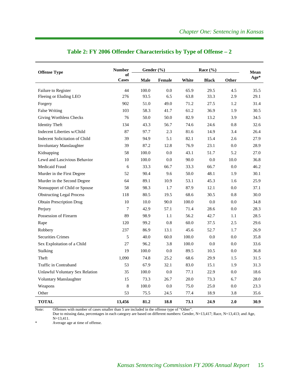| <b>Offense Type</b>                   | <b>Number</b>      | Gender $(\% )$ |               |       | Race $(\% )$ |         | <b>Mean</b> |
|---------------------------------------|--------------------|----------------|---------------|-------|--------------|---------|-------------|
|                                       | of<br><b>Cases</b> | <b>Male</b>    | <b>Female</b> | White | <b>Black</b> | Other   | Age*        |
|                                       |                    |                |               |       |              |         |             |
| Failure to Register                   | 44                 | 100.0          | 0.0           | 65.9  | 29.5         | 4.5     | 35.5        |
| Fleeing or Eluding LEO                | 276                | 93.5           | 6.5           | 63.8  | 33.3         | 2.9     | 29.1        |
| Forgery                               | 902                | 51.0           | 49.0          | 71.2  | 27.5         | 1.2     | 31.4        |
| <b>False Writing</b>                  | 103                | 58.3           | 41.7          | 61.2  | 36.9         | 1.9     | 30.5        |
| <b>Giving Worthless Checks</b>        | 76                 | 50.0           | 50.0          | 82.9  | 13.2         | 3.9     | 34.5        |
| <b>Identity Theft</b>                 | 134                | 43.3           | 56.7          | 74.6  | 24.6         | 0.8     | 32.6        |
| Indecent Liberties w/Child            | 87                 | 97.7           | 2.3           | 81.6  | 14.9         | 3.4     | 26.4        |
| <b>Indecent Solicitation of Child</b> | 39                 | 94.9           | 5.1           | 82.1  | 15.4         | 2.6     | 27.9        |
| <b>Involuntary Manslaughter</b>       | 39                 | 87.2           | 12.8          | 76.9  | 23.1         | 0.0     | 28.9        |
| Kidnapping                            | 58                 | 100.0          | 0.0           | 43.1  | 51.7         | 5.2     | 27.0        |
| Lewd and Lascivious Behavior          | 10                 | 100.0          | 0.0           | 90.0  | 0.0          | 10.0    | 36.8        |
| Medicaid Fraud                        | 6                  | 33.3           | 66.7          | 33.3  | 66.7         | 0.0     | 46.2        |
| Murder in the First Degree            | 52                 | 90.4           | 9.6           | 50.0  | 48.1         | 1.9     | 30.1        |
| Murder in the Second Degree           | 64                 | 89.1           | 10.9          | 53.1  | 45.3         | 1.6     | 25.9        |
| Nonsupport of Child or Spouse         | 58                 | 98.3           | 1.7           | 87.9  | 12.1         | 0.0     | 37.1        |
| <b>Obstructing Legal Process</b>      | 118                | 80.5           | 19.5          | 68.6  | 30.5         | 0.8     | 30.0        |
| <b>Obtain Prescription Drug</b>       | 10                 | 10.0           | 90.0          | 100.0 | 0.0          | 0.0     | 34.8        |
| Perjury                               | $\overline{7}$     | 42.9           | 57.1          | 71.4  | 28.6         | 0.0     | 28.3        |
| Possession of Firearm                 | 89                 | 98.9           | 1.1           | 56.2  | 42.7         | 1.1     | 28.5        |
| Rape                                  | 120                | 99.2           | 0.8           | 60.0  | 37.5         | 2.5     | 29.6        |
| Robbery                               | 237                | 86.9           | 13.1          | 45.6  | 52.7         | 1.7     | 26.9        |
| <b>Securities Crimes</b>              | 5                  | 40.0           | 60.0          | 100.0 | 0.0          | 0.0     | 35.8        |
| Sex Exploitation of a Child           | 27                 | 96.2           | 3.8           | 100.0 | 0.0          | $0.0\,$ | 33.6        |
| Stalking                              | 19                 | 100.0          | 0.0           | 89.5  | 10.5         | 0.0     | 36.8        |
| Theft                                 | 1,090              | 74.8           | 25.2          | 68.6  | 29.9         | 1.5     | 31.5        |
| Traffic in Contraband                 | 53                 | 67.9           | 32.1          | 83.0  | 15.1         | 1.9     | 31.3        |
| Unlawful Voluntary Sex Relation       | 35                 | 100.0          | 0.0           | 77.1  | 22.9         | 0.0     | 18.6        |
| Voluntary Manslaughter                | 15                 | 73.3           | 26.7          | 20.0  | 73.3         | 6.7     | 28.0        |
| Weapons                               | 8                  | 100.0          | 0.0           | 75.0  | 25.0         | 0.0     | 23.3        |
| Other                                 | 53                 | 75.5           | 24.5          | 77.4  | 18.9         | 3.8     | 35.6        |
| <b>TOTAL</b>                          | 13,456             | 81.2           | 18.8          | 73.1  | 24.9         | 2.0     | 30.9        |

#### **Table 2: FY 2006 Offender Characteristics by Type of Offense – 2**

Note: Offenses with number of cases smaller than 5 are included in the offense type of "Other".

 Due to missing data, percentages in each category are based on different numbers: Gender, N=13,417; Race, N=13,413; and Age, N=13,411.

\* Average age at time of offense.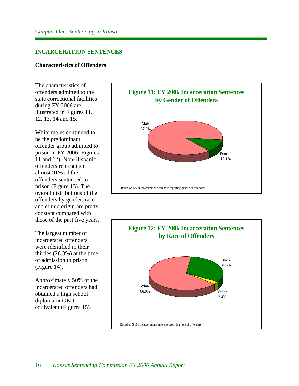#### **INCARCERATION SENTENCES**

#### **Characteristics of Offenders**

The characteristics of offenders admitted to the state correctional facilities during FY 2006 are illustrated in Figures 11, 12, 13, 14 and 15.

White males continued to be the predominant offender group admitted to prison in FY 2006 (Figures 11 and 12). Non-Hispanic offenders represented almost 91% of the offenders sentenced to prison (Figure 13). The overall distributions of the offenders by gender, race and ethnic origin are pretty constant compared with those of the past five years.

The largest number of incarcerated offenders were identified in their thirties (28.3%) at the time of admission to prison (Figure 14).

Approximately 50% of the incarcerated offenders had obtained a high school diploma or GED equivalent (Figures 15).



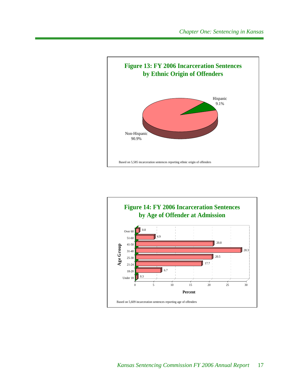

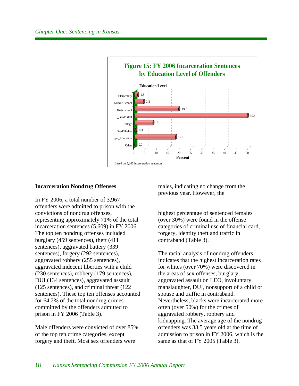

#### **Incarceration Nondrug Offenses**

In FY 2006, a total number of 3,967 offenders were admitted to prison with the convictions of nondrug offenses, representing approximately 71% of the total incarceration sentences (5,609) in FY 2006. The top ten nondrug offenses included burglary (459 sentences), theft (411 sentences), aggravated battery (339 sentences), forgery (292 sentences), aggravated robbery (255 sentences), aggravated indecent liberties with a child (230 sentences), robbery (179 sentences), DUI (134 sentences), aggravated assault (125 sentences), and criminal threat (122 sentences). These top ten offenses accounted for 64.2% of the total nondrug crimes committed by the offenders admitted to prison in FY 2006 (Table 3).

Male offenders were convicted of over 85% of the top ten crime categories, except forgery and theft. Most sex offenders were

males, indicating no change from the previous year. However, the

highest percentage of sentenced females (over 30%) were found in the offense categories of criminal use of financial card, forgery, identity theft and traffic in contraband (Table 3).

The racial analysis of nondrug offenders indicates that the highest incarceration rates for whites (over 70%) were discovered in the areas of sex offenses, burglary, aggravated assault on LEO, involuntary manslaughter, DUI, nonsupport of a child or spouse and traffic in contraband. Nevertheless, blacks were incarcerated more often (over 50%) for the crimes of aggravated robbery, robbery and kidnapping. The average age of the nondrug offenders was 33.5 years old at the time of admission to prison in FY 2006, which is the same as that of FY 2005 (Table 3).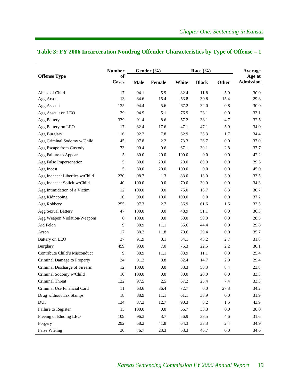|                                | <b>Number</b>      |             | Gender $(\% )$ |       | Race $(\% )$ |              | Average                    |
|--------------------------------|--------------------|-------------|----------------|-------|--------------|--------------|----------------------------|
| <b>Offense Type</b>            | of<br><b>Cases</b> | <b>Male</b> | Female         | White | <b>Black</b> | <b>Other</b> | Age at<br><b>Admission</b> |
| Abuse of Child                 | 17                 | 94.1        | 5.9            | 82.4  | 11.8         | 5.9          | 30.0                       |
| Agg Arson                      | 13                 | 84.6        | 15.4           | 53.8  | 30.8         | 15.4         | 29.8                       |
| Agg Assault                    | 125                | 94.4        | 5.6            | 67.2  | 32.0         | 0.8          | 30.0                       |
| Agg Assault on LEO             | 39                 | 94.9        | 5.1            | 76.9  | 23.1         | 0.0          | 33.1                       |
| Agg Battery                    | 339                | 91.4        | 8.6            | 57.2  | 38.1         | 4.7          | 32.5                       |
| Agg Battery on LEO             | 17                 | 82.4        | 17.6           | 47.1  | 47.1         | 5.9          | 34.0                       |
| Agg Burglary                   | 116                | 92.2        | 7.8            | 62.9  | 35.3         | 1.7          | 34.4                       |
| Agg Criminal Sodomy w/Child    | 45                 | 97.8        | 2.2            | 73.3  | 26.7         | 0.0          | 37.0                       |
| Agg Escape from Custody        | 73                 | 90.4        | 9.6            | 67.1  | 30.1         | 2.8          | 37.7                       |
| Agg Failure to Appear          | 5                  | 80.0        | 20.0           | 100.0 | 0.0          | 0.0          | 42.2                       |
| Agg False Impersonation        | 5                  | 80.0        | 20.0           | 20.0  | 80.0         | 0.0          | 29.5                       |
| Agg Incest                     | 5                  | 80.0        | 20.0           | 100.0 | 0.0          | 0.0          | 45.0                       |
| Agg Indecent Liberties w/Child | 230                | 98.7        | 1.3            | 83.0  | 13.0         | 3.9          | 33.5                       |
| Agg Indecent Solicit w/Child   | 40                 | 100.0       | 0.0            | 70.0  | 30.0         | 0.0          | 34.3                       |
| Agg Intimidation of a Victim   | 12                 | 100.0       | 0.0            | 75.0  | 16.7         | 8.3          | 30.7                       |
| Agg Kidnapping                 | 10                 | 90.0        | 10.0           | 100.0 | 0.0          | 0.0          | 37.2                       |
| Agg Robbery                    | 255                | 97.3        | 2.7            | 36.9  | 61.6         | 1.6          | 33.5                       |
| <b>Agg Sexual Battery</b>      | 47                 | 100.0       | 0.0            | 48.9  | 51.1         | 0.0          | 36.3                       |
| Agg Weapon Violation/Weapons   | 6                  | 100.0       | 0.0            | 50.0  | 50.0         | 0.0          | 28.5                       |
| Aid Felon                      | 9                  | 88.9        | 11.1           | 55.6  | 44.4         | 0.0          | 29.8                       |
| Arson                          | 17                 | 88.2        | 11.8           | 70.6  | 29.4         | 0.0          | 35.7                       |
| Battery on LEO                 | 37                 | 91.9        | 8.1            | 54.1  | 43.2         | 2.7          | 31.8                       |
| <b>Burglary</b>                | 459                | 93.0        | 7.0            | 75.3  | 22.5         | 2.2          | 30.1                       |
| Contribute Child's Misconduct  | 9                  | 88.9        | 11.1           | 88.9  | 11.1         | 0.0          | 25.4                       |
| Criminal Damage to Property    | 34                 | 91.2        | 8.8            | 82.4  | 14.7         | 2.9          | 29.4                       |
| Criminal Discharge of Firearm  | 12                 | 100.0       | 0.0            | 33.3  | 58.3         | 8.4          | 23.8                       |
| Criminal Sodomy w/Child        | 10                 | 100.0       | 0.0            | 80.0  | 20.0         | 0.0          | 33.3                       |
| Criminal Threat                | 122                | 97.5        | 2.5            | 67.2  | 25.4         | 7.4          | 33.3                       |
| Criminal Use Financial Card    | 11                 | 63.6        | 36.4           | 72.7  | $0.0\,$      | 27.3         | 34.2                       |
| Drug without Tax Stamps        | 18                 | 88.9        | 11.1           | 61.1  | 38.9         | 0.0          | 31.9                       |
| DUI                            | 134                | 87.3        | 12.7           | 90.3  | 8.2          | 1.5          | 43.9                       |
| Failure to Register            | 15                 | 100.0       | $0.0\,$        | 66.7  | 33.3         | 0.0          | 38.0                       |
| Fleeing or Eluding LEO         | 109                | 96.3        | $3.7$          | 56.9  | 38.5         | 4.6          | 31.6                       |
| Forgery                        | 292                | 58.2        | 41.8           | 64.3  | 33.3         | 2.4          | 34.9                       |
| <b>False Writing</b>           | $30\,$             | 76.7        | 23.3           | 53.3  | 46.7         | $0.0\,$      | 34.6                       |

# **Table 3: FY 2006 Incarceration Nondrug Offender Characteristics by Type of Offense – 1**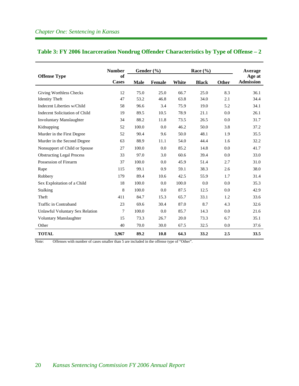|                                  | <b>Number</b>      |             | Gender $(\% )$ |       | Race $(\% )$ |       | Average                    |
|----------------------------------|--------------------|-------------|----------------|-------|--------------|-------|----------------------------|
| <b>Offense Type</b>              | of<br><b>Cases</b> | <b>Male</b> | <b>Female</b>  | White | <b>Black</b> | Other | Age at<br><b>Admission</b> |
| Giving Worthless Checks          | 12                 | 75.0        | 25.0           | 66.7  | 25.0         | 8.3   | 36.1                       |
| <b>Identity Theft</b>            | 47                 | 53.2        | 46.8           | 63.8  | 34.0         | 2.1   | 34.4                       |
| Indecent Liberties w/Child       | 58                 | 96.6        | 3.4            | 75.9  | 19.0         | 5.2   | 34.1                       |
| Indecent Solicitation of Child   | 19                 | 89.5        | 10.5           | 78.9  | 21.1         | 0.0   | 26.1                       |
| <b>Involuntary Manslaughter</b>  | 34                 | 88.2        | 11.8           | 73.5  | 26.5         | 0.0   | 31.7                       |
| Kidnapping                       | 52                 | 100.0       | 0.0            | 46.2  | 50.0         | 3.8   | 37.2                       |
| Murder in the First Degree       | 52                 | 90.4        | 9.6            | 50.0  | 48.1         | 1.9   | 35.5                       |
| Murder in the Second Degree      | 63                 | 88.9        | 11.1           | 54.0  | 44.4         | 1.6   | 32.2                       |
| Nonsupport of Child or Spouse    | 27                 | 100.0       | 0.0            | 85.2  | 14.8         | 0.0   | 41.7                       |
| <b>Obstructing Legal Process</b> | 33                 | 97.0        | 3.0            | 60.6  | 39.4         | 0.0   | 33.0                       |
| Possession of Firearm            | 37                 | 100.0       | 0.0            | 45.9  | 51.4         | 2.7   | 31.0                       |
| Rape                             | 115                | 99.1        | 0.9            | 59.1  | 38.3         | 2.6   | 38.0                       |
| Robbery                          | 179                | 89.4        | 10.6           | 42.5  | 55.9         | 1.7   | 31.4                       |
| Sex Exploitation of a Child      | 18                 | 100.0       | 0.0            | 100.0 | 0.0          | 0.0   | 35.3                       |
| Stalking                         | 8                  | 100.0       | 0.0            | 87.5  | 12.5         | 0.0   | 42.9                       |
| Theft                            | 411                | 84.7        | 15.3           | 65.7  | 33.1         | 1.2   | 33.6                       |
| Traffic in Contraband            | 23                 | 69.6        | 30.4           | 87.0  | 8.7          | 4.3   | 32.6                       |
| Unlawful Voluntary Sex Relation  | 7                  | 100.0       | 0.0            | 85.7  | 14.3         | 0.0   | 21.6                       |
| <b>Voluntary Manslaughter</b>    | 15                 | 73.3        | 26.7           | 20.0  | 73.3         | 6.7   | 35.1                       |
| Other                            | 40                 | 70.0        | 30.0           | 67.5  | 32.5         | 0.0   | 37.6                       |
| <b>TOTAL</b>                     | 3.967              | 89.2        | 10.8           | 64.3  | 33.2         | 2.5   | 33.5                       |

# **Table 3: FY 2006 Incarceration Nondrug Offender Characteristics by Type of Offense – 2**

Note: Offenses with number of cases smaller than 5 are included in the offense type of "Other".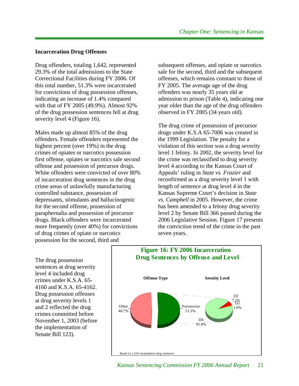#### **Incarceration Drug Offenses**

Drug offenders, totaling 1,642, represented 29.3% of the total admissions to the State Correctional Facilities during FY 2006. Of this total number, 51.3% were incarcerated for convictions of drug possession offenses, indicating an increase of 1.4% compared with that of FY 2005 (49.9%). Almost 92% of the drug possession sentences fell at drug severity level 4 (Figure 16).

Males made up almost 85% of the drug offenders. Female offenders represented the highest percent (over 19%) in the drug crimes of opiates or narcotics possession first offense, opiates or narcotics sale second offense and possession of precursor drugs. White offenders were convicted of over 80% of incarceration drug sentences in the drug crime areas of unlawfully manufacturing controlled substance, possession of depressants, stimulants and hallucinogenic for the second offense, possession of paraphernalia and possession of precursor drugs. Black offenders were incarcerated more frequently (over 40%) for convictions of drug crimes of opiate or narcotics possession for the second, third and

subsequent offenses, and opiate or narcotics sale for the second, third and the subsequent offenses, which remains constant to those of FY 2005. The average age of the drug offenders was nearly 35 years old at admission to prison (Table 4), indicating one year older than the age of the drug offenders observed in FY 2005 (34 years old).

The drug crime of possession of precursor drugs under K.S.A 65-7006 was created in the 1999 Legislation. The penalty for a violation of this section was a drug severity level 1 felony. In 2002, the severity level for the crime was reclassified to drug severity level 4 according to the Kansas Court of Appeals' ruling in *State vs. Frazier* and reconfirmed as a drug severity level 1 with length of sentence at drug level 4 in the Kansas Supreme Court's decision in *State vs. Campbell* in 2005. However, the crime has been amended to a felony drug severity level 2 by Senate Bill 366 passed during the 2006 Legislative Session. Figure 17 presents the conviction trend of the crime in the past seven years.

The drug possession sentences at drug severity level 4 included drug crimes under K.S.A. 65- 4160 and K.S.A. 65-4162. Drug possession offenses at drug severity levels 1 and 2 reflected the drug crimes committed before November 1, 2003 (before the implementation of Senate Bill 123).

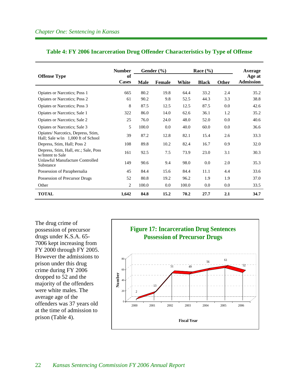|                                                                         | <b>Number</b>      |       | Gender $(\% )$ |       | Race $(\% )$ |              | Average                    |
|-------------------------------------------------------------------------|--------------------|-------|----------------|-------|--------------|--------------|----------------------------|
| <b>Offense Type</b>                                                     | of<br><b>Cases</b> | Male  | <b>Female</b>  | White | <b>Black</b> | <b>Other</b> | Age at<br><b>Admission</b> |
| Opiates or Narcotics; Poss 1                                            | 665                | 80.2  | 19.8           | 64.4  | 33.2         | 2.4          | 35.2                       |
| <b>Opiates or Narcotics</b> ; Poss 2                                    | 61                 | 90.2  | 9.8            | 52.5  | 44.3         | 3.3          | 38.8                       |
| Opiates or Narcotics; Poss 3                                            | 8                  | 87.5  | 12.5           | 12.5  | 87.5         | 0.0          | 42.6                       |
| Opiates or Narcotics; Sale 1                                            | 322                | 86.0  | 14.0           | 62.6  | 36.1         | 1.2          | 35.2                       |
| Opiates or Narcotics; Sale 2                                            | 25                 | 76.0  | 24.0           | 48.0  | 52.0         | 0.0          | 40.6                       |
| Opiates or Narcotics; Sale 3                                            | 5                  | 100.0 | 0.0            | 40.0  | 60.0         | 0.0          | 36.6                       |
| Opiates/Narcotics, Depress, Stim,<br>Hall; Sale w/in 1,000 ft of School | 39                 | 87.2  | 12.8           | 82.1  | 15.4         | 2.6          | 33.3                       |
| Depress, Stim, Hall; Poss 2                                             | 108                | 89.8  | 10.2           | 82.4  | 16.7         | 0.9          | 32.0                       |
| Depress, Stim, Hall, etc.; Sale, Poss<br>w/Intent to Sale               | 161                | 92.5  | 7.5            | 73.9  | 23.0         | 3.1          | 30.3                       |
| Unlawful Manufacture Controlled<br>Substance                            | 149                | 90.6  | 9.4            | 98.0  | 0.0          | 2.0          | 35.3                       |
| Possession of Paraphernalia                                             | 45                 | 84.4  | 15.6           | 84.4  | 11.1         | 4.4          | 33.6                       |
| Possession of Precursor Drugs                                           | 52                 | 80.8  | 19.2           | 96.2  | 1.9          | 1.9          | 37.0                       |
| Other                                                                   | 2                  | 100.0 | 0.0            | 100.0 | 0.0          | 0.0          | 33.5                       |
| <b>TOTAL</b>                                                            | 1,642              | 84.8  | 15.2           | 70.2  | 27.7         | 2.1          | 34.7                       |

#### **Table 4: FY 2006 Incarceration Drug Offender Characteristics by Type of Offense**

The drug crime of possession of precursor drugs under K.S.A. 65- 7006 kept increasing from FY 2000 through FY 2005. However the admissions to prison under this drug crime during FY 2006 dropped to 52 and the majority of the offenders were white males. The average age of the offenders was 37 years old at the time of admission to prison (Table 4).

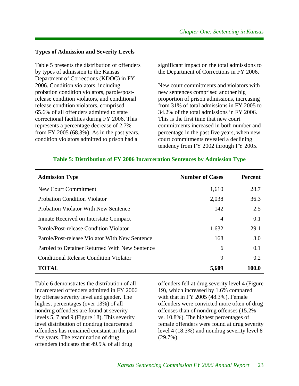#### **Types of Admission and Severity Levels**

Table 5 presents the distribution of offenders by types of admission to the Kansas Department of Corrections (KDOC) in FY 2006. Condition violators, including probation condition violators, parole/postrelease condition violators, and conditional release condition violators, comprised 65.6% of all offenders admitted to state correctional facilities during FY 2006. This represents a percentage decrease of 2.7% from FY 2005 (68.3%). As in the past years, condition violators admitted to prison had a

significant impact on the total admissions to the Department of Corrections in FY 2006.

New court commitments and violators with new sentences comprised another big proportion of prison admissions, increasing from 31% of total admissions in FY 2005 to 34.2% of the total admissions in FY 2006. This is the first time that new court commitments increased in both number and percentage in the past five years, when new court commitments revealed a declining tendency from FY 2002 through FY 2005.

| <b>Admission Type</b>                          | <b>Number of Cases</b> | <b>Percent</b> |
|------------------------------------------------|------------------------|----------------|
| New Court Commitment                           | 1,610                  | 28.7           |
| <b>Probation Condition Violator</b>            | 2,038                  | 36.3           |
| <b>Probation Violator With New Sentence</b>    | 142                    | 2.5            |
| Inmate Received on Interstate Compact          | $\overline{4}$         | 0.1            |
| Parole/Post-release Condition Violator         | 1,632                  | 29.1           |
| Parole/Post-release Violator With New Sentence | 168                    | 3.0            |
| Paroled to Detainer Returned With New Sentence | 6                      | 0.1            |
| <b>Conditional Release Condition Violator</b>  | 9                      | 0.2            |
| TOTAL                                          | 5,609                  | 100.0          |

#### **Table 5: Distribution of FY 2006 Incarceration Sentences by Admission Type**

Table 6 demonstrates the distribution of all incarcerated offenders admitted in FY 2006 by offense severity level and gender. The highest percentages (over 13%) of all nondrug offenders are found at severity levels 5, 7 and 9 (Figure 18). This severity level distribution of nondrug incarcerated offenders has remained constant in the past five years. The examination of drug offenders indicates that 49.9% of all drug

offenders fell at drug severity level 4 (Figure 19), which increased by 1.6% compared with that in FY 2005 (48.3%). Female offenders were convicted more often of drug offenses than of nondrug offenses (15.2% vs. 10.8%). The highest percentages of female offenders were found at drug severity level 4 (18.3%) and nondrug severity level 8 (29.7%).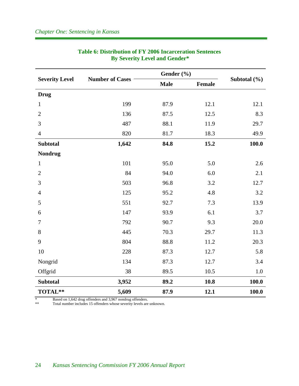|                       |                        | Gender (%)  |               |                  |
|-----------------------|------------------------|-------------|---------------|------------------|
| <b>Severity Level</b> | <b>Number of Cases</b> | <b>Male</b> | <b>Female</b> | Subtotal $(\% )$ |
| <b>Drug</b>           |                        |             |               |                  |
| $\mathbf{1}$          | 199                    | 87.9        | 12.1          | 12.1             |
| $\overline{2}$        | 136                    | 87.5        | 12.5          | 8.3              |
| 3                     | 487                    | 88.1        | 11.9          | 29.7             |
| $\overline{4}$        | 820                    | 81.7        | 18.3          | 49.9             |
| <b>Subtotal</b>       | 1,642                  | 84.8        | 15.2          | 100.0            |
| <b>Nondrug</b>        |                        |             |               |                  |
| $\mathbf{1}$          | 101                    | 95.0        | 5.0           | 2.6              |
| $\overline{2}$        | 84                     | 94.0        | 6.0           | 2.1              |
| 3                     | 503                    | 96.8        | 3.2           | 12.7             |
| $\overline{4}$        | 125                    | 95.2        | 4.8           | 3.2              |
| 5                     | 551                    | 92.7        | 7.3           | 13.9             |
| $\boldsymbol{6}$      | 147                    | 93.9        | 6.1           | 3.7              |
| $\tau$                | 792                    | 90.7        | 9.3           | 20.0             |
| 8                     | 445                    | 70.3        | 29.7          | 11.3             |
| 9                     | 804                    | 88.8        | 11.2          | 20.3             |
| 10                    | 228                    | 87.3        | 12.7          | 5.8              |
| Nongrid               | 134                    | 87.3        | 12.7          | 3.4              |
| Offgrid               | 38                     | 89.5        | 10.5          | 1.0              |
| <b>Subtotal</b>       | 3,952                  | 89.2        | 10.8          | 100.0            |
| TOTAL**               | 5,609                  | 87.9        | 12.1          | 100.0            |

# **Table 6: Distribution of FY 2006 Incarceration Sentences By Severity Level and Gender\***

\* Based on 1,642 drug offenders and 3,967 nondrug offenders.<br>\*\* Total number includes 15 offenders whose severity levels are

Total number includes 15 offenders whose severity levels are unknown.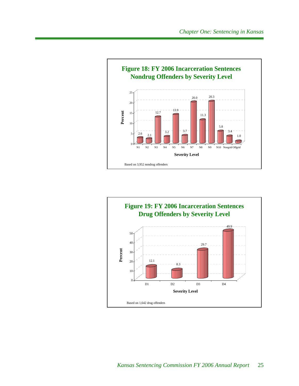

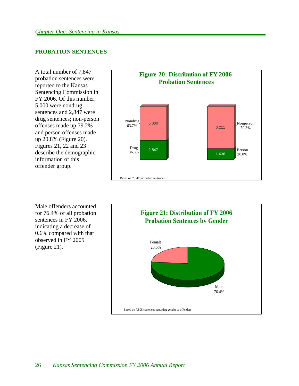#### **PROBATION SENTENCES**

A total number of 7,847 probation sentences were reported to the Kansas Sentencing Commission in FY 2006. Of this number, 5,000 were nondrug sentences and 2,847 were drug sentences; non-person offenses made up 79.2% and person offenses made up 20.8% (Figure 20). Figures 21, 22 and 23 describe the demographic information of this offender group.



Male offenders accounted for 76.4% of all probation sentences in FY 2006, indicating a decrease of 0.6% compared with that observed in FY 2005 (Figure 21).

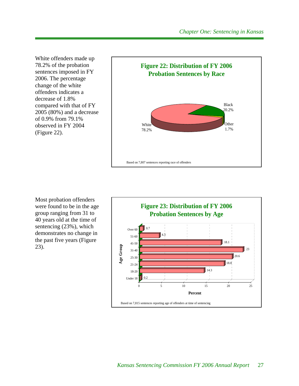White offenders made up 78.2% of the probation sentences imposed in FY 2006. The percentage change of the white offenders indicates a decrease of 1.8% compared with that of FY 2005 (80%) and a decrease of 0.9% from 79.1% observed in FY 2004 (Figure 22).



Most probation offenders were found to be in the age group ranging from 31 to 40 years old at the time of sentencing (23%), which demonstrates no change in the past five years (Figure 23).

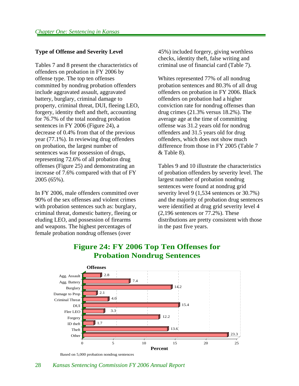#### **Type of Offense and Severity Level**

Tables 7 and 8 present the characteristics of offenders on probation in FY 2006 by offense type. The top ten offenses committed by nondrug probation offenders include aggravated assault, aggravated battery, burglary, criminal damage to property, criminal threat, DUI, fleeing LEO, forgery, identity theft and theft, accounting for 76.7% of the total nondrug probation sentences in FY 2006 (Figure 24), a decrease of 0.4% from that of the previous year (77.1%). In reviewing drug offenders on probation, the largest number of sentences was for possession of drugs, representing 72.6% of all probation drug offenses (Figure 25) and demonstrating an increase of 7.6% compared with that of FY 2005 (65%).

In FY 2006, male offenders committed over 90% of the sex offenses and violent crimes with probation sentences such as: burglary, criminal threat, domestic battery, fleeing or eluding LEO, and possession of firearms and weapons. The highest percentages of female probation nondrug offenses (over

45%) included forgery, giving worthless checks, identity theft, false writing and criminal use of financial card (Table 7).

Whites represented 77% of all nondrug probation sentences and 80.3% of all drug offenders on probation in FY 2006. Black offenders on probation had a higher conviction rate for nondrug offenses than drug crimes (21.3% versus 18.2%). The average age at the time of committing offense was 31.2 years old for nondrug offenders and 31.5 years old for drug offenders, which does not show much difference from those in FY 2005 (Table 7 & Table 8).

Tables 9 and 10 illustrate the characteristics of probation offenders by severity level. The largest number of probation nondrug sentences were found at nondrug grid severity level 9 (1,534 sentences or 30.7%) and the majority of probation drug sentences were identified at drug grid severity level 4 (2,196 sentences or 77.2%). These distributions are pretty consistent with those in the past five years.



# **Figure 24: FY 2006 Top Ten Offenses for Probation Nondrug Sentences**

Based on 5,000 probation nondrug sentences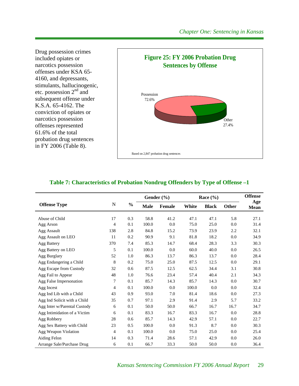Drug possession crimes included opiates or narcotics possession offenses under KSA 65- 4160, and depressants, stimulants, hallucinogenic, etc. possession  $2<sup>nd</sup>$  and subsequent offense under K.S.A. 65-4162. The conviction of opiates or narcotics possession offenses represented 61.6% of the total probation drug sentences in FY 2006 (Table 8).



#### **Table 7: Characteristics of Probation Nondrug Offenders by Type of Offense –1**

|                              |           |               |             | Gender (%)    |       | Race $(\% )$ |              | <b>Offense</b>     |
|------------------------------|-----------|---------------|-------------|---------------|-------|--------------|--------------|--------------------|
| <b>Offense Type</b>          | ${\bf N}$ | $\frac{0}{0}$ | <b>Male</b> | <b>Female</b> | White | <b>Black</b> | <b>Other</b> | Age<br><b>Mean</b> |
| Abuse of Child               | 17        | 0.3           | 58.8        | 41.2          | 47.1  | 47.1         | 5.8          | 27.1               |
| Agg Arson                    | 4         | 0.1           | 100.0       | $0.0\,$       | 75.0  | 25.0         | 0.0          | 31.4               |
| Agg Assault                  | 138       | 2.8           | 84.8        | 15.2          | 73.9  | 23.9         | 2.2          | 32.1               |
| Agg Assault on LEO           | 11        | 0.2           | 90.9        | 9.1           | 81.8  | 18.2         | 0.0          | 34.9               |
| <b>Agg Battery</b>           | 370       | 7.4           | 85.3        | 14.7          | 68.4  | 28.3         | 3.3          | 30.3               |
| Agg Battery on LEO           | 5         | 0.1           | 100.0       | 0.0           | 60.0  | 40.0         | 0.0          | 26.5               |
| Agg Burglary                 | 52        | 1.0           | 86.3        | 13.7          | 86.3  | 13.7         | 0.0          | 28.4               |
| Agg Endangering a Child      | 8         | 0.2           | 75.0        | 25.0          | 87.5  | 12.5         | 0.0          | 29.1               |
| Agg Escape from Custody      | 32        | 0.6           | 87.5        | 12.5          | 62.5  | 34.4         | 3.1          | 30.8               |
| Agg Fail to Appear           | 48        | 1.0           | 76.6        | 23.4          | 57.4  | 40.4         | 2.1          | 34.3               |
| Agg False Impersonation      | 7         | 0.1           | 85.7        | 14.3          | 85.7  | 14.3         | 0.0          | 30.7               |
| Agg Incest                   | 4         | 0.1           | 100.0       | 0.0           | 100.0 | 0.0          | 0.0          | 32.4               |
| Agg Ind Lib with a Child     | 43        | 0.9           | 93.0        | 7.0           | 81.4  | 18.6         | 0.0          | 27.3               |
| Agg Ind Solicit with a Child | 35        | 0.7           | 97.1        | 2.9           | 91.4  | 2.9          | 5.7          | 33.2               |
| Agg Inter w/Parental Custody | 6         | 0.1           | 50.0        | 50.0          | 66.7  | 16.7         | 16.7         | 34.7               |
| Agg Intimidation of a Victim | 6         | 0.1           | 83.3        | 16.7          | 83.3  | 16.7         | 0.0          | 28.8               |
| Agg Robbery                  | 28        | 0.6           | 85.7        | 14.3          | 42.9  | 57.1         | 0.0          | 22.7               |
| Agg Sex Battery with Child   | 23        | 0.5           | 100.0       | 0.0           | 91.3  | 8.7          | 0.0          | 30.3               |
| Agg Weapon Violation         | 4         | 0.1           | 100.0       | 0.0           | 75.0  | 25.0         | 0.0          | 25.4               |
| Aiding Felon                 | 14        | 0.3           | 71.4        | 28.6          | 57.1  | 42.9         | 0.0          | 26.0               |
| Arrange Sale/Purchase Drug   | 6         | 0.1           | 66.7        | 33.3          | 50.0  | 50.0         | 0.0          | 36.4               |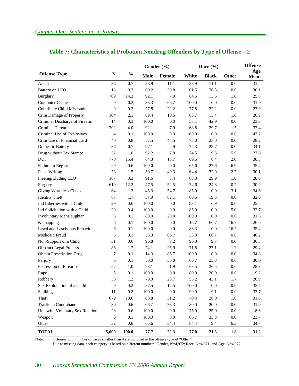|                                 |                |               |             | Gender (%) |       | Race $(\% )$ |              | <b>Offense</b> |
|---------------------------------|----------------|---------------|-------------|------------|-------|--------------|--------------|----------------|
| <b>Offense Type</b>             | ${\bf N}$      | $\frac{0}{0}$ | <b>Male</b> | Female     | White | <b>Black</b> | <b>Other</b> | Age<br>Mean    |
| Arson                           | 36             | 0.7           | 88.9        | 11.1       | 88.9  | 11.1         | 0.0          | 31.4           |
| Battery on LEO                  | 13             | 0.3           | 69.2        | 30.8       | 61.5  | 38.5         | 0.0          | 30.1           |
| <b>Burglary</b>                 | 709            | 14.2          | 92.1        | 7.9        | 84.6  | 13.6         | 1.8          | 25.8           |
| Computer Crime                  | 9              | $0.2\,$       | 33.3        | 66.7       | 100.0 | 0.0          | 0.0          | 31.9           |
| Contribute Child Misconduct     | $\overline{9}$ | $0.2\,$       | 77.8        | 22.2       | 77.8  | 22.2         | 0.0          | 27.9           |
| Crim Damage of Property         | 104            | 2.1           | 89.4        | 10.6       | 83.7  | 15.4         | 1.0          | 26.9           |
| Criminal Discharge of Firearm   | 14             | 0.3           | 100.0       | 0.0        | 57.1  | 42.9         | 0.0          | 23.3           |
| Criminal Threat                 | 202            | 4.0           | 92.1        | 7.9        | 68.8  | 29.7         | 1.5          | 32.4           |
| Criminal Use of Explosives      | $\overline{4}$ | 0.1           | 100.0       | 0.0        | 100.0 | 0.0          | 0.0          | 43.2           |
| Crim Use of Financial Card      | 40             | $0.8\,$       | 52.5        | 47.5       | 75.0  | 25.0         | 0.0          | 28.2           |
| <b>Domestic Battery</b>         | 36             | 0.7           | 97.1        | 2.9        | 74.3  | 25.7         | 0.0          | 34.1           |
| Drug without Tax Stamps         | 52             | 1.0           | 92.2        | 7.8        | 74.5  | 19.6         | 5.9          | 27.8           |
| DUI                             | 770            | 15.4          | 84.3        | 15.7       | 89.6  | 8.4          | 2.0          | 38.3           |
| Failure to Register             | 29             | 0.6           | 100.0       | 0.0        | 65.6  | 27.6         | 6.9          | 35.4           |
| <b>False Writing</b>            | 73             | 1.5           | 50.7        | 49.3       | 64.4  | 32.9         | 2.7          | 30.1           |
| Fleeing/Eluding LEO             | 167            | 3.3           | 91.6        | 8.4        | 68.3  | 29.9         | 1.8          | 28.6           |
| Forgery                         | 610            | 12.2          | 47.5        | 52.5       | 74.6  | 24.8         | 0.7          | 30.9           |
| Giving Worthless Check          | 64             | 1.3           | 45.3        | 54.7       | 85.9  | 10.9         | 3.1          | 34.6           |
| <b>Identity Theft</b>           | 87             | 1.7           | 37.9        | 62.1       | 80.5  | 19.5         | 0.0          | 32.6           |
| Ind Liberties with a Child      | 29             | 0.6           | 100.0       | 0.0        | 93.1  | 6.9          | 0.0          | 25.5           |
| Ind Solicitation with a Child   | $20\,$         | 0.4           | 100.0       | 0.0        | 85.0  | 10.0         | 5.0          | 32.7           |
| Involuntary Manslaughter        | 5              | 0.1           | 80.0        | 20.0       | 100.0 | 0.0          | 0.0          | 31.5           |
| Kidnapping                      | 6              | 0.1           | 100.0       | 0.0        | 16.7  | 66.7         | 16.7         | 26.6           |
| Lewd and Lascivious Behavior    | 6              | 0.1           | 100.0       | 0.0        | 83.3  | $0.0\,$      | 16.7         | 35.4           |
| Medicaid Fraud                  | 6              | 0.1           | 33.3        | 66.7       | 33.3  | 66.7         | 0.0          | 46.2           |
| Non-Support of a Child          | 31             | 0.6           | 96.8        | 3.2        | 90.3  | 9.7          | 0.0          | 36.5           |
| <b>Obstruct Legal Process</b>   | 85             | 1.7           | 74.1        | 25.9       | 71.8  | 27.1         | 1.2          | 29.4           |
| <b>Obtain Prescription Drug</b> | 7              | 0.1           | 14.3        | 85.7       | 100.0 | 0.0          | 0.0          | 34.8           |
| Perjury                         | 6              | 0.1           | 50.0        | 50.0       | 66.7  | 33.3         | 0.0          | 30.0           |
| Possession of Firearms          | 52             | 1.0           | 98.1        | 1.9        | 63.5  | 36.5         | 0.0          | 28.3           |
| Rape                            | 5              | 0.1           | 100.0       | 0.0        | 80.0  | 20.0         | 0.0          | 19.2           |
| Robbery                         | 58             | 1.2           | 79.3        | 20.7       | 55.2  | 43.1         | 1.7          | 26.9           |
| Sex Exploitation of a Child     | $\overline{9}$ | $0.2\,$       | 87.5        | 12.5       | 100.0 | $0.0\,$      | $0.0\,$      | 35.4           |
| Stalking                        | 11             | $0.2\,$       | $100.0\,$   | $0.0\,$    | 90.9  | 9.1          | $0.0\,$      | 33.7           |
| Theft                           | 679            | 13.6          | 68.8        | 31.2       | 70.4  | $28.0\,$     | 1.6          | 31.6           |
| Traffic in Contraband           | 30             | $0.6\,$       | 66.7        | 33.3       | 80.0  | 20.0         | $0.0\,$      | 31.9           |
| Unlawful Voluntary Sex Relation | $28\,$         | $0.6\,$       | 100.0       | $0.0\,$    | 75.0  | 25.0         | $0.0\,$      | 18.6           |
| Weapon                          | 6              | $0.1\,$       | 100.0       | $0.0\,$    | 66.7  | 33.3         | $0.0\,$      | 23.7           |
| Other                           | $32\,$         | $0.6\,$       | 65.6        | 34.4       | 84.4  | 9.4          | 6.3          | 34.7           |
| <b>TOTAL</b>                    | 5,000          | 100.0         | 77.7        | 22.3       | 77.0  | 21.3         | $1.8\,$      | 31.2           |

# **Table 7: Characteristics of Probation Nondrug Offenders by Type of Offense – 2**

Note: Offenses with number of cases smaller than 4 are included in the offense type of "Other".

Due to missing data, each category is based on different numbers: Gender, N=4,972; Race, N=4,971; and Age, N=4,977.

#### 30 *Kansas Sentencing Commission FY 2006 Annual Report*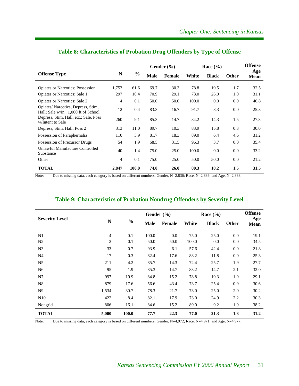|                                                                         |                |               |             | Gender $(\% )$ |       | Race $(\% )$ |              | <b>Offense</b>     |
|-------------------------------------------------------------------------|----------------|---------------|-------------|----------------|-------|--------------|--------------|--------------------|
| <b>Offense Type</b>                                                     | $\mathbf N$    | $\frac{0}{0}$ | <b>Male</b> | <b>Female</b>  | White | <b>Black</b> | <b>Other</b> | Age<br><b>Mean</b> |
| Opiates or Narcotics; Possession                                        | 1,753          | 61.6          | 69.7        | 30.3           | 78.8  | 19.5         | 1.7          | 32.5               |
| Opiates or Narcotics; Sale 1                                            | 297            | 10.4          | 70.9        | 29.1           | 73.0  | 26.0         | 1.0          | 31.1               |
| Opiates or Narcotics; Sale 2                                            | $\overline{4}$ | 0.1           | 50.0        | 50.0           | 100.0 | 0.0          | 0.0          | 46.8               |
| Opiates/Narcotics, Depress, Stim,<br>Hall; Sale w/in 1,000 ft of School | 12             | 0.4           | 83.3        | 16.7           | 91.7  | 8.3          | 0.0          | 25.3               |
| Depress, Stim, Hall, etc.; Sale, Poss<br>w/Intent to Sale               | 260            | 9.1           | 85.3        | 14.7           | 84.2  | 14.3         | 1.5          | 27.3               |
| Depress, Stim, Hall; Poss 2                                             | 313            | 11.0          | 89.7        | 10.3           | 83.9  | 15.8         | 0.3          | 30.0               |
| Possession of Paraphernalia                                             | 110            | 3.9           | 81.7        | 18.3           | 89.0  | 6.4          | 4.6          | 31.2               |
| Possession of Precursor Drugs                                           | 54             | 1.9           | 68.5        | 31.5           | 96.3  | 3.7          | 0.0          | 35.4               |
| Unlawful Manufacture Controlled<br>Substance                            | 40             | 1.4           | 75.0        | 25.0           | 100.0 | 0.0          | 0.0          | 33.2               |
| Other                                                                   | $\overline{4}$ | 0.1           | 75.0        | 25.0           | 50.0  | 50.0         | 0.0          | 21.2               |
| <b>TOTAL</b>                                                            | 2,847          | 100.0         | 74.0        | 26.0           | 80.3  | 18.2         | 1.5          | 31.5               |

# **Table 8: Characteristics of Probation Drug Offenders by Type of Offense**

Note: Due to missing data, each category is based on different numbers: Gender, N=2,836; Race, N=2,836; and Age, N=2,838.

|                       |                |               |             | Gender $(\% )$ |       | Race $(\% )$ |              | <b>Offense</b>     |
|-----------------------|----------------|---------------|-------------|----------------|-------|--------------|--------------|--------------------|
| <b>Severity Level</b> | N              | $\frac{0}{0}$ | <b>Male</b> | <b>Female</b>  | White | <b>Black</b> | <b>Other</b> | Age<br><b>Mean</b> |
| N1                    | 4              | 0.1           | 100.0       | 0.0            | 75.0  | 25.0         | 0.0          | 19.1               |
| N <sub>2</sub>        | $\overline{c}$ | 0.1           | 50.0        | 50.0           | 100.0 | 0.0          | 0.0          | 34.5               |
| N <sub>3</sub>        | 33             | 0.7           | 93.9        | 6.1            | 57.6  | 42.4         | 0.0          | 21.8               |
| N <sub>4</sub>        | 17             | 0.3           | 82.4        | 17.6           | 88.2  | 11.8         | 0.0          | 25.3               |
| N <sub>5</sub>        | 211            | 4.2           | 85.7        | 14.3           | 72.4  | 25.7         | 1.9          | 27.7               |
| N <sub>6</sub>        | 95             | 1.9           | 85.3        | 14.7           | 83.2  | 14.7         | 2.1          | 32.0               |
| N7                    | 997            | 19.9          | 84.8        | 15.2           | 78.8  | 19.3         | 1.9          | 29.1               |
| N <sub>8</sub>        | 879            | 17.6          | 56.6        | 43.4           | 73.7  | 25.4         | 0.9          | 30.6               |
| N <sub>9</sub>        | 1,534          | 30.7          | 78.3        | 21.7           | 73.0  | 25.0         | 2.0          | 30.2               |
| N10                   | 422            | 8.4           | 82.1        | 17.9           | 73.0  | 24.9         | 2.2          | 30.3               |
| Nongrid               | 806            | 16.1          | 84.6        | 15.2           | 89.0  | 9.2          | 1.9          | 38.2               |
| <b>TOTAL</b>          | 5,000          | 100.0         | 77.7        | 22.3           | 77.0  | 21.3         | 1.8          | 31.2               |

#### **Table 9: Characteristics of Probation Nondrug Offenders by Severity Level**

Note: Due to missing data, each category is based on different numbers: Gender, N=4,972; Race, N=4,971; and Age, N=4,977.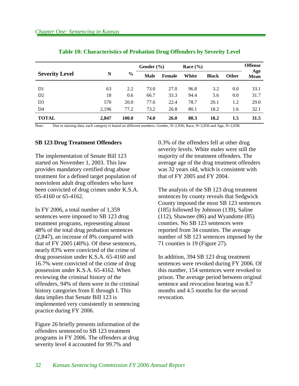|                       |       |               | Gender $(\% )$ |        | Race $(\% )$ | <b>Offense</b> |              |                    |
|-----------------------|-------|---------------|----------------|--------|--------------|----------------|--------------|--------------------|
| <b>Severity Level</b> | N     | $\frac{6}{9}$ | <b>Male</b>    | Female | White        | <b>Black</b>   | <b>Other</b> | Age<br><b>Mean</b> |
|                       |       |               |                |        |              |                |              |                    |
| D1                    | 63    | 2.2           | 73.0           | 27.0   | 96.8         | 3.2            | 0.0          | 33.1               |
| D <sub>2</sub>        | 18    | 0.6           | 66.7           | 33.3   | 94.4         | 5.6            | 0.0          | 31.7               |
| D <sub>3</sub>        | 570   | <b>20.0</b>   | 77.6           | 22.4   | 78.7         | 20.1           | 1.2          | 29.0               |
| D <sub>4</sub>        | 2,196 | 77.2          | 73.2           | 26.8   | 80.1         | 18.2           | 1.6          | 32.1               |
| <b>TOTAL</b>          | 2,847 | 100.0         | 74.0           | 26.0   | 80.3         | 18.2           | 1.5          | 31.5               |

#### **Table 10: Characteristics of Probation Drug Offenders by Severity Level**

Note: Due to missing data, each category is based on different numbers: Gender, N=2,836; Race, N=2,836 and Age, N=2,838.

#### **SB 123 Drug Treatment Offenders**

The implementation of Senate Bill 123 started on November 1, 2003. This law provides mandatory certified drug abuse treatment for a defined target population of nonviolent adult drug offenders who have been convicted of drug crimes under K.S.A. 65-4160 or 65-4162.

In FY 2006, a total number of 1,359 sentences were imposed to SB 123 drug treatment programs, representing almost 48% of the total drug probation sentences (2,847), an increase of 8% compared with that of FY 2005 (40%). Of these sentences, nearly 83% were convicted of the crime of drug possession under K.S.A. 65-4160 and 16.7% were convicted of the crime of drug possession under K.S.A. 65-4162. When reviewing the criminal history of the offenders, 94% of them were in the criminal history categories from E through I. This data implies that Senate Bill 123 is implemented very consistently in sentencing practice during FY 2006.

Figure 26 briefly presents information of the offenders sentenced to SB 123 treatment programs in FY 2006. The offenders at drug severity level 4 accounted for 99.7% and

0.3% of the offenders fell at other drug severity levels. White males were still the majority of the treatment offenders. The average age of the drug treatment offenders was 32 years old, which is consistent with that of FY 2005 and FY 2004.

The analysis of the SB 123 drug treatment sentences by county reveals that Sedgwick County imposed the most SB 123 sentences (185) followed by Johnson (139), Saline (112), Shawnee (86) and Wyandotte (85) counties. No SB 123 sentences were reported from 34 counties. The average number of SB 123 sentences imposed by the 71 counties is 19 (Figure 27).

In addition, 394 SB 123 drug treatment sentences were revoked during FY 2006. Of this number, 154 sentences were revoked to prison. The average period between original sentence and revocation hearing was 8.7 months and 4.5 months for the second revocation.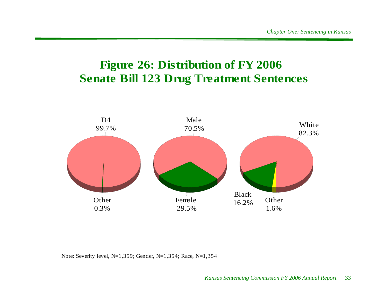# **Figure 26: Distribution of FY 2006 Senate Bill 123 Drug Treatment Sentences**



Note: Severity level, N=1,359; Gender, N=1,354; Race, N=1,354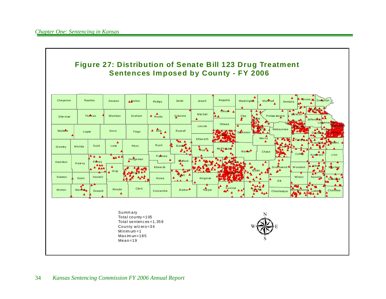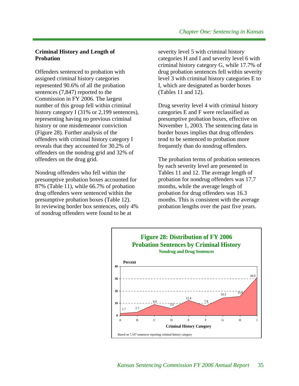#### **Criminal History and Length of Probation**

Offenders sentenced to probation with assigned criminal history categories represented 90.6% of all the probation sentences (7,847) reported to the Commission in FY 2006. The largest number of this group fell within criminal history category I (31% or 2,199 sentences), representing having no previous criminal history or one misdemeanor conviction (Figure 28). Further analysis of the offenders with criminal history category I reveals that they accounted for 30.2% of offenders on the nondrug grid and 32% of offenders on the drug grid.

Nondrug offenders who fell within the presumptive probation boxes accounted for 87% (Table 11), while 66.7% of probation drug offenders were sentenced within the presumptive probation boxes (Table 12). In reviewing border box sentences, only 4% of nondrug offenders were found to be at

severity level 5 with criminal history categories H and I and severity level 6 with criminal history category G, while 17.7% of drug probation sentences fell within severity level 3 with criminal history categories E to I, which are designated as border boxes (Tables 11 and 12).

Drug severity level 4 with criminal history categories E and F were reclassified as presumptive probation boxes, effective on November 1, 2003. The sentencing data in border boxes implies that drug offenders tend to be sentenced to probation more frequently than do nondrug offenders.

The probation terms of probation sentences by each severity level are presented in Tables 11 and 12. The average length of probation for nondrug offenders was 17.7 months, while the average length of probation for drug offenders was 16.3 months. This is consistent with the average probation lengths over the past five years.

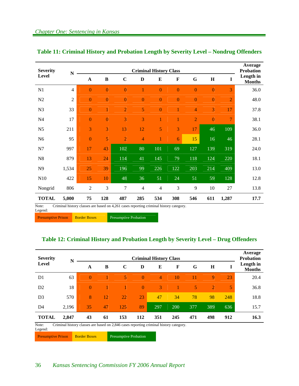| <b>Severity</b> | $\mathbf N$                                        | <b>Criminal History Class</b> |                |                |                  |                |                |                |              |                |                            |
|-----------------|----------------------------------------------------|-------------------------------|----------------|----------------|------------------|----------------|----------------|----------------|--------------|----------------|----------------------------|
| <b>Level</b>    |                                                    | $\mathbf A$                   | $\bf{B}$       | $\mathbf C$    | D                | ${\bf E}$      | $\mathbf F$    | G              | H            | $\mathbf I$    | Length in<br><b>Months</b> |
| N1              | 4                                                  | $\mathbf{0}$                  | $\overline{0}$ | $\mathbf{0}$   | 1                | $\overline{0}$ | $\overline{0}$ | $\mathbf{0}$   | $\mathbf{0}$ | 3              | 36.0                       |
| N2              | $\overline{c}$                                     | $\mathbf{0}$                  | $\overline{0}$ | $\overline{0}$ | $\overline{0}$   | $\overline{0}$ | $\overline{0}$ | $\overline{0}$ | $\mathbf{0}$ | $\overline{2}$ | 48.0                       |
| N <sub>3</sub>  | 33                                                 | $\mathbf{0}$                  | 1              | $\overline{2}$ | 5                | $\mathbf{0}$   |                | $\overline{4}$ | 3            | 17             | 37.8                       |
| N <sub>4</sub>  | 17                                                 | $\overline{0}$                | $\overline{0}$ | 3              | 3                | 1              |                | $\overline{2}$ | $\mathbf{0}$ | $\overline{7}$ | 38.1                       |
| N <sub>5</sub>  | 211                                                | $\overline{3}$                | 3              | 13             | 12               | 5              | 3              | 17             | 46           | 109            | 36.0                       |
| N <sub>6</sub>  | 95                                                 | $\overline{0}$                | 5              | $\overline{2}$ | $\overline{4}$   |                | 6              | 15             | 16           | 46             | 28.1                       |
| N7              | 997                                                | 17                            | 43             | 102            | 80               | 101            | 69             | 127            | 139          | 319            | 24.0                       |
| N8              | 879                                                | 13                            | 24             | 114            | 41               | 145            | 79             | 118            | 124          | 220            | 18.1                       |
| N9              | 1,534                                              | 25                            | 39             | 196            | 99               | 226            | 122            | 203            | 214          | 409            | 13.0                       |
| N10             | 422                                                | 15                            | 10             | 48             | 36               | 51             | 24             | 51             | 59           | 128            | 12.8                       |
| Nongrid         | 806                                                | $\overline{2}$                | 3              | 7              | $\overline{4}$   | $\overline{4}$ | 3              | 9              | $10\,$       | 27             | 13.8                       |
| <b>TOTAL</b>    | 5,000<br>$\sim$ $\sim$ $\sim$ $\sim$ $\sim$ $\sim$ | 75                            | 128            | 487            | 285<br>$\cdot$ . | 534            | 308            | 546            | 611          | 1,287          | 17.7                       |

# **Table 11: Criminal History and Probation Length by Severity Level – Nondrug Offenders**

Note: Criminal history classes are based on 4,261 cases reporting criminal history category.

Legend:

Presumptive Prison Border Boxes Presumptive Probation

# **Table 12: Criminal History and Probation Length by Severity Level – Drug Offenders**

| <b>Severity</b>           | N     |                     |    |                                                                                        |                              | <b>Criminal History Class</b> |     |     |                |     | Average<br><b>Probation</b> |
|---------------------------|-------|---------------------|----|----------------------------------------------------------------------------------------|------------------------------|-------------------------------|-----|-----|----------------|-----|-----------------------------|
| Level                     |       | A                   | B  | $\mathbf C$                                                                            | D                            | E                             | F   | G   | $\bf H$        | I   | Length in<br><b>Months</b>  |
| D <sub>1</sub>            | 63    | $\Omega$            |    | 5.                                                                                     | $\Omega$                     | $\overline{\mathcal{A}}$      | 10  | 11  | 9              | 23  | 20.4                        |
| D2                        | 18    | $\Omega$            |    |                                                                                        | $\theta$                     | $\mathbf{3}$                  |     | 5   | $\overline{2}$ | 5   | 36.8                        |
| D <sub>3</sub>            | 570   | 8                   | 12 | 22                                                                                     | 23                           | 47                            | 34  | 78  | 98             | 248 | 18.8                        |
| D4                        | 2,196 | 35                  | 47 | 125                                                                                    | 89                           | 297                           | 200 | 377 | 389            | 636 | 15.7                        |
| <b>TOTAL</b>              | 2.847 | 43                  | 61 | 153                                                                                    | 112                          | 351                           | 245 | 471 | 498            | 912 | 16.3                        |
| Note:<br>Legend:          |       |                     |    | Criminal history classes are based on 2,846 cases reporting criminal history category. |                              |                               |     |     |                |     |                             |
| <b>Presumptive Prison</b> |       | <b>Border Boxes</b> |    |                                                                                        | <b>Presumptive Probation</b> |                               |     |     |                |     |                             |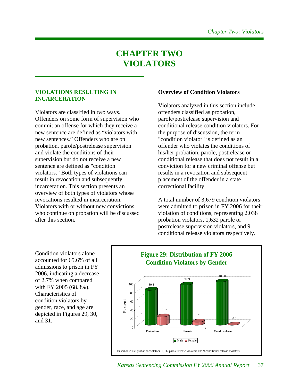# **CHAPTER TWO VIOLATORS**

#### **VIOLATIONS RESULTING IN INCARCERATION**

Violators are classified in two ways. Offenders on some form of supervision who commit an offense for which they receive a new sentence are defined as "violators with new sentences." Offenders who are on probation, parole/postrelease supervision and violate the conditions of their supervision but do not receive a new sentence are defined as "condition violators." Both types of violations can result in revocation and subsequently, incarceration. This section presents an overview of both types of violators whose revocations resulted in incarceration. Violators with or without new convictions who continue on probation will be discussed after this section.

#### **Overview of Condition Violators**

Violators analyzed in this section include offenders classified as probation, parole/postrelease supervision and conditional release condition violators. For the purpose of discussion, the term "condition violator" is defined as an offender who violates the conditions of his/her probation, parole, postrelease or conditional release that does not result in a conviction for a new criminal offense but results in a revocation and subsequent placement of the offender in a state correctional facility.

A total number of 3,679 condition violators were admitted to prison in FY 2006 for their violation of conditions, representing 2,038 probation violators, 1,632 parole or postrelease supervision violators, and 9 conditional release violators respectively.

Condition violators alone accounted for 65.6% of all admissions to prison in FY 2006, indicating a decrease of 2.7% when compared with FY 2005 (68.3%). Characteristics of condition violators by gender, race, and age are depicted in Figures 29, 30, and 31.

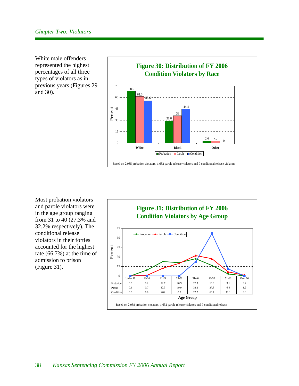White male offenders represented the highest percentages of all three types of violators as in previous years (Figures 29 and 30).



Most probation violators and parole violators were in the age group ranging from 31 to 40 (27.3% and 32.2% respectively). The conditional release violators in their forties accounted for the highest rate (66.7%) at the time of admission to prison (Figure 31).

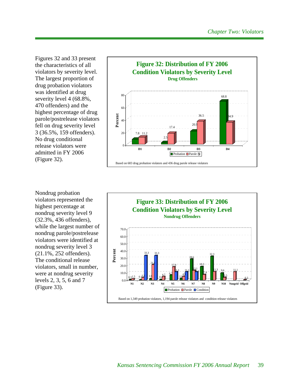Figures 32 and 33 present the characteristics of all violators by severity level. The largest proportion of drug probation violators was identified at drug severity level 4 (68.8%, 470 offenders) and the highest percentage of drug parole/postrelease violators fell on drug severity level 3 (36.5%, 159 offenders). No drug conditional release violators were admitted in FY 2006 (Figure 32).



Nondrug probation violators represented the highest percentage at nondrug severity level 9 (32.3%, 436 offenders), while the largest number of nondrug parole/postrelease violators were identified at nondrug severity level 3 (21.1%, 252 offenders). The conditional release violators, small in number, were at nondrug severity levels 2, 3, 5, 6 and 7 (Figure 33).

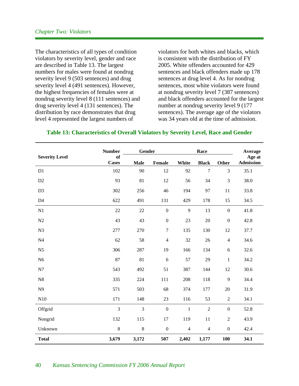The characteristics of all types of condition violators by severity level, gender and race are described in Table 13. The largest numbers for males were found at nondrug severity level 9 (503 sentences) and drug severity level 4 (491 sentences). However, the highest frequencies of females were at nondrug severity level 8 (111 sentences) and drug severity level 4 (131 sentences). The distribution by race demonstrates that drug level 4 represented the largest numbers of

violators for both whites and blacks, which is consistent with the distribution of FY 2005. White offenders accounted for 429 sentences and black offenders made up 178 sentences at drug level 4. As for nondrug sentences, most white violators were found at nondrug severity level 7 (387 sentences) and black offenders accounted for the largest number at nondrug severity level 9 (177 sentences). The average age of the violators was 34 years old at the time of admission.

|                       | <b>Number</b>      | Gender      |                  |                | Race             |                  | Average                    |  |
|-----------------------|--------------------|-------------|------------------|----------------|------------------|------------------|----------------------------|--|
| <b>Severity Level</b> | of<br><b>Cases</b> | <b>Male</b> | Female           | White          | <b>Black</b>     | Other            | Age at<br><b>Admission</b> |  |
| D1                    | 102                | 90          | 12               | 92             | $\boldsymbol{7}$ | 3                | 35.1                       |  |
| D2                    | 93                 | 81          | 12               | 56             | 34               | $\mathfrak{Z}$   | 38.0                       |  |
| D <sub>3</sub>        | 302                | 256         | 46               | 194            | 97               | 11               | 33.8                       |  |
| D4                    | 622                | 491         | 131              | 429            | 178              | 15               | 34.5                       |  |
| N1                    | 22                 | 22          | $\mathbf{0}$     | 9              | 13               | $\mathbf{0}$     | 41.8                       |  |
| N2                    | 43                 | 43          | $\boldsymbol{0}$ | 23             | 20               | $\boldsymbol{0}$ | 42.8                       |  |
| N <sub>3</sub>        | 277                | 270         | $\tau$           | 135            | 130              | 12               | 37.7                       |  |
| N <sub>4</sub>        | 62                 | 58          | $\overline{4}$   | 32             | 26               | $\overline{4}$   | 34.6                       |  |
| N <sub>5</sub>        | 306                | 287         | 19               | 166            | 134              | 6                | 32.6                       |  |
| N <sub>6</sub>        | 87                 | 81          | 6                | 57             | 29               | $\mathbf{1}$     | 34.2                       |  |
| N7                    | 543                | 492         | 51               | 387            | 144              | 12               | 30.6                       |  |
| N8                    | 335                | 224         | 111              | 208            | 118              | $\overline{9}$   | 34.4                       |  |
| N9                    | 571                | 503         | 68               | 374            | 177              | 20               | 31.9                       |  |
| N10                   | 171                | 148         | 23               | 116            | 53               | $\mathbf{2}$     | 34.1                       |  |
| Offgrid               | 3                  | 3           | $\boldsymbol{0}$ | $\mathbf{1}$   | $\overline{2}$   | $\boldsymbol{0}$ | 52.8                       |  |
| Nongrid               | 132                | 115         | 17               | 119            | 11               | $\sqrt{2}$       | 43.9                       |  |
| Unknown               | 8                  | $\,8\,$     | $\boldsymbol{0}$ | $\overline{4}$ | $\overline{4}$   | $\boldsymbol{0}$ | 42.4                       |  |
| <b>Total</b>          | 3,679              | 3,172       | 507              | 2,402          | 1,177            | 100              | 34.1                       |  |

# **Table 13: Characteristics of Overall Violators by Severity Level, Race and Gender**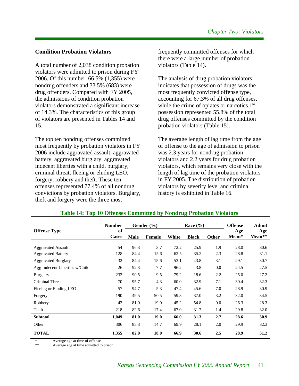#### **Condition Probation Violators**

A total number of 2,038 condition probation violators were admitted to prison during FY 2006. Of this number, 66.5% (1,355) were nondrug offenders and 33.5% (683) were drug offenders. Compared with FY 2005, the admissions of condition probation violators demonstrated a significant increase of 14.3%. The characteristics of this group of violators are presented in Tables 14 and 15.

The top ten nondrug offenses committed most frequently by probation violators in FY 2006 include aggravated assault, aggravated battery, aggravated burglary, aggravated indecent liberties with a child, burglary, criminal threat, fleeing or eluding LEO, forgery, robbery and theft. These ten offenses represented 77.4% of all nondrug convictions by probation violators. Burglary, theft and forgery were the three most

frequently committed offenses for which there were a large number of probation violators (Table 14).

The analysis of drug probation violators indicates that possession of drugs was the most frequently convicted offense type, accounting for 67.3% of all drug offenses, while the crime of opiates or narcotics  $1<sup>st</sup>$ possession represented 55.8% of the total drug offenses committed by the condition probation violators (Table 15).

The average length of lag time from the age of offense to the age of admission to prison was 2.3 years for nondrug probation violators and 2.2 years for drug probation violators, which remains very close with the length of lag time of the probation violators in FY 2005. The distribution of probation violators by severity level and criminal history is exhibited in Table 16.

|                                | <b>Number</b>      |             | Gender $(\% )$ |       | Race $(\% )$ |       | <b>Offense</b> | Admit         |
|--------------------------------|--------------------|-------------|----------------|-------|--------------|-------|----------------|---------------|
| <b>Offense Type</b>            | of<br><b>Cases</b> | <b>Male</b> | <b>Female</b>  | White | <b>Black</b> | Other | Age<br>Mean*   | Age<br>Mean** |
| <b>Aggravated Assault</b>      | 54                 | 96.3        | 3.7            | 72.2  | 25.9         | 1.9   | 28.0           | 30.6          |
| <b>Aggravated Battery</b>      | 128                | 84.4        | 15.6           | 62.5  | 35.2         | 2.3   | 28.8           | 31.1          |
| <b>Aggravated Burglary</b>     | 32                 | 84.4        | 15.6           | 53.1  | 43.8         | 3.1   | 29.1           | 30.7          |
| Agg Indecent Liberties w/Child | 26                 | 92.3        | 7.7            | 96.2  | 3.8          | 0.0   | 24.5           | 27.5          |
| <b>Burglary</b>                | 232                | 90.5        | 9.5            | 79.2  | 18.6         | 2.2   | 25.0           | 27.2          |
| Criminal Threat                | 70                 | 95.7        | 4.3            | 60.0  | 32.9         | 7.1   | 30.4           | 32.3          |
| Fleeing or Eluding LEO         | 57                 | 94.7        | 5.3            | 47.4  | 45.6         | 7.0   | 28.9           | 30.9          |
| Forgery                        | 190                | 49.5        | 50.5           | 59.8  | 37.0         | 3.2   | 32.0           | 34.5          |
| Robbery                        | 42                 | 81.0        | 19.0           | 45.2  | 54.8         | 0.0   | 26.3           | 28.3          |
| Theft                          | 218                | 82.6        | 17.4           | 67.0  | 31.7         | 1.4   | 29.8           | 32.0          |
| <b>Subtotal</b>                | 1,049              | 81.0        | 19.0           | 66.0  | 31.3         | 2.7   | 28.6           | 30.9          |
| Other                          | 306                | 85.3        | 14.7           | 69.9  | 28.1         | 2.0   | 29.9           | 32.3          |
| <b>TOTAL</b>                   | 1,355              | 82.0        | 18.0           | 66.9  | 30.6         | 2.5   | 28.9           | 31.2          |

#### **Table 14: Top 10 Offenses Committed by Nondrug Probation Violators**

Average age at time of offense.

Average age at time admitted to prison.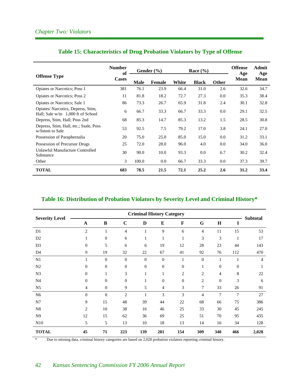|                                                                         | <b>Number</b><br>of | Gender (%)  |               |       | Race $(\% )$ |              | <b>Offense</b><br>Age | Admit<br>Age |
|-------------------------------------------------------------------------|---------------------|-------------|---------------|-------|--------------|--------------|-----------------------|--------------|
| <b>Offense Type</b>                                                     | <b>Cases</b>        | <b>Male</b> | <b>Female</b> | White | <b>Black</b> | <b>Other</b> | <b>Mean</b>           | <b>Mean</b>  |
| <b>Opiates or Narcotics</b> ; Poss 1                                    | 381                 | 76.1        | 23.9          | 66.4  | 31.0         | 2.6          | 32.6                  | 34.7         |
| <b>Opiates or Narcotics</b> ; Poss 2                                    | 11                  | 81.8        | 18.2          | 72.7  | 27.3         | 0.0          | 35.3                  | 38.4         |
| Opiates or Narcotics; Sale 1                                            | 86                  | 73.3        | 26.7          | 65.9  | 31.8         | 2.4          | 30.1                  | 32.8         |
| Opiates/Narcotics, Depress, Stim.<br>Hall; Sale w/in 1,000 ft of School | 6                   | 66.7        | 33.3          | 66.7  | 33.3         | 0.0          | 29.1                  | 32.5         |
| Depress, Stim, Hall; Poss 2nd                                           | 68                  | 85.3        | 14.7          | 85.3  | 13.2         | 1.5          | 28.5                  | 30.8         |
| Depress, Stim, Hall, etc.; Ssale, Poss<br>w/Intent to Sale              | 53                  | 92.5        | 7.5           | 79.2  | 17.0         | 3.8          | 24.1                  | 27.0         |
| Possession of Paraphernalia                                             | 20                  | 75.0        | 25.0          | 85.0  | 15.0         | 0.0          | 31.2                  | 33.1         |
| Possession of Precursor Drugs                                           | 25                  | 72.0        | 28.0          | 96.0  | 4.0          | 0.0          | 34.0                  | 36.0         |
| Unlawful Manufacture Controlled<br>Substance                            | 30                  | 90.0        | 10.0          | 93.3  | $0.0\,$      | 6.7          | 30.2                  | 32.4         |
| Other                                                                   | 3                   | 100.0       | 0.0           | 66.7  | 33.3         | 0.0          | 37.3                  | 39.7         |
| <b>TOTAL</b>                                                            | 683                 | 78.5        | 21.5          | 72.1  | 25.2         | 2.6          | 31.2                  | 33.4         |

# **Table 15: Characteristics of Drug Probation Violators by Type of Offense**

# **Table 16: Distribution of Probation Violators by Severity Level and Criminal History\***

|                       |                |                  |                | <b>Criminal History Category</b> |                |                  |                |                  |                |                 |
|-----------------------|----------------|------------------|----------------|----------------------------------|----------------|------------------|----------------|------------------|----------------|-----------------|
| <b>Severity Level</b> | A              | $\bf{B}$         | $\mathbf C$    | D                                | E              | $\mathbf F$      | G              | $\mathbf H$      | 1              | <b>Subtotal</b> |
| D1                    | $\overline{2}$ | $\mathbf{1}$     | $\overline{4}$ | $\mathbf{1}$                     | 9              | 6                | 4              | 11               | 15             | 53              |
| D <sub>2</sub>        | 1              | $\overline{0}$   | 6              | $\mathbf{1}$                     | 1              | $\mathbf{1}$     | 3              | 3                | 1              | 17              |
| D <sub>3</sub>        | $\mathbf{0}$   | 5                | 6              | 6                                | 19             | 12               | 28             | 23               | 44             | 143             |
| D <sub>4</sub>        | 9              | 19               | 32             | 22                               | 67             | 41               | 92             | 76               | 112            | 470             |
| N1                    |                | $\boldsymbol{0}$ | $\Omega$       | $\mathbf{0}$                     | $\Omega$       | $\mathbf{1}$     | $\overline{0}$ | $\mathbf{1}$     | $\mathbf{1}$   | $\overline{4}$  |
| N2                    | $\overline{0}$ | $\overline{0}$   | $\mathbf{0}$   | $\boldsymbol{0}$                 | $\overline{0}$ | $\boldsymbol{0}$ | $\mathbf{1}$   | $\boldsymbol{0}$ | $\theta$       | 1               |
| N <sub>3</sub>        | $\mathbf{0}$   | 1                | 3              | $\mathbf{1}$                     | 1              | $\overline{c}$   | $\overline{2}$ | 4                | 8              | 22              |
| N <sub>4</sub>        | $\Omega$       | $\Omega$         | $\Omega$       | 1                                | $\Omega$       | $\boldsymbol{0}$ | $\overline{c}$ | $\overline{0}$   | 3              | 6               |
| N5                    | 4              | $\theta$         | 9              | 5                                | $\overline{4}$ | 3                | 7              | 33               | 26             | 91              |
| N <sub>6</sub>        | $\theta$       | $\Omega$         | 2              | 1                                | 3              | 3                | $\overline{4}$ | 7                | $\overline{7}$ | 27              |
| N7                    | 9              | 15               | 48             | 39                               | 44             | 22               | 68             | 66               | 75             | 386             |
| $_{\rm N8}$           | $\overline{c}$ | 10               | 38             | 16                               | 46             | 25               | 33             | 30               | 45             | 245             |
| N <sub>9</sub>        | 12             | 15               | 62             | 36                               | 69             | 25               | 51             | 70               | 95             | 435             |
| N10                   | 5              | 5                | 13             | 10                               | 18             | 13               | 14             | 16               | 34             | 128             |
| <b>TOTAL</b>          | 45             | 71               | 223            | 139                              | 281            | 154              | 309            | 340              | 466            | 2,028           |

\* Due to missing data, criminal history categories are based on 2,028 probation violators reporting criminal history.

# 42 *Kansas Sentencing Commission FY 2006 Annual Report*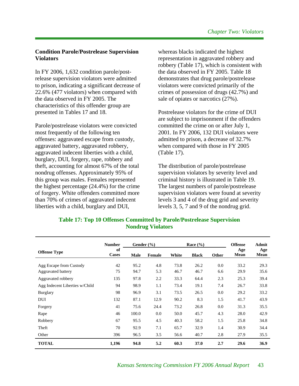#### **Condition Parole/Postrelease Supervision Violators**

In FY 2006, 1,632 condition parole/postrelease supervision violators were admitted to prison, indicating a significant decrease of 22.6% (477 violators) when compared with the data observed in FY 2005. The characteristics of this offender group are presented in Tables 17 and 18.

Parole/postrelease violators were convicted most frequently of the following ten offenses: aggravated escape from custody, aggravated battery, aggravated robbery, aggravated indecent liberties with a child, burglary, DUI, forgery, rape, robbery and theft, accounting for almost 67% of the total nondrug offenses. Approximately 95% of this group was males. Females represented the highest percentage (24.4%) for the crime of forgery. White offenders committed more than 70% of crimes of aggravated indecent liberties with a child, burglary and DUI,

whereas blacks indicated the highest representation in aggravated robbery and robbery (Table 17), which is consistent with the data observed in FY 2005. Table 18 demonstrates that drug parole/postrelease violators were convicted primarily of the crimes of possession of drugs (42.7%) and sale of opiates or narcotics (27%).

Postrelease violators for the crime of DUI are subject to imprisonment if the offenders committed the crime on or after July 1, 2001. In FY 2006, 132 DUI violators were admitted to prison, a decrease of 32.7% when compared with those in FY 2005 (Table 17).

The distribution of parole/postrelease supervision violators by severity level and criminal history is illustrated in Table 19. The largest numbers of parole/postrelease supervision violators were found at severity levels 3 and 4 of the drug grid and severity levels 3, 5, 7 and 9 of the nondrug grid.

|                                | <b>Number</b>      | Gender $(\% )$ |        |       | Race $(\% )$ |       | <b>Offense</b> | Admit       |
|--------------------------------|--------------------|----------------|--------|-------|--------------|-------|----------------|-------------|
| <b>Offense Type</b>            | of<br><b>Cases</b> | Male           | Female | White | <b>Black</b> | Other | Age<br>Mean    | Age<br>Mean |
| Agg Escape from Custody        | 42                 | 95.2           | 4.8    | 73.8  | 26.2         | 0.0   | 33.2           | 29.3        |
| Aggravated battery             | 75                 | 94.7           | 5.3    | 46.7  | 46.7         | 6.6   | 29.9           | 35.6        |
| Aggravated robbery             | 135                | 97.8           | 2.2    | 33.3  | 64.4         | 2.3   | 25.3           | 39.4        |
| Agg Indecent Liberties w/Child | 94                 | 98.9           | 1.1    | 73.4  | 19.1         | 7.4   | 26.7           | 33.8        |
| <b>Burglary</b>                | 98                 | 96.9           | 3.1    | 73.5  | 26.5         | 0.0   | 29.2           | 33.2        |
| DUI                            | 132                | 87.1           | 12.9   | 90.2  | 8.3          | 1.5   | 41.7           | 43.9        |
| Forgery                        | 41                 | 75.6           | 24.4   | 73.2  | 26.8         | 0.0   | 31.3           | 35.5        |
| Rape                           | 46                 | 100.0          | 0.0    | 50.0  | 45.7         | 4.3   | 28.0           | 42.9        |
| Robbery                        | 67                 | 95.5           | 4.5    | 40.3  | 58.2         | 1.5   | 25.8           | 34.8        |
| Theft                          | 70                 | 92.9           | 7.1    | 65.7  | 32.9         | 1.4   | 30.9           | 34.4        |
| Other                          | 396                | 96.5           | 3.5    | 56.6  | 40.7         | 2.8   | 27.9           | 35.5        |
| <b>TOTAL</b>                   | 1,196              | 94.8           | 5.2    | 60.3  | 37.0         | 2.7   | 29.6           | 36.9        |

# **Table 17: Top 10 Offenses Committed by Parole/Postrelease Supervision Nondrug Violators**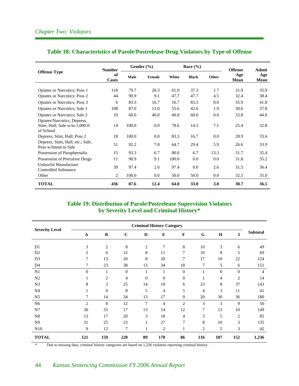|                                                                            | <b>Number</b> |       | Gender $(\% )$ |       | Race $(\% )$ |       | <b>Offense</b> | Admit       |  |
|----------------------------------------------------------------------------|---------------|-------|----------------|-------|--------------|-------|----------------|-------------|--|
| <b>Offense Type</b>                                                        | of<br>Cases   | Male  | Female         | White | <b>Black</b> | Other | Age<br>Mean    | Age<br>Mean |  |
| Opiates or Narcotics; Poss 1                                               | 118           | 79.7  | 20.3           | 61.0  | 37.3         | 1.7   | 31.9           | 35.9        |  |
| <b>Opiates or Narcotics</b> ; Poss 2                                       | 44            | 90.9  | 9.1            | 47.7  | 47.7         | 4.5   | 32.4           | 38.4        |  |
| Opiates or Narcotics; Poss 3                                               | 6             | 83.3  | 16.7           | 16.7  | 83.3         | 0.0   | 35.9           | 41.8        |  |
| Opiates or Narcotics; Sale 1                                               | 108           | 87.0  | 13.0           | 55.6  | 42.6         | 1.9   | 30.6           | 37.8        |  |
| Opiates or Narcotics; Sale 2                                               | 10            | 60.0  | 40.0           | 40.0  | 60.0         | 0.0   | 33.8           | 44.0        |  |
| Opiates/Narcotics, Depress,<br>Stim, Hall; Sale w/in 1,000 ft<br>of School | 14            | 100.0 | 0.0            | 78.6  | 14.3         | 7.1   | 25.4           | 32.8        |  |
| Depress, Stim, Hall; Poss 2                                                | 18            | 100.0 | 0.0            | 83.3  | 16.7         | 0.0   | 28.9           | 33.6        |  |
| Depress, Stim, Hall, etc.; Sale,<br>Poss w/Intent to Sale                  | 51            | 92.2  | 7.8            | 64.7  | 29.4         | 5.9   | 26.6           | 33.9        |  |
| Possession of Paraphernalia                                                | 15            | 93.3  | 6.7            | 80.0  | 6.7          | 13.3  | 31.7           | 35.4        |  |
| Possession of Precursor Drugs                                              | 11            | 90.9  | 9.1            | 100.0 | 0.0          | 0.0   | 31.8           | 35.2        |  |
| Unlawful Manufacture<br><b>Controlled Substance</b>                        | 39            | 97.4  | 2.6            | 97.4  | 0.0          | 2.6   | 31.5           | 36.4        |  |
| Other                                                                      | 2             | 100.0 | 0.0            | 50.0  | 50.0         | 0.0   | 32.5           | 35.0        |  |
| <b>TOTAL</b>                                                               | 436           | 87.6  | 12.4           | 64.0  | 33.0         | 3.0   | 30.7           | 36.5        |  |

# **Table 18: Characteristics of Parole/Postrelease Drug Violators by Type of Offense**

#### **Table 19: Distribution of Parole/Postrelease Supervision Violators by Severity Level and Criminal History\***

|                       |                |                |                |                  | <b>Criminal History Category</b> |                |                |              |                |                 |
|-----------------------|----------------|----------------|----------------|------------------|----------------------------------|----------------|----------------|--------------|----------------|-----------------|
| <b>Severity Level</b> | $\mathbf A$    | $\bf{B}$       | $\mathbf C$    | D                | E                                | $\mathbf F$    | G              | $\mathbf H$  | I              | <b>Subtotal</b> |
| D1                    | 3              | $\mathbf{2}$   | 8              | $\overline{2}$   | 7                                | $\,8\,$        | 10             | 3            | 6              | 49              |
| D2                    | $\overline{c}$ | 6              | 12             | $\,8\,$          | 11                               | 7              | 10             | 8            | 5              | 69              |
| D <sub>3</sub>        | 7              | 13             | 20             | 8                | 20                               | 7              | 17             | 10           | 22             | 124             |
| D <sub>4</sub>        | 7              | 23             | 38             | 13               | 34                               | 18             | 7              | 5            | 6              | 151             |
| N1                    | $\Omega$       | 1              | $\overline{0}$ | 1                | 1                                | $\mathbf{0}$   | 1              | $\mathbf{0}$ | $\overline{0}$ | $\overline{4}$  |
| N <sub>2</sub>        | 1              | $\overline{c}$ | 4              | $\boldsymbol{0}$ | $\theta$                         | $\mathbf{0}$   | 1              | 4            | $\overline{c}$ | 14              |
| N <sub>3</sub>        | 8              | 3              | 25             | 14               | 19                               | 6              | 23             | 8            | 37             | 143             |
| N <sub>4</sub>        |                | $\mathbf{0}$   | 8              | 5                | $\overline{4}$                   | 5              | 4              | 3            | 11             | 41              |
| N <sub>5</sub>        | 7              | 14             | 34             | 13               | 17                               | 9              | 20             | 30           | 36             | 180             |
| N <sub>6</sub>        | $\overline{2}$ | 8              | 12             | 7                | $\overline{4}$                   | $\overline{2}$ | 3              | 3            | 9              | 50              |
| N7                    | 30             | 33             | 17             | 13               | 14                               | 12             | $\overline{7}$ | 13           | 10             | 149             |
| N <sub>8</sub>        | 13             | 17             | 20             | 3                | 18                               | 4              | 3              | 5            | 2              | 85              |
| N <sub>9</sub>        | 31             | 25             | 23             | 1                | 27                               | 7              | 8              | 10           | 3              | 135             |
| N <sub>10</sub>       | 9              | 12             | 7              | 1                | 2                                | 1              | 2              | 5            | 3              | 42              |
| <b>TOTAL</b>          | 121            | 159            | 228            | 89               | 178                              | 86             | 116            | 107          | 152            | 1,236           |

\* Due to missing data, criminal history categories are based on 1,236 violators reporting criminal history.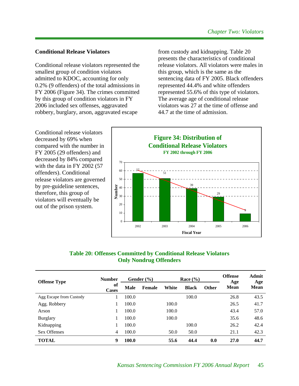#### **Conditional Release Violators**

Conditional release violators represented the smallest group of condition violators admitted to KDOC, accounting for only 0.2% (9 offenders) of the total admissions in FY 2006 (Figure 34). The crimes committed by this group of condition violators in FY 2006 included sex offenses, aggravated robbery, burglary, arson, aggravated escape

from custody and kidnapping. Table 20 presents the characteristics of conditional release violators. All violators were males in this group, which is the same as the sentencing data of FY 2005. Black offenders represented 44.4% and white offenders represented 55.6% of this type of violators. The average age of conditional release violators was 27 at the time of offense and 44.7 at the time of admission.

Conditional release violators decreased by 69% when compared with the number in FY 2005 (29 offenders) and decreased by 84% compared with the data in FY 2002 (57 offenders). Conditional release violators are governed by pre-guideline sentences, therefore, this group of violators will eventually be out of the prison system.



#### **Table 20: Offenses Committed by Conditional Release Violators Only Nondrug Offenders**

| <b>Offense Type</b>     | <b>Number</b>      |             | Gender $(\% )$ |       | Race $(\% )$ |              | <b>Offense</b><br>Age | Admit<br>Age |
|-------------------------|--------------------|-------------|----------------|-------|--------------|--------------|-----------------------|--------------|
|                         | of<br><b>Cases</b> | <b>Male</b> | Female         | White | <b>Black</b> | <b>Other</b> | Mean                  | <b>Mean</b>  |
| Agg Escape from Custody |                    | 100.0       |                |       | 100.0        |              | 26.8                  | 43.5         |
| Agg. Robbery            |                    | 100.0       |                | 100.0 |              |              | 26.5                  | 41.7         |
| Arson                   |                    | 100.0       |                | 100.0 |              |              | 43.4                  | 57.0         |
| <b>Burglary</b>         |                    | 100.0       |                | 100.0 |              |              | 35.6                  | 48.6         |
| Kidnapping              |                    | 100.0       |                |       | 100.0        |              | 26.2                  | 42.4         |
| Sex Offenses            | 4                  | 100.0       |                | 50.0  | 50.0         |              | 21.1                  | 42.3         |
| <b>TOTAL</b>            | 9                  | 100.0       |                | 55.6  | 44.4         | 0.0          | 27.0                  | 44.7         |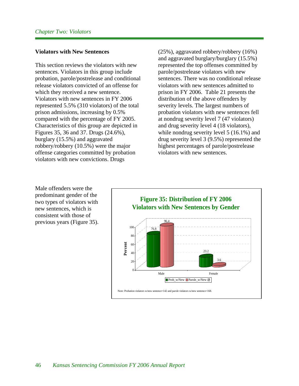#### **Violators with New Sentences**

This section reviews the violators with new sentences. Violators in this group include probation, parole/postrelease and conditional release violators convicted of an offense for which they received a new sentence. Violators with new sentences in FY 2006 represented 5.5% (310 violators) of the total prison admissions, increasing by 0.5% compared with the percentage of FY 2005. Characteristics of this group are depicted in Figures 35, 36 and 37. Drugs (24.6%), burglary (15.5%) and aggravated robbery/robbery (10.5%) were the major offense categories committed by probation violators with new convictions. Drugs

(25%), aggravated robbery/robbery (16%) and aggravated burglary/burglary (15.5%) represented the top offenses committed by parole/postrelease violators with new sentences. There was no conditional release violators with new sentences admitted to prison in FY 2006. Table 21 presents the distribution of the above offenders by severity levels. The largest numbers of probation violators with new sentences fell at nondrug severity level 7 (47 violators) and drug severity level 4 (18 violators), while nondrug severity level 5 (16.1%) and drug severity level 3 (9.5%) represented the highest percentages of parole/postrelease violators with new sentences.

Male offenders were the predominant gender of the two types of violators with new sentences, which is consistent with those of previous years (Figure 35).

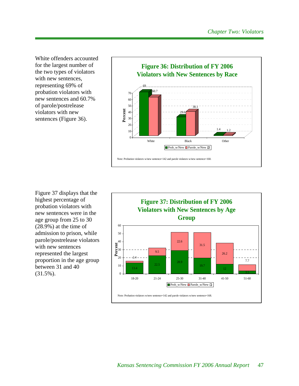White offenders accounted for the largest number of the two types of violators with new sentences, representing 69% of probation violators with new sentences and 60.7% of parole/postrelease violators with new sentences (Figure 36).



Figure 37 displays that the highest percentage of probation violators with new sentences were in the age group from 25 to 30 (28.9%) at the time of admission to prison, while parole/postrelease violators with new sentences represented the largest proportion in the age group between 31 and 40 (31.5%).

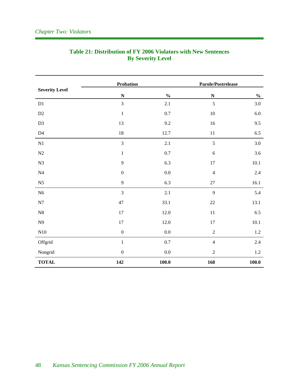# *Chapter Two: Violators*

|                       | Probation        |                                    |                | Parole/Postrelease |
|-----------------------|------------------|------------------------------------|----------------|--------------------|
| <b>Severity Level</b> | $\mathbf N$      | $\mathbf{0}_{\mathbf{0}}^{\prime}$ | $\mathbf N$    | $\frac{0}{0}$      |
| D1                    | $\overline{3}$   | 2.1                                | 5              | $3.0\,$            |
| $\mathbf{D}2$         | $\,1\,$          | $0.7\,$                            | $10\,$         | $6.0\,$            |
| D <sub>3</sub>        | 13               | 9.2                                | 16             | 9.5                |
| D4                    | $18\,$           | 12.7                               | $11\,$         | 6.5                |
| $\mathbf{N}1$         | 3                | 2.1                                | 5              | 3.0                |
| $\rm N2$              | $\mathbf 1$      | $0.7\,$                            | 6              | 3.6                |
| N3                    | 9                | 6.3                                | $17\,$         | $10.1\,$           |
| $\rm N4$              | $\boldsymbol{0}$ | $0.0\,$                            | $\overline{4}$ | $2.4\,$            |
| N <sub>5</sub>        | $\mathbf{9}$     | 6.3                                | $27\,$         | 16.1               |
| N6                    | 3                | $2.1\,$                            | 9              | 5.4                |
| ${\bf N7}$            | 47               | 33.1                               | $22\,$         | 13.1               |
| ${\bf N8}$            | $17\,$           | $12.0\,$                           | $11\,$         | $6.5\,$            |
| N9                    | $17\,$           | $12.0\,$                           | $17\,$         | $10.1\,$           |
| $\rm N10$             | $\boldsymbol{0}$ | $0.0\,$                            | $\sqrt{2}$     | $1.2\,$            |
| Offgrid               | $\mathbf 1$      | $0.7\,$                            | $\overline{4}$ | 2.4                |
| Nongrid               | $\boldsymbol{0}$ | $0.0\,$                            | $\sqrt{2}$     | 1.2                |
| <b>TOTAL</b>          | 142              | $\boldsymbol{100.0}$               | 168            | 100.0              |

# **Table 21: Distribution of FY 2006 Violators with New Sentences By Severity Level**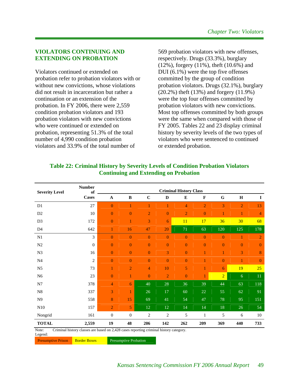#### **VIOLATORS CONTINUING AND EXTENDING ON PROBATION**

Violators continued or extended on probation refer to probation violators with or without new convictions, whose violations did not result in incarceration but rather a continuation or an extension of the probation. In FY 2006, there were 2,559 condition probation violators and 193 probation violators with new convictions who were continued or extended on probation, representing 51.3% of the total number of 4,990 condition probation violators and 33.9% of the total number of

569 probation violators with new offenses, respectively. Drugs (33.3%), burglary (12%), forgery (11%), theft (10.6%) and DUI (6.1%) were the top five offenses committed by the group of condition probation violators. Drugs (32.1%), burglary (20.2%) theft (13%) and forgery (11.9%) were the top four offenses committed by probation violators with new convictions. Most top offenses committed by both groups were the same when compared with those of FY 2005. Tables 22 and 23 display criminal history by severity levels of the two types of violators who were sentenced to continued or extended probation.

| <b>Severity Level</b> | <b>Number</b><br>of                                                                    |                  |                                                                                 |                |                | <b>Criminal History Class</b> |                |                |                |                |
|-----------------------|----------------------------------------------------------------------------------------|------------------|---------------------------------------------------------------------------------|----------------|----------------|-------------------------------|----------------|----------------|----------------|----------------|
|                       | <b>Cases</b>                                                                           | $\mathbf A$      | $\bf{B}$                                                                        | $\mathbf C$    | $\mathbf D$    | E                             | $\mathbf F$    | $\mathbf G$    | $\mathbf H$    | $\bf{I}$       |
| D1                    | 27                                                                                     | $\overline{0}$   | 1                                                                               | 1              | 1              | $\overline{4}$                | $\overline{2}$ | 3              | $\overline{2}$ | 13             |
| D <sub>2</sub>        | 10                                                                                     | $\boldsymbol{0}$ | $\boldsymbol{0}$                                                                | $\overline{2}$ | $\overline{0}$ | $\overline{2}$                | $\mathbf{0}$   | 1              | 1              | 4              |
| D <sub>3</sub>        | 172                                                                                    | $\mathbf{0}$     |                                                                                 | 3              | 6              | 11                            | 17             | 36             | 30             | 68             |
| D <sub>4</sub>        | 642                                                                                    | 1                | 16                                                                              | 47             | 20             | 71                            | 63             | 120            | 125            | 178            |
| N1                    | 3                                                                                      | $\overline{0}$   | $\overline{0}$                                                                  | $\overline{0}$ | $\overline{0}$ | $\overline{0}$                | $\overline{0}$ | $\overline{0}$ | 1              | $\overline{2}$ |
| N2                    | $\mathbf{0}$                                                                           | $\boldsymbol{0}$ | $\mathbf{0}$                                                                    | $\mathbf{0}$   | $\mathbf{0}$   | $\mathbf{0}$                  | $\mathbf{0}$   | $\mathbf{0}$   | $\mathbf{0}$   | $\mathbf{0}$   |
| N3                    | 16                                                                                     | $\overline{0}$   | $\overline{0}$                                                                  | $\mathbf{0}$   | 3              | $\overline{0}$                | 1              | 1              | 3              | 8              |
| N <sub>4</sub>        | $\overline{2}$                                                                         | $\overline{0}$   | $\overline{0}$                                                                  | $\overline{0}$ | $\overline{0}$ | $\overline{0}$                |                | $\overline{0}$ | 1              | $\overline{0}$ |
| N <sub>5</sub>        | 73                                                                                     |                  | $\overline{2}$                                                                  | $\overline{4}$ | 10             | 5                             | 1              | 6              | 19             | 25             |
| N <sub>6</sub>        | 23                                                                                     | $\overline{0}$   |                                                                                 | $\overline{0}$ | $\overline{2}$ | $\overline{0}$                | 1              | $\overline{2}$ | 6              | 11             |
| N7                    | 378                                                                                    | $\overline{4}$   | 6                                                                               | 40             | 28             | 36                            | 39             | 44             | 63             | 118            |
| N8                    | 337                                                                                    | 3                | $\mathbf{1}$                                                                    | 26             | 17             | 60                            | 22             | 55             | 62             | 91             |
| N <sub>9</sub>        | 558                                                                                    | 8                | 15                                                                              | 69             | 41             | 54                            | 47             | 78             | 95             | 151            |
| N10                   | 157                                                                                    | $\overline{2}$   | 5                                                                               | 12             | 12             | 14                            | 14             | 18             | 26             | 54             |
| Nongrid               | 161                                                                                    | $\mathbf{0}$     | $\mathbf{0}$                                                                    | $\overline{c}$ | $\overline{c}$ | 5                             | $\mathbf{1}$   | 5              | 6              | 10             |
| <b>TOTAL</b>          | 2,559                                                                                  | 19               | 48                                                                              | 206            | 142            | 262                           | 209            | 369            | 440            | 733            |
| Note:<br>Legend:      | Criminal history classes are based on 2,428 cases reporting criminal history category. |                  | the contract of the contract of the contract of the contract of the contract of |                |                |                               |                |                |                |                |

# **Table 22: Criminal History by Severity Levels of Condition Probation Violators Continuing and Extending on Probation**

Presumptive Prison Border Boxes Presumptive Probation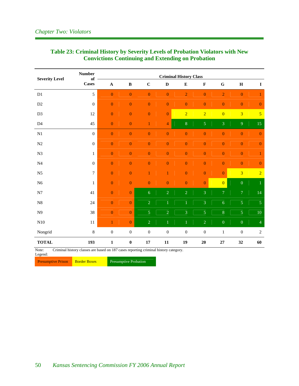| <b>Severity Level</b> | <b>Number</b><br>of                                                                  | <b>Criminal History Class</b> |                  |                  |                  |                  |                  |                  |                  |                  |
|-----------------------|--------------------------------------------------------------------------------------|-------------------------------|------------------|------------------|------------------|------------------|------------------|------------------|------------------|------------------|
|                       | <b>Cases</b>                                                                         | $\mathbf A$                   | $\, {\bf B}$     | $\mathbf C$      | $\mathbf D$      | ${\bf E}$        | $\mathbf F$      | ${\bf G}$        | $\bf H$          | $\mathbf I$      |
| D1                    | 5                                                                                    | $\overline{0}$                | $\mathbf{0}$     | $\mathbf{0}$     | $\mathbf{0}$     | $\overline{2}$   | $\mathbf{0}$     | $\overline{2}$   | $\mathbf{0}$     | 1                |
| D2                    | $\boldsymbol{0}$                                                                     | $\mathbf{0}$                  | $\mathbf{0}$     | $\mathbf{0}$     | $\mathbf{0}$     | $\overline{0}$   | $\mathbf{0}$     | $\mathbf{0}$     | $\mathbf{0}$     | $\boldsymbol{0}$ |
| D <sub>3</sub>        | 12                                                                                   | $\mathbf{0}$                  | $\mathbf{0}$     | $\mathbf{0}$     | $\mathbf{0}$     | $\overline{2}$   | $\overline{2}$   | $\overline{0}$   | $\overline{3}$   | $\overline{5}$   |
| D <sub>4</sub>        | 45                                                                                   | $\boldsymbol{0}$              | $\boldsymbol{0}$ | $\overline{1}$   | $\overline{4}$   | $\bf 8$          | $\overline{5}$   | $\overline{3}$   | 9                | 15               |
| $\mathbf{N}1$         | $\mathbf{0}$                                                                         | $\mathbf{0}$                  | $\boldsymbol{0}$ | $\mathbf{0}$     | $\boldsymbol{0}$ | $\boldsymbol{0}$ | $\boldsymbol{0}$ | $\boldsymbol{0}$ | $\boldsymbol{0}$ | $\boldsymbol{0}$ |
| N2                    | $\boldsymbol{0}$                                                                     | $\mathbf{0}$                  | $\mathbf{0}$     | $\mathbf{0}$     | $\mathbf{0}$     | $\overline{0}$   | $\mathbf{0}$     | $\mathbf{0}$     | $\mathbf{0}$     | $\mathbf{0}$     |
| N3                    | $\mathbf{1}$                                                                         | $\mathbf{0}$                  | $\mathbf{0}$     | $\mathbf{0}$     | $\mathbf{0}$     | $\overline{0}$   | $\mathbf{0}$     | $\mathbf{0}$     | $\mathbf{0}$     | $\mathbf{1}$     |
| N <sub>4</sub>        | $\boldsymbol{0}$                                                                     | $\mathbf{0}$                  | $\mathbf{0}$     | $\mathbf{0}$     | $\mathbf{0}$     | $\overline{0}$   | $\mathbf{0}$     | $\mathbf{0}$     | $\mathbf{0}$     | $\mathbf{0}$     |
| N <sub>5</sub>        | $\boldsymbol{7}$                                                                     | $\boldsymbol{0}$              | $\boldsymbol{0}$ | $\mathbf{1}$     | $\mathbf{1}$     | $\boldsymbol{0}$ | $\boldsymbol{0}$ | $\boldsymbol{0}$ | $\overline{3}$   | $\overline{2}$   |
| N <sub>6</sub>        | $\mathbf{1}$                                                                         | $\mathbf{0}$                  | $\mathbf{0}$     | $\mathbf{0}$     | $\mathbf{0}$     | $\overline{0}$   | $\boldsymbol{0}$ | $\overline{0}$   | $\overline{0}$   | $\mathbf{1}$     |
| ${\bf N7}$            | 41                                                                                   | $\mathbf{0}$                  | $\mathbf{0}$     | 6                | $\overline{2}$   | $\overline{2}$   | $\overline{3}$   | $\overline{7}$   | $\overline{7}$   | 14               |
| ${\bf N}8$            | 24                                                                                   | $\overline{0}$                | $\mathbf{0}$     | $\overline{2}$   | $1\vert$         | $\overline{1}$   | $\overline{3}$   | $\overline{6}$   | $\overline{5}$   | $\overline{5}$   |
| N9                    | 38                                                                                   | $\mathbf{0}$                  | $\mathbf{0}$     | $\overline{5}$   | $\overline{2}$   | $\overline{3}$   | $\overline{5}$   | $\bf 8$          | $\overline{5}$   | $10\,$           |
| N10                   | 11                                                                                   | $\mathbf{1}$                  | $\boldsymbol{0}$ | $\overline{2}$   | $\mathbf{1}$     | $\overline{1}$   | $\overline{2}$   | $\boldsymbol{0}$ | $\boldsymbol{0}$ | $\overline{4}$   |
| Nongrid               | $\,8\,$                                                                              | $\boldsymbol{0}$              | $\boldsymbol{0}$ | $\boldsymbol{0}$ | $\boldsymbol{0}$ | $\boldsymbol{0}$ | $\boldsymbol{0}$ | $\mathbf{1}$     | $\boldsymbol{0}$ | $\sqrt{2}$       |
| <b>TOTAL</b>          | 193                                                                                  | $\mathbf{1}$                  | $\pmb{0}$        | 17               | 11               | 19               | 20               | $\bf 27$         | 32               | 60               |
| Note:                 | Criminal history classes are based on 187 cases reporting criminal history category. |                               |                  |                  |                  |                  |                  |                  |                  |                  |

# **Table 23: Criminal History by Severity Levels of Probation Violators with New Convictions Continuing and Extending on Probation**

Note: Criminal history classes are based on 187 cases reporting criminal history category. Legend:

Presumptive Prison Border Boxes Presumptive Probation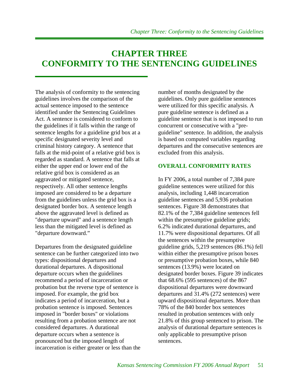# **CHAPTER THREE CONFORMITY TO THE SENTENCING GUIDELINES**

The analysis of conformity to the sentencing guidelines involves the comparison of the actual sentence imposed to the sentence identified under the Sentencing Guidelines Act. A sentence is considered to conform to the guidelines if it falls within the range of sentence lengths for a guideline grid box at a specific designated severity level and criminal history category. A sentence that falls at the mid-point of a relative grid box is regarded as standard. A sentence that falls at either the upper end or lower end of the relative grid box is considered as an aggravated or mitigated sentence, respectively. All other sentence lengths imposed are considered to be a departure from the guidelines unless the grid box is a designated border box. A sentence length above the aggravated level is defined as "departure upward" and a sentence length less than the mitigated level is defined as "departure downward."

Departures from the designated guideline sentence can be further categorized into two types: dispositional departures and durational departures. A dispositional departure occurs when the guidelines recommend a period of incarceration or probation but the reverse type of sentence is imposed. For example, the grid box indicates a period of incarceration, but a probation sentence is imposed. Sentences imposed in "border boxes" or violations resulting from a probation sentence are not considered departures. A durational departure occurs when a sentence is pronounced but the imposed length of incarceration is either greater or less than the number of months designated by the guidelines. Only pure guideline sentences were utilized for this specific analysis. A pure guideline sentence is defined as a guideline sentence that is not imposed to run concurrent or consecutive with a "preguideline" sentence. In addition, the analysis is based on computed variables regarding departures and the consecutive sentences are excluded from this analysis.

# **OVERALL CONFORMITY RATES**

In FY 2006, a total number of 7,384 pure guideline sentences were utilized for this analysis, including 1,448 incarceration guideline sentences and 5,936 probation sentences. Figure 38 demonstrates that 82.1% of the 7,384 guideline sentences fell within the presumptive guideline grids; 6.2% indicated durational departures, and 11.7% were dispositional departures. Of all the sentences within the presumptive guideline grids, 5,219 sentences (86.1%) fell within either the presumptive prison boxes or presumptive probation boxes, while 840 sentences (13.9%) were located on designated border boxes. Figure 39 indicates that 68.6% (595 sentences) of the 867 dispositional departures were downward departures and 31.4% (272 sentences) were upward dispositional departures. More than 78% of the 840 border box sentences resulted in probation sentences with only 21.8% of this group sentenced to prison. The analysis of durational departure sentences is only applicable to presumptive prison sentences.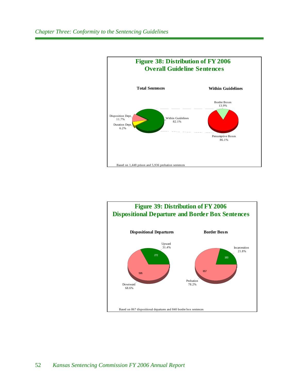

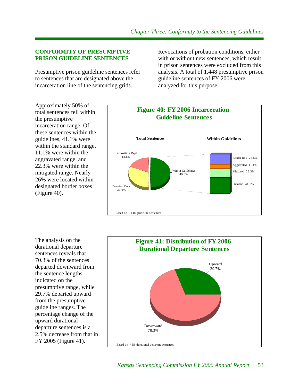#### **CONFORMITY OF PRESUMPTIVE PRISON GUIDELINE SENTENCES**

Presumptive prison guideline sentences refer to sentences that are designated above the incarceration line of the sentencing grids.

Revocations of probation conditions, either with or without new sentences, which result in prison sentences were excluded from this analysis. A total of 1,448 presumptive prison guideline sentences of FY 2006 were analyzed for this purpose.

Approximately 50% of total sentences fell within the presumptive incarceration range. Of these sentences within the guidelines, 41.1% were within the standard range, 11.1% were within the aggravated range, and 22.3% were within the mitigated range. Nearly 26% were located within designated border boxes (Figure 40).



The analysis on the durational departure sentences reveals that 70.3% of the sentences departed downward from the sentence lengths indicated on the presumptive range, while 29.7% departed upward from the presumptive guideline ranges. The percentage change of the upward durational departure sentences is a 2.5% decrease from that in FY 2005 (Figure 41).

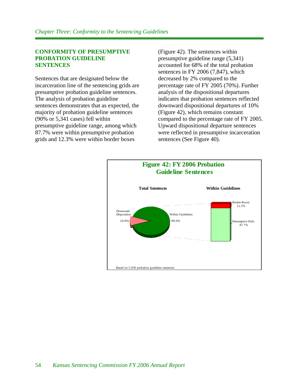#### **CONFORMITY OF PRESUMPTIVE PROBATION GUIDELINE SENTENCES**

Sentences that are designated below the incarceration line of the sentencing grids are presumptive probation guideline sentences. The analysis of probation guideline sentences demonstrates that as expected, the majority of probation guideline sentences (90% or 5,341 cases) fell within presumptive guideline range, among which 87.7% were within presumptive probation grids and 12.3% were within border boxes

(Figure 42). The sentences within presumptive guideline range (5,341) accounted for 68% of the total probation sentences in FY 2006 (7,847), which decreased by 2% compared to the percentage rate of FY 2005 (70%). Further analysis of the dispositional departures indicates that probation sentences reflected downward dispositional departures of 10% (Figure 42), which remains constant compared to the percentage rate of FY 2005. Upward dispositional departure sentences were reflected in presumptive incarceration sentences (See Figure 40).

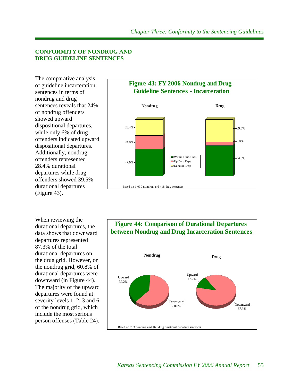#### **CONFORMITY OF NONDRUG AND DRUG GUIDELINE SENTENCES**

The comparative analysis of guideline incarceration sentences in terms of nondrug and drug sentences reveals that 24% of nondrug offenders showed upward dispositional departures, while only 6% of drug offenders indicated upward dispositional departures. Additionally, nondrug offenders represented 28.4% durational departures while drug offenders showed 39.5% durational departures (Figure 43).

When reviewing the durational departures, the data shows that downward departures represented 87.3% of the total durational departures on the drug grid. However, on the nondrug grid, 60.8% of durational departures were downward (in Figure 44). The majority of the upward departures were found at severity levels 1, 2, 3 and 6 of the nondrug grid, which include the most serious person offenses (Table 24).



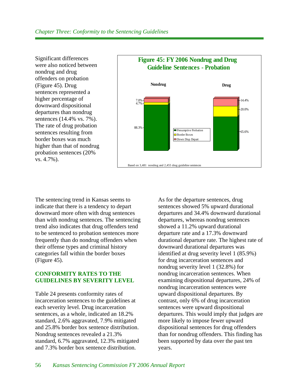Significant differences were also noticed between nondrug and drug offenders on probation (Figure 45). Drug sentences represented a higher percentage of downward dispositional departures than nondrug sentences (14.4% vs. 7%). The rate of drug probation sentences resulting from border boxes was much higher than that of nondrug probation sentences (20% vs. 4.7%).



The sentencing trend in Kansas seems to indicate that there is a tendency to depart downward more often with drug sentences than with nondrug sentences. The sentencing trend also indicates that drug offenders tend to be sentenced to probation sentences more frequently than do nondrug offenders when their offense types and criminal history categories fall within the border boxes (Figure 45).

## **CONFORMITY RATES TO THE GUIDELINES BY SEVERITY LEVEL**

Table 24 presents conformity rates of incarceration sentences to the guidelines at each severity level. Drug incarceration sentences, as a whole, indicated an 18.2% standard, 2.6% aggravated, 7.9% mitigated and 25.8% border box sentence distribution. Nondrug sentences revealed a 21.3% standard, 6.7% aggravated, 12.3% mitigated and 7.3% border box sentence distribution.

As for the departure sentences, drug sentences showed 5% upward durational departures and 34.4% downward durational departures, whereas nondrug sentences showed a 11.2% upward durational departure rate and a 17.3% downward durational departure rate. The highest rate of downward durational departures was identified at drug severity level 1 (85.9%) for drug incarceration sentences and nondrug severity level 1 (32.8%) for nondrug incarceration sentences. When examining dispositional departures, 24% of nondrug incarceration sentences were upward dispositional departures. By contrast, only 6% of drug incarceration sentences were upward dispositional departures. This would imply that judges are more likely to impose fewer upward dispositional sentences for drug offenders than for nondrug offenders. This finding has been supported by data over the past ten years.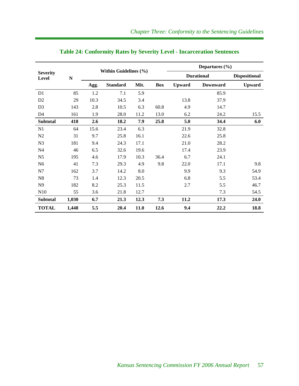|                          |       |      | Within Guidelines (%) |      |            |               | Departures $(\% )$ |                      |
|--------------------------|-------|------|-----------------------|------|------------|---------------|--------------------|----------------------|
| <b>Severity</b><br>Level | N     |      |                       |      |            |               | <b>Durational</b>  | <b>Dispositional</b> |
|                          |       | Agg. | <b>Standard</b>       | Mit. | <b>Box</b> | <b>Upward</b> | <b>Downward</b>    | <b>Upward</b>        |
| D1                       | 85    | 1.2  | 7.1                   | 5.9  |            |               | 85.9               |                      |
| D <sub>2</sub>           | 29    | 10.3 | 34.5                  | 3.4  |            | 13.8          | 37.9               |                      |
| D <sub>3</sub>           | 143   | 2.8  | 10.5                  | 6.3  | 60.8       | 4.9           | 14.7               |                      |
| D <sub>4</sub>           | 161   | 1.9  | 28.0                  | 11.2 | 13.0       | 6.2           | 24.2               | 15.5                 |
| <b>Subtotal</b>          | 418   | 2.6  | 18.2                  | 7.9  | 25.8       | 5.0           | 34.4               | 6.0                  |
| N1                       | 64    | 15.6 | 23.4                  | 6.3  |            | 21.9          | 32.8               |                      |
| N2                       | 31    | 9.7  | 25.8                  | 16.1 |            | 22.6          | 25.8               |                      |
| N <sub>3</sub>           | 181   | 9.4  | 24.3                  | 17.1 |            | 21.0          | 28.2               |                      |
| N <sub>4</sub>           | 46    | 6.5  | 32.6                  | 19.6 |            | 17.4          | 23.9               |                      |
| N <sub>5</sub>           | 195   | 4.6  | 17.9                  | 10.3 | 36.4       | 6.7           | 24.1               |                      |
| N <sub>6</sub>           | 41    | 7.3  | 29.3                  | 4.9  | 9.8        | 22.0          | 17.1               | 9.8                  |
| N7                       | 162   | 3.7  | 14.2                  | 8.0  |            | 9.9           | 9.3                | 54.9                 |
| ${\bf N8}$               | 73    | 1.4  | 12.3                  | 20.5 |            | 6.8           | 5.5                | 53.4                 |
| N9                       | 182   | 8.2  | 25.3                  | 11.5 |            | 2.7           | 5.5                | 46.7                 |
| N10                      | 55    | 3.6  | 21.8                  | 12.7 |            |               | 7.3                | 54.5                 |
| <b>Subtotal</b>          | 1,030 | 6.7  | 21.3                  | 12.3 | 7.3        | 11.2          | 17.3               | 24.0                 |
| <b>TOTAL</b>             | 1,448 | 5.5  | 20.4                  | 11.0 | 12.6       | 9.4           | 22.2               | 18.8                 |

# **Table 24: Conformity Rates by Severity Level - Incarceration Sentences**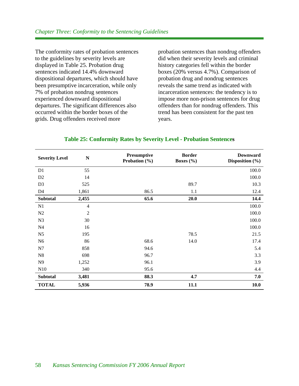The conformity rates of probation sentences to the guidelines by severity levels are displayed in Table 25. Probation drug sentences indicated 14.4% downward dispositional departures, which should have been presumptive incarceration, while only 7% of probation nondrug sentences experienced downward dispositional departures. The significant differences also occurred within the border boxes of the grids. Drug offenders received more

probation sentences than nondrug offenders did when their severity levels and criminal history categories fell within the border boxes (20% versus 4.7%). Comparison of probation drug and nondrug sentences reveals the same trend as indicated with incarceration sentences: the tendency is to impose more non-prison sentences for drug offenders than for nondrug offenders. This trend has been consistent for the past ten years.

| <b>Severity Level</b> | $\overline{\bf N}$ | <b>Presumptive</b><br>Probation $(\% )$ | <b>Border</b><br>Boxes $(\% )$ | <b>Downward</b><br>Disposition (%) |
|-----------------------|--------------------|-----------------------------------------|--------------------------------|------------------------------------|
| D1                    | 55                 |                                         |                                | 100.0                              |
| D <sub>2</sub>        | 14                 |                                         |                                | 100.0                              |
| D <sub>3</sub>        | 525                |                                         | 89.7                           | 10.3                               |
| D <sub>4</sub>        | 1,861              | 86.5                                    | 1.1                            | 12.4                               |
| <b>Subtotal</b>       | 2,455              | 65.6                                    | 20.0                           | 14.4                               |
| N1                    | $\overline{4}$     |                                         |                                | 100.0                              |
| N2                    | $\overline{c}$     |                                         |                                | 100.0                              |
| N <sub>3</sub>        | 30                 |                                         |                                | 100.0                              |
| N <sub>4</sub>        | 16                 |                                         |                                | 100.0                              |
| N <sub>5</sub>        | 195                |                                         | 78.5                           | 21.5                               |
| N <sub>6</sub>        | 86                 | 68.6                                    | 14.0                           | 17.4                               |
| N7                    | 858                | 94.6                                    |                                | 5.4                                |
| N8                    | 698                | 96.7                                    |                                | 3.3                                |
| N <sub>9</sub>        | 1,252              | 96.1                                    |                                | 3.9                                |
| N10                   | 340                | 95.6                                    |                                | 4.4                                |
| <b>Subtotal</b>       | 3,481              | 88.3                                    | 4.7                            | 7.0                                |
| <b>TOTAL</b>          | 5,936              | 78.9                                    | 11.1                           | 10.0                               |

#### **Table 25: Conformity Rates by Severity Level - Probation Sentences**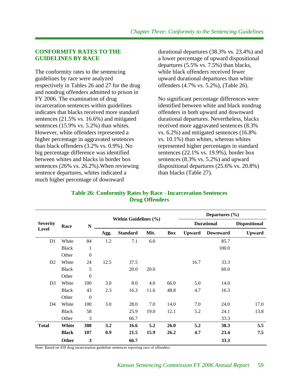#### **CONFORMITY RATES TO THE GUIDELINES BY RACE**

The conformity rates to the sentencing guidelines by race were analyzed respectively in Tables 26 and 27 for the drug and nondrug offenders admitted to prison in FY 2006. The examination of drug incarceration sentences within guidelines indicates that blacks received more standard sentences (21.5% vs. 16.6%) and mitigated sentences (15.9% vs. 5.2%) than whites. However, white offenders represented a higher percentage in aggravated sentences than black offenders (3.2% vs. 0.9%). No big percentage difference was identified between whites and blacks in border box sentences (26% vs. 26.2%).When reviewing sentence departures, whites indicated a much higher percentage of downward

durational departures (38.3% vs. 23.4%) and a lower percentage of upward dispositional departures (5.5% vs. 7.5%) than blacks, while black offenders received fewer upward durational departures than white offenders (4.7% vs. 5.2%), (Table 26).

No significant percentage differences were identified between white and black nondrug offenders in both upward and downward durational departures. Nevertheless, blacks received more aggravated sentences (8.3% vs. 6.2%) and mitigated sentences (16.8% vs. 10.1%) than whites, whereas whites represented higher percentages in standard sentences (22.1% vs. 19.9%), border box sentences (8.3% vs. 5.2%) and upward dispositional departures (25.6% vs. 20.8%) than blacks (Table 27).

|                 |              |                  | Within Guidelines (%) |                 |      |      | Departures $(\% )$ |                 |                      |  |
|-----------------|--------------|------------------|-----------------------|-----------------|------|------|--------------------|-----------------|----------------------|--|
| <b>Severity</b> | Race         | N                |                       |                 |      |      | <b>Durational</b>  |                 | <b>Dispositional</b> |  |
| Level           |              |                  | Agg.                  | <b>Standard</b> | Mit. | Box  | <b>Upward</b>      | <b>Downward</b> | <b>Upward</b>        |  |
| D1              | White        | 84               | 1.2                   | 7.1             | 6.0  |      |                    | 85.7            |                      |  |
|                 | <b>Black</b> | 1                |                       |                 |      |      |                    | 100.0           |                      |  |
|                 | Other        | $\boldsymbol{0}$ |                       |                 |      |      |                    |                 |                      |  |
| D2              | White        | 24               | 12.5                  | 37.5            |      |      | 16.7               | 33.3            |                      |  |
|                 | <b>Black</b> | 5                |                       | 20.0            | 20.0 |      |                    | 60.0            |                      |  |
|                 | Other        | $\boldsymbol{0}$ |                       |                 |      |      |                    |                 |                      |  |
| D <sub>3</sub>  | White        | 100              | 3.0                   | 8.0             | 4.0  | 66.0 | 5.0                | 14.0            |                      |  |
|                 | <b>Black</b> | 43               | 2.3                   | 16.3            | 11.6 | 48.8 | 4.7                | 16.3            |                      |  |
|                 | Other        | $\boldsymbol{0}$ |                       |                 |      |      |                    |                 |                      |  |
| D <sub>4</sub>  | White        | 100              | 3.0                   | 28.0            | 7.0  | 14.0 | 7.0                | 24.0            | 17.0                 |  |
|                 | <b>Black</b> | 58               |                       | 25.9            | 19.0 | 12.1 | 5.2                | 24.1            | 13.8                 |  |
|                 | Other        | 3                |                       | 66.7            |      |      |                    | 33.3            |                      |  |
| <b>Total</b>    | White        | 308              | 3.2                   | 16.6            | 5.2  | 26.0 | 5.2                | 38.3            | 5.5                  |  |
|                 | <b>Black</b> | 107              | 0.9                   | 21.5            | 15.9 | 26.2 | 4.7                | 23.4            | 7.5                  |  |
|                 | Other        | 3                |                       | 66.7            |      |      |                    | 33.3            |                      |  |

#### **Table 26: Conformity Rates by Race - Incarceration Sentences Drug Offenders**

Note: Based on 418 drug incarceration guideline sentences reporting race of offenders.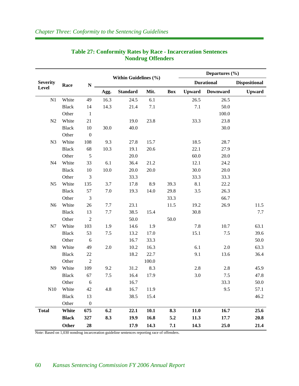|                 |              |                  | Within Guidelines (%) |                 |       |            | Departures $(\% )$ |                   |                      |  |
|-----------------|--------------|------------------|-----------------------|-----------------|-------|------------|--------------------|-------------------|----------------------|--|
| <b>Severity</b> | Race         | ${\bf N}$        |                       |                 |       |            |                    | <b>Durational</b> | <b>Dispositional</b> |  |
| Level           |              |                  | Agg.                  | <b>Standard</b> | Mit.  | <b>Box</b> | <b>Upward</b>      | <b>Downward</b>   | <b>Upward</b>        |  |
| N1              | White        | 49               | 16.3                  | 24.5            | 6.1   |            | 26.5               | 26.5              |                      |  |
|                 | <b>Black</b> | 14               | 14.3                  | 21.4            | 7.1   |            | 7.1                | 50.0              |                      |  |
|                 | Other        | $\mathbf{1}$     |                       |                 |       |            |                    | 100.0             |                      |  |
| N2              | White        | 21               |                       | 19.0            | 23.8  |            | 33.3               | 23.8              |                      |  |
|                 | <b>Black</b> | 10               | 30.0                  | 40.0            |       |            |                    | 30.0              |                      |  |
|                 | Other        | $\boldsymbol{0}$ |                       |                 |       |            |                    |                   |                      |  |
| N <sub>3</sub>  | White        | 108              | 9.3                   | 27.8            | 15.7  |            | 18.5               | 28.7              |                      |  |
|                 | <b>Black</b> | 68               | 10.3                  | 19.1            | 20.6  |            | 22.1               | 27.9              |                      |  |
|                 | Other        | $\mathfrak{S}$   |                       | 20.0            |       |            | 60.0               | 20.0              |                      |  |
| N <sub>4</sub>  | White        | 33               | 6.1                   | 36.4            | 21.2  |            | 12.1               | 24.2              |                      |  |
|                 | <b>Black</b> | 10               | 10.0                  | 20.0            | 20.0  |            | 30.0               | 20.0              |                      |  |
|                 | Other        | $\mathfrak{Z}$   |                       | 33.3            |       |            | 33.3               | 33.3              |                      |  |
| N <sub>5</sub>  | White        | 135              | 3.7                   | 17.8            | 8.9   | 39.3       | 8.1                | 22.2              |                      |  |
|                 | <b>Black</b> | 57               | 7.0                   | 19.3            | 14.0  | 29.8       | 3.5                | 26.3              |                      |  |
|                 | Other        | $\mathfrak{Z}$   |                       |                 |       | 33.3       |                    | 66.7              |                      |  |
| N <sub>6</sub>  | White        | 26               | 7.7                   | 23.1            |       | 11.5       | 19.2               | 26.9              | 11.5                 |  |
|                 | <b>Black</b> | 13               | 7.7                   | 38.5            | 15.4  |            | 30.8               |                   | 7.7                  |  |
|                 | Other        | $\overline{2}$   |                       | 50.0            |       | 50.0       |                    |                   |                      |  |
| N7              | White        | 103              | 1.9                   | 14.6            | 1.9   |            | 7.8                | 10.7              | 63.1                 |  |
|                 | <b>Black</b> | 53               | 7.5                   | 13.2            | 17.0  |            | 15.1               | 7.5               | 39.6                 |  |
|                 | Other        | 6                |                       | 16.7            | 33.3  |            |                    |                   | 50.0                 |  |
| N8              | White        | 49               | 2.0                   | 10.2            | 16.3  |            | 6.1                | 2.0               | 63.3                 |  |
|                 | <b>Black</b> | 22               |                       | 18.2            | 22.7  |            | 9.1                | 13.6              | 36.4                 |  |
|                 | Other        | $\overline{2}$   |                       |                 | 100.0 |            |                    |                   |                      |  |
| N9              | White        | 109              | 9.2                   | 31.2            | 8.3   |            | 2.8                | 2.8               | 45.9                 |  |
|                 | <b>Black</b> | 67               | 7.5                   | 16.4            | 17.9  |            | 3.0                | 7.5               | 47.8                 |  |
|                 | Other        | 6                |                       | 16.7            |       |            |                    | 33.3              | 50.0                 |  |
| N10             | White        | 42               | 4.8                   | 16.7            | 11.9  |            |                    | 9.5               | 57.1                 |  |
|                 | <b>Black</b> | 13               |                       | 38.5            | 15.4  |            |                    |                   | 46.2                 |  |
|                 | Other        | $\boldsymbol{0}$ |                       |                 |       |            |                    |                   |                      |  |
| <b>Total</b>    | White        | 675              | 6.2                   | 22.1            | 10.1  | 8.3        | 11.0               | 16.7              | 25.6                 |  |
|                 | <b>Black</b> | 327              | 8.3                   | 19.9            | 16.8  | 5.2        | 11.3               | 17.7              | 20.8                 |  |
|                 | Other        | 28               |                       | 17.9            | 14.3  | 7.1        | 14.3               | 25.0              | 21.4                 |  |

# **Table 27: Conformity Rates by Race - Incarceration Sentences Nondrug Offenders**

Note: Based on 1,030 nondrug incarceration guideline sentences reporting race of offenders.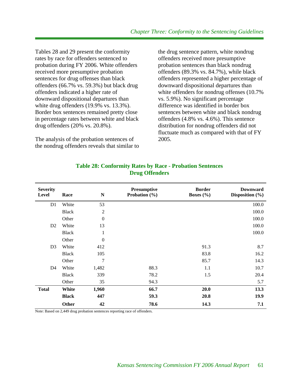Tables 28 and 29 present the conformity rates by race for offenders sentenced to probation during FY 2006. White offenders received more presumptive probation sentences for drug offenses than black offenders (66.7% vs. 59.3%) but black drug offenders indicated a higher rate of downward dispositional departures than white drug offenders (19.9% vs. 13.3%). Border box sentences remained pretty close in percentage rates between white and black drug offenders (20% vs. 20.8%).

The analysis of the probation sentences of the nondrug offenders reveals that similar to the drug sentence pattern, white nondrug offenders received more presumptive probation sentences than black nondrug offenders (89.3% vs. 84.7%), while black offenders represented a higher percentage of downward dispositional departures than white offenders for nondrug offenses (10.7% vs. 5.9%). No significant percentage difference was identified in border box sentences between white and black nondrug offenders (4.8% vs. 4.6%). This sentence distribution for nondrug offenders did not fluctuate much as compared with that of FY 2005.

| <b>Severity</b><br>Level | Race         | N                | Presumptive<br>Probation $(\% )$ | <b>Border</b><br>Boxes $(\% )$ | <b>Downward</b><br>Disposition $(\% )$ |
|--------------------------|--------------|------------------|----------------------------------|--------------------------------|----------------------------------------|
| D <sub>1</sub>           | White        | 53               |                                  |                                | 100.0                                  |
|                          | <b>Black</b> | $\overline{2}$   |                                  |                                | 100.0                                  |
|                          | Other        | $\boldsymbol{0}$ |                                  |                                | 100.0                                  |
| D <sub>2</sub>           | White        | 13               |                                  |                                | 100.0                                  |
|                          | <b>Black</b> | $\mathbf{1}$     |                                  |                                | 100.0                                  |
|                          | Other        | $\boldsymbol{0}$ |                                  |                                |                                        |
| D <sub>3</sub>           | White        | 412              |                                  | 91.3                           | 8.7                                    |
|                          | <b>Black</b> | 105              |                                  | 83.8                           | 16.2                                   |
|                          | Other        | 7                |                                  | 85.7                           | 14.3                                   |
| D <sub>4</sub>           | White        | 1,482            | 88.3                             | 1.1                            | 10.7                                   |
|                          | <b>Black</b> | 339              | 78.2                             | 1.5                            | 20.4                                   |
|                          | Other        | 35               | 94.3                             |                                | 5.7                                    |
| <b>Total</b>             | White        | 1,960            | 66.7                             | 20.0                           | 13.3                                   |
|                          | <b>Black</b> | 447              | 59.3                             | 20.8                           | 19.9                                   |
|                          | <b>Other</b> | 42               | 78.6                             | 14.3                           | 7.1                                    |

## **Table 28: Conformity Rates by Race - Probation Sentences Drug Offenders**

Note: Based on 2,449 drug probation sentences reporting race of offenders.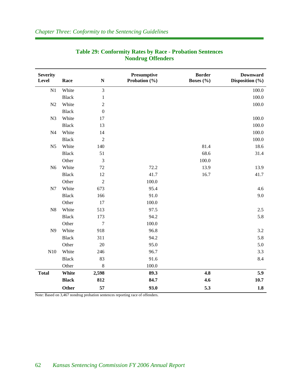| <b>Severity</b><br>Level | Race         | ${\bf N}$        | Presumptive<br>Probation (%) | <b>Border</b><br>Boxes $(\% )$ | <b>Downward</b><br>Disposition (%) |
|--------------------------|--------------|------------------|------------------------------|--------------------------------|------------------------------------|
| N1                       | White        | $\mathfrak{Z}$   |                              |                                | 100.0                              |
|                          | <b>Black</b> | $\mathbf{1}$     |                              |                                | 100.0                              |
| N <sub>2</sub>           | White        | $\overline{c}$   |                              |                                | 100.0                              |
|                          | <b>Black</b> | $\boldsymbol{0}$ |                              |                                |                                    |
| N <sub>3</sub>           | White        | 17               |                              |                                | 100.0                              |
|                          | <b>Black</b> | 13               |                              |                                | 100.0                              |
| N <sub>4</sub>           | White        | 14               |                              |                                | 100.0                              |
|                          | <b>Black</b> | $\overline{2}$   |                              |                                | 100.0                              |
| N <sub>5</sub>           | White        | 140              |                              | 81.4                           | 18.6                               |
|                          | <b>Black</b> | 51               |                              | 68.6                           | 31.4                               |
|                          | Other        | 3                |                              | 100.0                          |                                    |
| N <sub>6</sub>           | White        | 72               | 72.2                         | 13.9                           | 13.9                               |
|                          | <b>Black</b> | 12               | 41.7                         | 16.7                           | 41.7                               |
|                          | Other        | $\overline{c}$   | 100.0                        |                                |                                    |
| N7                       | White        | 673              | 95.4                         |                                | 4.6                                |
|                          | <b>Black</b> | 166              | 91.0                         |                                | 9.0                                |
|                          | Other        | 17               | 100.0                        |                                |                                    |
| N8                       | White        | 513              | 97.5                         |                                | 2.5                                |
|                          | <b>Black</b> | 173              | 94.2                         |                                | 5.8                                |
|                          | Other        | $\overline{7}$   | 100.0                        |                                |                                    |
| N <sub>9</sub>           | White        | 918              | 96.8                         |                                | 3.2                                |
|                          | <b>Black</b> | 311              | 94.2                         |                                | 5.8                                |
|                          | Other        | 20               | 95.0                         |                                | 5.0                                |
| N10                      | White        | 246              | 96.7                         |                                | 3.3                                |
|                          | <b>Black</b> | 83               | 91.6                         |                                | 8.4                                |
|                          | Other        | $\,8\,$          | 100.0                        |                                |                                    |
| <b>Total</b>             | White        | 2,598            | 89.3                         | 4.8                            | 5.9                                |
|                          | <b>Black</b> | 812              | 84.7                         | 4.6                            | 10.7                               |
|                          | Other        | 57               | 93.0                         | 5.3                            | 1.8                                |

# **Table 29: Conformity Rates by Race - Probation Sentences Nondrug Offenders**

Note: Based on 3,467 nondrug probation sentences reporting race of offenders.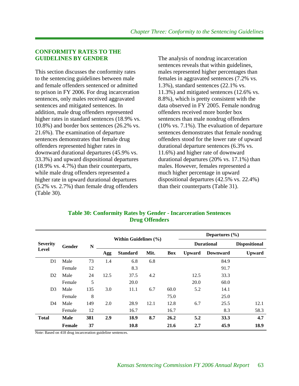#### **CONFORMITY RATES TO THE GUIDELINES BY GENDER**

This section discusses the conformity rates to the sentencing guidelines between male and female offenders sentenced or admitted to prison in FY 2006. For drug incarceration sentences, only males received aggravated sentences and mitigated sentences. In addition, male drug offenders represented higher rates in standard sentences (18.9% vs. 10.8%) and border box sentences (26.2% vs. 21.6%). The examination of departure sentences demonstrates that female drug offenders represented higher rates in downward durational departures (45.9% vs. 33.3%) and upward dispositional departures (18.9% vs. 4.7%) than their counterparts, while male drug offenders represented a higher rate in upward durational departures (5.2% vs. 2.7%) than female drug offenders (Table 30).

The analysis of nondrug incarceration sentences reveals that within guidelines, males represented higher percentages than females in aggravated sentences (7.2% vs. 1.3%), standard sentences (22.1% vs. 11.3%) and mitigated sentences (12.6% vs. 8.8%), which is pretty consistent with the data observed in FY 2005. Female nondrug offenders received more border box sentences than male nondrug offenders (10% vs. 7.1%). The evaluation of departure sentences demonstrates that female nondrug offenders stood for the lower rate of upward durational departure sentences (6.3% vs. 11.6%) and higher rate of downward durational departures (20% vs. 17.1%) than males. However, females represented a much higher percentage in upward dispositional departures (42.5% vs. 22.4%) than their counterparts (Table 31).

|                 |               |     |      | Within Guidelines (%) |      |            | Departures $(\% )$ |                   |               |
|-----------------|---------------|-----|------|-----------------------|------|------------|--------------------|-------------------|---------------|
| <b>Severity</b> | Gender        | N   |      |                       |      |            |                    | <b>Durational</b> |               |
| Level           |               |     | Agg  | <b>Standard</b>       | Mit. | <b>Box</b> | <b>Upward</b>      | <b>Downward</b>   | <b>Upward</b> |
| D <sub>1</sub>  | Male          | 73  | 1.4  | 6.8                   | 6.8  |            |                    | 84.9              |               |
|                 | Female        | 12  |      | 8.3                   |      |            |                    | 91.7              |               |
| D <sub>2</sub>  | Male          | 24  | 12.5 | 37.5                  | 4.2  |            | 12.5               | 33.3              |               |
|                 | Female        | 5   |      | 20.0                  |      |            | 20.0               | 60.0              |               |
| D <sub>3</sub>  | Male          | 135 | 3.0  | 11.1                  | 6.7  | 60.0       | 5.2                | 14.1              |               |
|                 | Female        | 8   |      |                       |      | 75.0       |                    | 25.0              |               |
| D <sub>4</sub>  | Male          | 149 | 2.0  | 28.9                  | 12.1 | 12.8       | 6.7                | 25.5              | 12.1          |
|                 | Female        | 12  |      | 16.7                  |      | 16.7       |                    | 8.3               | 58.3          |
| <b>Total</b>    | <b>Male</b>   | 381 | 2.9  | 18.9                  | 8.7  | 26.2       | 5.2                | 33.3              | 4.7           |
|                 | <b>Female</b> | 37  |      | 10.8                  |      | 21.6       | 2.7                | 45.9              | 18.9          |

**Table 30: Conformity Rates by Gender - Incarceration Sentences Drug Offenders** 

Note: Based on 418 drug incarceration guideline sentences.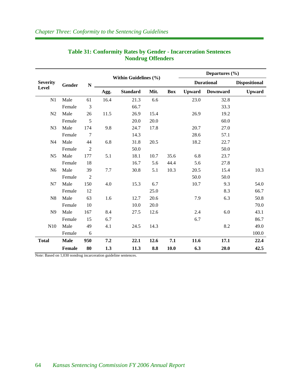|                 |             |                | Within Guidelines (%) |                 |      |           | Departures $(\% )$ |                   |                      |  |
|-----------------|-------------|----------------|-----------------------|-----------------|------|-----------|--------------------|-------------------|----------------------|--|
| <b>Severity</b> | Gender      | ${\bf N}$      |                       |                 |      |           |                    | <b>Durational</b> | <b>Dispositional</b> |  |
| Level           |             |                | Agg.                  | <b>Standard</b> | Mit. | Box       | <b>Upward</b>      | <b>Downward</b>   | <b>Upward</b>        |  |
| N1              | Male        | 61             | 16.4                  | 21.3            | 6.6  |           | 23.0               | 32.8              |                      |  |
|                 | Female      | 3              |                       | 66.7            |      |           |                    | 33.3              |                      |  |
| N2              | Male        | 26             | 11.5                  | 26.9            | 15.4 |           | 26.9               | 19.2              |                      |  |
|                 | Female      | 5              |                       | 20.0            | 20.0 |           |                    | 60.0              |                      |  |
| N <sub>3</sub>  | Male        | 174            | 9.8                   | 24.7            | 17.8 |           | 20.7               | 27.0              |                      |  |
|                 | Female      | 7              |                       | 14.3            |      |           | 28.6               | 57.1              |                      |  |
| N <sub>4</sub>  | Male        | 44             | 6.8                   | 31.8            | 20.5 |           | 18.2               | 22.7              |                      |  |
|                 | Female      | $\overline{2}$ |                       | 50.0            |      |           |                    | 50.0              |                      |  |
| N <sub>5</sub>  | Male        | 177            | 5.1                   | 18.1            | 10.7 | 35.6      | 6.8                | 23.7              |                      |  |
|                 | Female      | 18             |                       | 16.7            | 5.6  | 44.4      | 5.6                | 27.8              |                      |  |
| N <sub>6</sub>  | Male        | 39             | 7.7                   | 30.8            | 5.1  | 10.3      | 20.5               | 15.4              | 10.3                 |  |
|                 | Female      | $\overline{2}$ |                       |                 |      |           | 50.0               | 50.0              |                      |  |
| N7              | Male        | 150            | 4.0                   | 15.3            | 6.7  |           | 10.7               | 9.3               | 54.0                 |  |
|                 | Female      | 12             |                       |                 | 25.0 |           |                    | 8.3               | 66.7                 |  |
| N <sub>8</sub>  | Male        | 63             | 1.6                   | 12.7            | 20.6 |           | 7.9                | 6.3               | 50.8                 |  |
|                 | Female      | 10             |                       | 10.0            | 20.0 |           |                    |                   | 70.0                 |  |
| N <sub>9</sub>  | Male        | 167            | 8.4                   | 27.5            | 12.6 |           | 2.4                | 6.0               | 43.1                 |  |
|                 | Female      | 15             | 6.7                   |                 |      |           | 6.7                |                   | 86.7                 |  |
| N10             | Male        | 49             | 4.1                   | 24.5            | 14.3 |           |                    | 8.2               | 49.0                 |  |
|                 | Female      | 6              |                       |                 |      |           |                    |                   | 100.0                |  |
| <b>Total</b>    | <b>Male</b> | 950            | 7.2                   | 22.1            | 12.6 | $\bf 7.1$ | 11.6               | 17.1              | 22.4                 |  |
|                 | Female      | 80             | 1.3                   | 11.3            | 8.8  | 10.0      | 6.3                | 20.0              | 42.5                 |  |

| <b>Table 31: Conformity Rates by Gender - Incarceration Sentences</b> |
|-----------------------------------------------------------------------|
| <b>Nondrug Offenders</b>                                              |

Note: Based on 1,030 nondrug incarceration guideline sentences.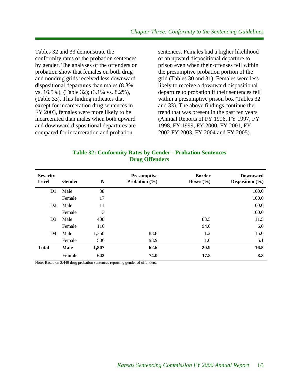Tables 32 and 33 demonstrate the conformity rates of the probation sentences by gender. The analyses of the offenders on probation show that females on both drug and nondrug grids received less downward dispositional departures than males (8.3% vs. 16.5%), (Table 32); (3.1% vs. 8.2%), (Table 33). This finding indicates that except for incarceration drug sentences in FY 2003, females were more likely to be incarcerated than males when both upward and downward dispositional departures are compared for incarceration and probation

sentences. Females had a higher likelihood of an upward dispositional departure to prison even when their offenses fell within the presumptive probation portion of the grid (Tables 30 and 31). Females were less likely to receive a downward dispositional departure to probation if their sentences fell within a presumptive prison box (Tables 32 and 33). The above findings continue the trend that was present in the past ten years (Annual Reports of FY 1996, FY 1997, FY 1998, FY 1999, FY 2000, FY 2001, FY 2002 FY 2003, FY 2004 and FY 2005).

|                       |  |  |  |  | <b>Table 32: Conformity Rates by Gender - Probation Sentences</b> |  |
|-----------------------|--|--|--|--|-------------------------------------------------------------------|--|
| <b>Drug Offenders</b> |  |  |  |  |                                                                   |  |

| <b>Severity</b><br>Level | Gender        | N     | Presumptive<br>Probation $(\% )$ | <b>Border</b><br>Boxes $(\% )$ | <b>Downward</b><br>Disposition $(\% )$ |
|--------------------------|---------------|-------|----------------------------------|--------------------------------|----------------------------------------|
| D1                       | Male          | 38    |                                  |                                | 100.0                                  |
|                          | Female        | 17    |                                  |                                | 100.0                                  |
| D <sub>2</sub>           | Male          | 11    |                                  |                                | 100.0                                  |
|                          | Female        | 3     |                                  |                                | 100.0                                  |
| D <sub>3</sub>           | Male          | 408   |                                  | 88.5                           | 11.5                                   |
|                          | Female        | 116   |                                  | 94.0                           | 6.0                                    |
| D4                       | Male          | 1,350 | 83.8                             | 1.2                            | 15.0                                   |
|                          | Female        | 506   | 93.9                             | 1.0                            | 5.1                                    |
| <b>Total</b>             | <b>Male</b>   | 1,807 | 62.6                             | 20.9                           | 16.5                                   |
|                          | <b>Female</b> | 642   | 74.0                             | 17.8                           | 8.3                                    |

Note: Based on 2,449 drug probation sentences reporting gender of offenders.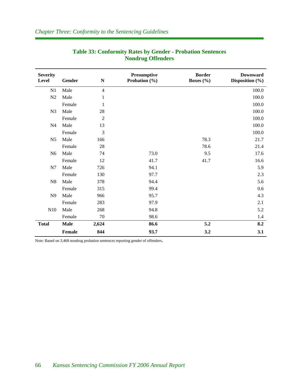| <b>Severity</b><br>Level | Gender      | $\mathbf N$    | Presumptive<br>Probation $(\% )$ | <b>Border</b><br>Boxes (%) | <b>Downward</b><br>Disposition (%) |
|--------------------------|-------------|----------------|----------------------------------|----------------------------|------------------------------------|
| N1                       | Male        | $\overline{4}$ |                                  |                            | 100.0                              |
| N2                       | Male        | $\mathbf{1}$   |                                  |                            | 100.0                              |
|                          | Female      | $\mathbf{1}$   |                                  |                            | 100.0                              |
| N <sub>3</sub>           | Male        | 28             |                                  |                            | 100.0                              |
|                          | Female      | $\overline{c}$ |                                  |                            | 100.0                              |
| N <sub>4</sub>           | Male        | 13             |                                  |                            | 100.0                              |
|                          | Female      | 3              |                                  |                            | 100.0                              |
| N <sub>5</sub>           | Male        | 166            |                                  | 78.3                       | 21.7                               |
|                          | Female      | 28             |                                  | 78.6                       | 21.4                               |
| N <sub>6</sub>           | Male        | 74             | 73.0                             | 9.5                        | 17.6                               |
|                          | Female      | 12             | 41.7                             | 41.7                       | 16.6                               |
| N7                       | Male        | 726            | 94.1                             |                            | 5.9                                |
|                          | Female      | 130            | 97.7                             |                            | 2.3                                |
| N8                       | Male        | 378            | 94.4                             |                            | 5.6                                |
|                          | Female      | 315            | 99.4                             |                            | 0.6                                |
| N9                       | Male        | 966            | 95.7                             |                            | 4.3                                |
|                          | Female      | 283            | 97.9                             |                            | 2.1                                |
| N10                      | Male        | 268            | 94.8                             |                            | 5.2                                |
|                          | Female      | 70             | 98.6                             |                            | 1.4                                |
| <b>Total</b>             | <b>Male</b> | 2,624          | 86.6                             | 5.2                        | 8.2                                |
|                          | Female      | 844            | 93.7                             | 3.2                        | 3.1                                |

# **Table 33: Conformity Rates by Gender - Probation Sentences Nondrug Offenders**

Note: Based on 3,468 nondrug probation sentences reporting gender of offenders.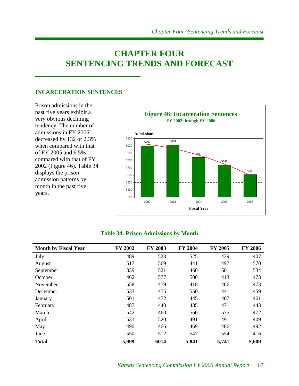# **CHAPTER FOUR SENTENCING TRENDS AND FORECAST**

#### **INCARCERATION SENTENCES**

Prison admissions in the past five years exhibit a very obvious declining tendency. The number of admissions in FY 2006 decreased by 132 or 2.3% when compared with that of FY 2005 and 6.5% compared with that of FY 2002 (Figure 46). Table 34 displays the prison admission patterns by month in the past five years.



#### **Table 34: Prison Admissions by Month**

| <b>Month by Fiscal Year</b> | <b>FY 2002</b> | <b>FY 2003</b> | <b>FY 2004</b> | <b>FY 2005</b> | <b>FY 2006</b> |
|-----------------------------|----------------|----------------|----------------|----------------|----------------|
| July                        | 489            | 523            | 525            | 439            | 407            |
| August                      | 517            | 569            | 441            | 497            | 570            |
| September                   | 339            | 521            | 460            | 501            | 534            |
| October                     | 462            | 577            | 500            | 413            | 473            |
| November                    | 558            | 479            | 418            | 466            | 473            |
| December                    | 533            | 475            | 550            | 441            | 459            |
| January                     | 501            | 472            | 445            | 407            | 461            |
| February                    | 487            | 440            | 435            | 471            | 443            |
| March                       | 542            | 460            | 560            | 575            | 472            |
| April                       | 531            | 520            | 491            | 491            | 409            |
| May                         | 490            | 466            | 469            | 486            | 492            |
| June                        | 550            | 512            | 547            | 554            | 416            |
| <b>Total</b>                | 5,999          | 6014           | 5,841          | 5,741          | 5,609          |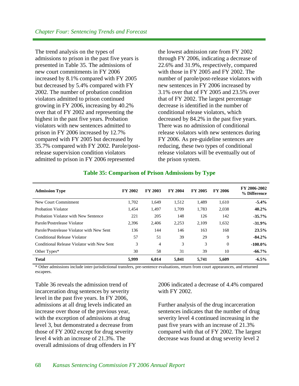The trend analysis on the types of admissions to prison in the past five years is presented in Table 35. The admissions of new court commitments in FY 2006 increased by 8.1% compared with FY 2005 but decreased by 5.4% compared with FY 2002. The number of probation condition violators admitted to prison continued growing in FY 2006, increasing by 40.2% over that of FY 2002 and representing the highest in the past five years. Probation violators with new sentences admitted to prison in FY 2006 increased by 12.7% compared with FY 2005 but decreased by 35.7% compared with FY 2002. Parole/postrelease supervision condition violators admitted to prison in FY 2006 represented

the lowest admission rate from FY 2002 through FY 2006, indicating a decrease of 22.6% and 31.9%, respectively, compared with those in FY 2005 and FY 2002. The number of parole/post-release violators with new sentences in FY 2006 increased by 3.1% over that of FY 2005 and 23.5% over that of FY 2002. The largest percentage decrease is identified in the number of conditional release violators, which decreased by 84.2% in the past five years. There was no admission of conditional release violators with new sentences during FY 2006. As pre-guideline sentences are reducing, these two types of conditional release violators will be eventually out of the prison system.

| <b>Admission Type</b>                      | <b>FY 2002</b> | <b>FY 2003</b> | <b>FY 2004</b> | <b>FY 2005</b> | <b>FY 2006</b> | FY 2006-2002<br>% Difference |
|--------------------------------------------|----------------|----------------|----------------|----------------|----------------|------------------------------|
| New Court Commitment                       | 1.702          | 1,649          | 1,512          | 1,489          | 1,610          | $-5.4\%$                     |
| Probation Violator                         | 1.454          | 1,497          | 1.709          | 1,783          | 2,038          | 40.2%                        |
| Probation Violator with New Sentence       | 221            | 205            | 148            | 126            | 142            | $-35.7\%$                    |
| Parole/Postrelease Violator                | 2.396          | 2.406          | 2,253          | 2,109          | 1,632          | $-31.9%$                     |
| Parole/Postrelease Violator with New Sent  | 136            | 144            | 146            | 163            | 168            | 23.5%                        |
| Conditional Release Violator               | 57             | 51             | 39             | 29             | 9              | $-84.2\%$                    |
| Conditional Release Violator with New Sent | 3              | 4              | 3              | 3              | $\mathbf{0}$   | $-100.0\%$                   |
| Other Types*                               | 30             | 58             | 31             | 39             | 10             | $-66.7\%$                    |
| <b>Total</b>                               | 5,999          | 6.014          | 5.841          | 5.741          | 5,609          | $-6.5\%$                     |

#### **Table 35: Comparison of Prison Admissions by Type**

\* Other admissions include inter-jurisdictional transfers, pre-sentence evaluations, return from court appearances, and returned escapees.

Table 36 reveals the admission trend of incarceration drug sentences by severity level in the past five years. In FY 2006, admissions at all drug levels indicated an increase over those of the previous year, with the exception of admissions at drug level 3, but demonstrated a decrease from those of FY 2002 except for drug severity level 4 with an increase of 21.3%. The overall admissions of drug offenders in FY 2006 indicated a decrease of 4.4% compared with FY 2002.

Further analysis of the drug incarceration sentences indicates that the number of drug severity level 4 continued increasing in the past five years with an increase of 21.3% compared with that of FY 2002. The largest decrease was found at drug severity level 2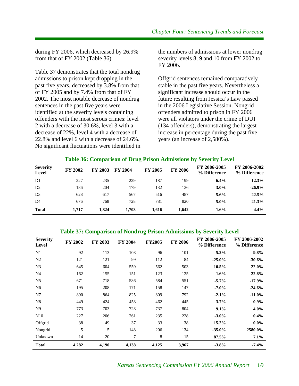during FY 2006, which decreased by 26.9% from that of FY 2002 (Table 36).

Table 37 demonstrates that the total nondrug admissions to prison kept dropping in the past five years, decreased by 3.8% from that of FY 2005 and by 7.4% from that of FY 2002. The most notable decrease of nondrug sentences in the past five years were identified at the severity levels containing offenders with the most serous crimes: level 2 with a decrease of 30.6%, level 3 with a decrease of 22%, level 4 with a decrease of 22.8% and level 6 with a decrease of 24.6%. No significant fluctuations were identified in

the numbers of admissions at lower nondrug severity levels 8, 9 and 10 from FY 2002 to FY 2006.

Offgrid sentences remained comparatively stable in the past five years. Nevertheless a significant increase should occur in the future resulting from Jessica's Law passed in the 2006 Legislative Session. Nongrid offenders admitted to prison in FY 2006 were all violators under the crime of DUI (134 offenders), demonstrating the largest increase in percentage during the past five years (an increase of 2,580%).

| <b>Table 36: Comparison of Drug Prison Admissions by Severity Level</b> |  |  |  |
|-------------------------------------------------------------------------|--|--|--|

| <b>Severity</b><br>Level | <b>FY 2002</b> | <b>FY 2003</b> | <b>FY 2004</b> | <b>FY 2005</b> | <b>FY 2006</b> | FY 2006-2005<br>% Difference | FY 2006-2002<br>% Difference |
|--------------------------|----------------|----------------|----------------|----------------|----------------|------------------------------|------------------------------|
| D1                       | 227            | 235            | 229            | 187            | 199            | 6.4%                         | $-12.3%$                     |
| D2                       | 186            | 204            | 179            | 132            | 136            | 3.0%                         | $-26.9%$                     |
| D <sub>3</sub>           | 628            | 617            | 567            | 516            | 487            | $-5.6\%$                     | $-22.5%$                     |
| D <sub>4</sub>           | 676            | 768            | 728            | 781            | 820            | $5.0\%$                      | 21.3%                        |
| <b>Total</b>             | 1.717          | 1.824          | 1,703          | 1,616          | 1,642          | $1.6\%$                      | $-4.4%$                      |

#### **Table 37: Comparison of Nondrug Prison Admissions by Severity Level**

| <b>Severity</b><br><b>Level</b> | <b>FY 2002</b> | FY 2003 | FY 2004 | <b>FY2005</b> | <b>FY 2006</b> | FY 2006-2005<br>% Difference | FY 2006-2002<br>% Difference |
|---------------------------------|----------------|---------|---------|---------------|----------------|------------------------------|------------------------------|
| N1                              | 92             | 113     | 108     | 96            | 101            | 5.2%                         | 9.8%                         |
| N <sub>2</sub>                  | 121            | 121     | 99      | 112           | 84             | $-25.0%$                     | $-30.6%$                     |
| N <sub>3</sub>                  | 645            | 604     | 559     | 562           | 503            | $-10.5%$                     | $-22.0%$                     |
| N <sub>4</sub>                  | 162            | 155     | 151     | 123           | 125            | $1.6\%$                      | $-22.8%$                     |
| N <sub>5</sub>                  | 671            | 718     | 586     | 584           | 551            | $-5.7\%$                     | $-17.9%$                     |
| N <sub>6</sub>                  | 195            | 208     | 171     | 158           | 147            | $-7.0%$                      | $-24.6%$                     |
| N7                              | 890            | 864     | 825     | 809           | 792            | $-2.1%$                      | $-11.0\%$                    |
| N8                              | 449            | 424     | 458     | 462           | 445            | $-3.7%$                      | $-0.9\%$                     |
| N <sub>9</sub>                  | 773            | 703     | 728     | 737           | 804            | 9.1%                         | $4.0\%$                      |
| N10                             | 227            | 206     | 261     | 235           | 228            | $-3.0\%$                     | $0.4\%$                      |
| Offgrid                         | 38             | 49      | 37      | 33            | 38             | 15.2%                        | $0.0\%$                      |
| Nongrid                         | 5              | 5       | 148     | 206           | 134            | $-35.0%$                     | 2580.0%                      |
| Unknown                         | 14             | 20      | 7       | 8             | 15             | 87.5%                        | 7.1%                         |
| <b>Total</b>                    | 4,282          | 4,190   | 4,138   | 4,125         | 3,967          | $-3.8%$                      | $-7.4%$                      |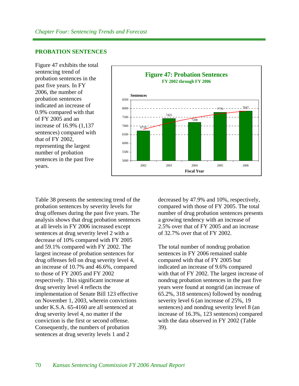#### **PROBATION SENTENCES**

Figure 47 exhibits the total sentencing trend of probation sentences in the past five years. In FY 2006, the number of probation sentences indicated an increase of 0.9% compared with that of FY 2005 and an increase of 16.9% (1,137 sentences) compared with that of FY 2002, representing the largest number of probation sentences in the past five years.



Table 38 presents the sentencing trend of the probation sentences by severity levels for drug offenses during the past five years. The analysis shows that drug probation sentences at all levels in FY 2006 increased except sentences at drug severity level 2 with a decrease of 10% compared with FY 2005 and 59.1% compared with FY 2002. The largest increase of probation sentences for drug offenses fell on drug severity level 4, an increase of 10.7% and 46.6%, compared to those of FY 2005 and FY 2002 respectively. This significant increase at drug severity level 4 reflects the implementation of Senate Bill 123 effective on November 1, 2003, wherein convictions under K.S.A. 65-4160 are all sentenced at drug severity level 4, no matter if the conviction is the first or second offense. Consequently, the numbers of probation sentences at drug severity levels 1 and 2

decreased by 47.9% and 10%, respectively, compared with those of FY 2005. The total number of drug probation sentences presents a growing tendency with an increase of 2.5% over that of FY 2005 and an increase of 32.7% over that of FY 2002.

The total number of nondrug probation sentences in FY 2006 remained stable compared with that of FY 2005 but indicated an increase of 9.6% compared with that of FY 2002. The largest increase of nondrug probation sentences in the past five years were found at nongrid (an increase of 65.2%, 318 sentences) followed by nondrug severity level 6 (an increase of 25%, 19 sentences) and nondrug severity level 8 (an increase of 16.3%, 123 sentences) compared with the data observed in FY 2002 (Table 39).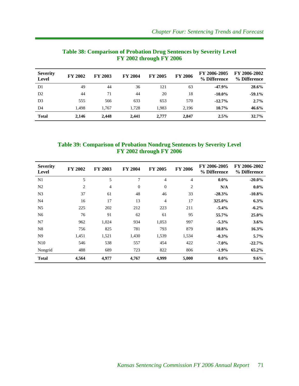| <b>Severity</b><br><b>Level</b> | <b>FY 2002</b> | <b>FY 2003</b> | <b>FY 2004</b> | <b>FY 2005</b> | <b>FY 2006</b> | FY 2006-2005<br>% Difference | FY 2006-2002<br>% Difference |
|---------------------------------|----------------|----------------|----------------|----------------|----------------|------------------------------|------------------------------|
| D <sub>1</sub>                  | 49             | 44             | 36             | 121            | 63             | $-47.9%$                     | 28.6%                        |
| D <sub>2</sub>                  | 44             | 71             | 44             | 20             | 18             | $-10.0\%$                    | $-59.1%$                     |
| D3                              | 555            | 566            | 633            | 653            | 570            | $-12.7%$                     | 2.7%                         |
| D4                              | 1.498          | 1.767          | 1.728          | 1.983          | 2.196          | 10.7%                        | 46.6%                        |
| <b>Total</b>                    | 2,146          | 2,448          | 2,441          | 2,777          | 2,847          | 2.5%                         | 32.7%                        |

# **Table 38: Comparison of Probation Drug Sentences by Severity Level FY 2002 through FY 2006**

#### **Table 39: Comparison of Probation Nondrug Sentences by Severity Level FY 2002 through FY 2006**

| <b>Severity</b><br><b>Level</b> | <b>FY 2002</b> | <b>FY 2003</b> | <b>FY 2004</b> | <b>FY 2005</b> | <b>FY 2006</b> | FY 2006-2005<br>% Difference | FY 2006-2002<br>% Difference |
|---------------------------------|----------------|----------------|----------------|----------------|----------------|------------------------------|------------------------------|
| N1                              | 5              | 5              | $\overline{7}$ | $\overline{4}$ | $\overline{4}$ | $0.0\%$                      | $-20.0\%$                    |
| N <sub>2</sub>                  | 2              | $\overline{4}$ | $\Omega$       | $\mathbf{0}$   | 2              | N/A                          | $0.0\%$                      |
| N <sub>3</sub>                  | 37             | 61             | 48             | 46             | 33             | $-28.3%$                     | $-10.8%$                     |
| N <sub>4</sub>                  | 16             | 17             | 13             | $\overline{4}$ | 17             | 325.0%                       | 6.3%                         |
| N <sub>5</sub>                  | 225            | 202            | 212            | 223            | 211            | $-5.4%$                      | $-6.2%$                      |
| N <sub>6</sub>                  | 76             | 91             | 62             | 61             | 95             | 55.7%                        | 25.0%                        |
| N7                              | 962            | 1,024          | 934            | 1,053          | 997            | $-5.3%$                      | 3.6%                         |
| N <sub>8</sub>                  | 756            | 825            | 781            | 793            | 879            | 10.8%                        | 16.3%                        |
| N <sub>9</sub>                  | 1,451          | 1,521          | 1,430          | 1,539          | 1,534          | $-0.3%$                      | 5.7%                         |
| N10                             | 546            | 538            | 557            | 454            | 422            | $-7.0\%$                     | $-22.7%$                     |
| Nongrid                         | 488            | 689            | 723            | 822            | 806            | $-1.9%$                      | 65.2%                        |
| <b>Total</b>                    | 4,564          | 4,977          | 4,767          | 4,999          | 5,000          | $0.0\%$                      | 9.6%                         |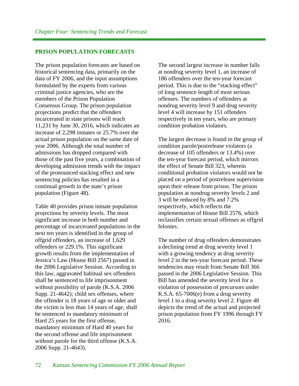#### **PRISON POPULATION FORECASTS**

The prison population forecasts are based on historical sentencing data, primarily on the data of FY 2006, and the input assumptions formulated by the experts from various criminal justice agencies, who are the members of the Prison Population Consensus Group. The prison population projections predict that the offenders incarcerated in state prisons will reach 11,231 by June 30, 2016, which indicates an increase of 2,298 inmates or 25.7% over the actual prison population on the same date of year 2006. Although the total number of admissions has dropped compared with those of the past five years, a combination of developing admission trends with the impact of the pronounced stacking effect and new sentencing policies has resulted in a continual growth in the state's prison population (Figure 48).

Table 40 provides prison inmate population projections by severity levels. The most significant increase in both number and percentage of incarcerated populations in the next ten years is identified in the group of offgrid offenders, an increase of 1,629 offenders or 229.1%. This significant growth results from the implementation of Jessica's Law (House Bill 2567) passed in the 2006 Legislative Session. According to this law, aggravated habitual sex offenders shall be sentenced to life imprisonment without possibility of parole (K.S.A. 2006 Supp. 21-4642); child sex offenses, where the offender is 18 years of age or older and the victim is less than 14 years of age, shall be sentenced to mandatory minimum of Hard 25 years for the first offense, mandatory minimum of Hard 40 years for the second offense and life imprisonment without parole for the third offense (K.S.A. 2006 Supp. 21-4643).

The second largest increase in number falls at nondrug severity level 1, an increase of 186 offenders over the ten-year forecast period. This is due to the "stacking effect" of long sentence length of most serious offenses. The numbers of offenders at nondrug severity level 9 and drug severity level 4 will increase by 151 offenders respectively in ten years, who are primary condition probation violators.

The largest decrease is found in the group of condition parole/postrelease violators (a decrease of 105 offenders or 13.4%) over the ten-year forecast period, which mirrors the effect of Senate Bill 323, wherein conditional probation violators would not be placed on a period of postrelease supervision upon their release from prison. The prison population at nondrug severity levels 2 and 3 will be reduced by 8% and 7.2% respectively, which reflects the implementation of House Bill 2576, which reclassifies certain sexual offenses as offgrid felonies.

The number of drug offenders demonstrates a declining trend at drug severity level 1 with a growing tendency at drug severity level 2 in the ten-year forecast period. These tendencies may result from Senate Bill 366 passed in the 2006 Legislative Session. This Bill has amended the severity level for a violation of possession of precursors under K.S.A. 65-7006(e) from a drug severity level 1 to a drug severity level 2. Figure 48 depicts the trend of the actual and projected prison population from FY 1996 through FY 2016.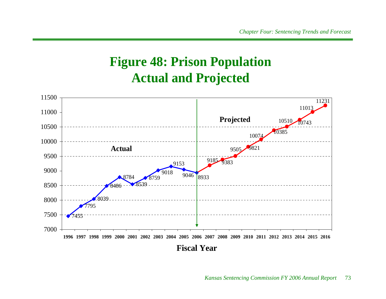# **Figure 48: Prison Population Actual and Projected**

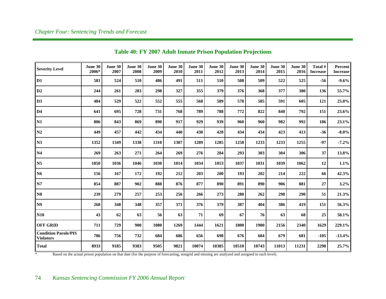| <b>Severity Level</b>                           | June 30<br>2006* | June 30<br>2007 | June 30<br>2008 | June 30<br>2009 | June 30<br>2010 | June 30<br>2011 | June 30<br>2012 | June 30<br>2013 | June 30<br>2014 | June 30<br>2015 | June 30<br>2016 | Total #<br><b>Increase</b> | Percent<br><b>Increase</b> |
|-------------------------------------------------|------------------|-----------------|-----------------|-----------------|-----------------|-----------------|-----------------|-----------------|-----------------|-----------------|-----------------|----------------------------|----------------------------|
| D1                                              | 581              | 524             | 510             | 486             | 491             | 511             | 510             | 508             | 509             | 522             | 525             | $-56$                      | $-9.6%$                    |
| D2                                              | 244              | 261             | 283             | 298             | 327             | 355             | 379             | 376             | 368             | 377             | 380             | 136                        | 55.7%                      |
| D3                                              | 484              | 529             | 522             | 552             | 555             | 568             | 589             | 578             | 585             | 591             | 605             | 121                        | 25.0%                      |
| D4                                              | 641              | 695             | 728             | 731             | 768             | 789             | 788             | 772             | 822             | 840             | 792             | 151                        | 23.6%                      |
| N1                                              | 806              | 843             | 869             | 890             | 917             | 929             | 939             | 960             | 960             | 982             | 992             | 186                        | 23.1%                      |
| N2                                              | 449              | 457             | 442             | 434             | 440             | 430             | 428             | 434             | 434             | 423             | 413             | $-36$                      | $-8.0\%$                   |
| N3                                              | 1352             | 1349            | 1338            | 1310            | 1307            | 1289            | 1285            | 1258            | 1233            | 1233            | 1255            | $-97$                      | $-7.2%$                    |
| N <sub>4</sub>                                  | 269              | 263             | 271             | 264             | 269             | 276             | 284             | 293             | 303             | 304             | 306             | 37                         | 13.8%                      |
| N5                                              | 1050             | 1036            | 1046            | 1030            | 1014            | 1034            | 1053            | 1037            | 1031            | 1039            | 1062            | 12                         | $1.1\%$                    |
| N <sub>6</sub>                                  | 156              | 167             | 172             | 192             | 212             | 203             | 200             | 193             | 202             | 214             | 222             | 66                         | 42.3%                      |
| N7                                              | 854              | 887             | 902             | 888             | 876             | 877             | 890             | 891             | 890             | 906             | 881             | 27                         | $3.2\%$                    |
| <b>N8</b>                                       | 239              | 279             | 257             | 253             | 256             | 266             | 273             | 280             | 262             | 298             | 290             | 51                         | 21.3%                      |
| N9                                              | 268              | 348             | 348             | 357             | 371             | 376             | 379             | 387             | 404             | 386             | 419             | 151                        | 56.3%                      |
| N10                                             | 43               | 62              | 63              | 56              | 63              | 71              | 69              | 67              | 76              | 63              | 68              | 25                         | 58.1%                      |
| <b>OFF GRID</b>                                 | 711              | 729             | 900             | 1080            | 1269            | 1444            | 1621            | <b>1800</b>     | 1980            | 2156            | 2340            | 1629                       | 229.1%                     |
| <b>Condition Parole/PIS</b><br><b>Violators</b> | 786              | 756             | 732             | 684             | 686             | 656             | 698             | 676             | 684             | 679             | 681             | $-105$                     | $-13.4%$                   |
| <b>Total</b>                                    | 8933             | 9185            | 9383            | 9505            | 9821            | 10074           | 10385           | 10510           | 10743           | 11013           | 11231           | 2298                       | 25.7%                      |

# **Table 40: FY 2007 Adult Inmate Prison Population Projections**

\*. Based on the actual prison population on that date (for the purpose of forecasting, nongrid and missing are analyzed and assigned to each level).

# 74 *Kansas Sentencing Commission FY 2006 Annual Report*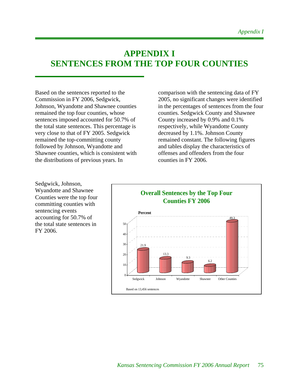# **APPENDIX I SENTENCES FROM THE TOP FOUR COUNTIES**

Based on the sentences reported to the Commission in FY 2006, Sedgwick, Johnson, Wyandotte and Shawnee counties remained the top four counties, whose sentences imposed accounted for 50.7% of the total state sentences. This percentage is very close to that of FY 2005. Sedgwick remained the top-committing county followed by Johnson, Wyandotte and Shawnee counties, which is consistent with the distributions of previous years. In

comparison with the sentencing data of FY 2005, no significant changes were identified in the percentages of sentences from the four counties. Sedgwick County and Shawnee County increased by 0.9% and 0.1% respectively, while Wyandotte County decreased by 1.1%. Johnson County remained constant. The following figures and tables display the characteristics of offenses and offenders from the four counties in FY 2006.

Sedgwick, Johnson, Wyandotte and Shawnee Counties were the top four committing counties with sentencing events accounting for 50.7% of the total state sentences in FY 2006.

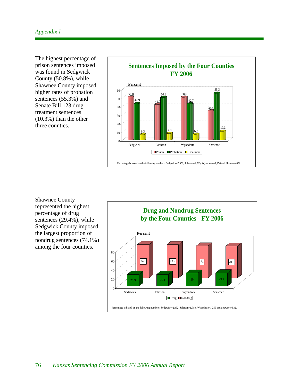# *Appendix I*

The highest percentage of prison sentences imposed was found in Sedgwick County (50.8%), while Shawnee County imposed higher rates of probation sentences (55.3%) and Senate Bill 123 drug treatment sentences (10.3%) than the other three counties.



Shawnee County represented the highest percentage of drug sentences (29.4%), while Sedgwick County imposed the largest proportion of nondrug sentences (74.1%) among the four counties.

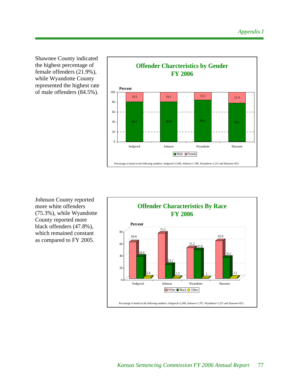Shawnee County indicated the highest percentage of female offenders (21.9%), while Wyandotte County represented the highest rate of male offenders (84.5%).



Johnson County reported more white offenders (75.3%), while Wyandotte County reported more black offenders (47.8%), which remained constant as compared to FY 2005.

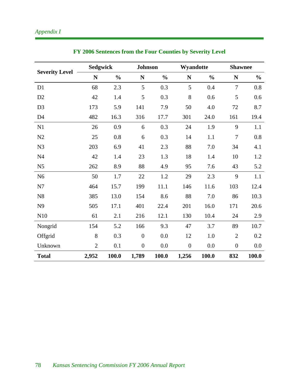|                       | <b>Sedgwick</b> |               |                  | <b>Johnson</b> |                  | Wyandotte     | <b>Shawnee</b>   |               |
|-----------------------|-----------------|---------------|------------------|----------------|------------------|---------------|------------------|---------------|
| <b>Severity Level</b> | ${\bf N}$       | $\frac{0}{0}$ | N                | $\frac{0}{0}$  | $\mathbf N$      | $\frac{0}{0}$ | $\mathbf N$      | $\frac{0}{0}$ |
| D1                    | 68              | 2.3           | 5                | 0.3            | 5                | 0.4           | $\overline{7}$   | 0.8           |
| D2                    | 42              | 1.4           | 5                | 0.3            | 8                | 0.6           | 5                | 0.6           |
| D <sub>3</sub>        | 173             | 5.9           | 141              | 7.9            | 50               | 4.0           | 72               | 8.7           |
| D <sub>4</sub>        | 482             | 16.3          | 316              | 17.7           | 301              | 24.0          | 161              | 19.4          |
| N1                    | 26              | 0.9           | 6                | 0.3            | 24               | 1.9           | 9                | 1.1           |
| N2                    | 25              | 0.8           | 6                | 0.3            | 14               | 1.1           | $\overline{7}$   | 0.8           |
| N <sub>3</sub>        | 203             | 6.9           | 41               | 2.3            | 88               | 7.0           | 34               | 4.1           |
| N <sub>4</sub>        | 42              | 1.4           | 23               | 1.3            | 18               | 1.4           | 10               | 1.2           |
| N <sub>5</sub>        | 262             | 8.9           | 88               | 4.9            | 95               | 7.6           | 43               | 5.2           |
| N <sub>6</sub>        | 50              | 1.7           | 22               | 1.2            | 29               | 2.3           | 9                | 1.1           |
| N7                    | 464             | 15.7          | 199              | 11.1           | 146              | 11.6          | 103              | 12.4          |
| N8                    | 385             | 13.0          | 154              | 8.6            | 88               | 7.0           | 86               | 10.3          |
| N <sub>9</sub>        | 505             | 17.1          | 401              | 22.4           | 201              | 16.0          | 171              | 20.6          |
| N10                   | 61              | 2.1           | 216              | 12.1           | 130              | 10.4          | 24               | 2.9           |
| Nongrid               | 154             | 5.2           | 166              | 9.3            | 47               | 3.7           | 89               | 10.7          |
| Offgrid               | $8\,$           | 0.3           | $\boldsymbol{0}$ | $0.0\,$        | 12               | 1.0           | $\overline{2}$   | 0.2           |
| Unknown               | $\overline{2}$  | 0.1           | $\boldsymbol{0}$ | 0.0            | $\boldsymbol{0}$ | 0.0           | $\boldsymbol{0}$ | 0.0           |
| <b>Total</b>          | 2,952           | 100.0         | 1,789            | 100.0          | 1,256            | 100.0         | 832              | 100.0         |

# **FY 2006 Sentences from the Four Counties by Severity Level**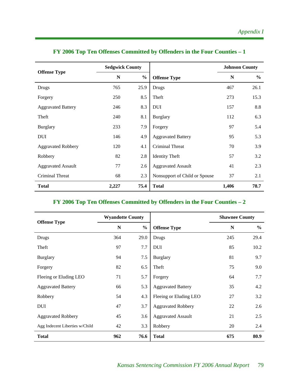|                           | <b>Sedgwick County</b> |               |                               | <b>Johnson County</b> |               |  |
|---------------------------|------------------------|---------------|-------------------------------|-----------------------|---------------|--|
| <b>Offense Type</b>       | N                      | $\frac{0}{0}$ | <b>Offense Type</b>           | N                     | $\frac{0}{0}$ |  |
| Drugs                     | 765                    | 25.9          | Drugs                         | 467                   | 26.1          |  |
| Forgery                   | 250                    | 8.5           | Theft                         | 273                   | 15.3          |  |
| <b>Aggravated Battery</b> | 246                    | 8.3           | <b>DUI</b>                    | 157                   | 8.8           |  |
| Theft                     | 240                    | 8.1           | <b>Burglary</b>               | 112                   | 6.3           |  |
| <b>Burglary</b>           | 233                    | 7.9           | Forgery                       | 97                    | 5.4           |  |
| <b>DUI</b>                | 146                    | 4.9           | <b>Aggravated Battery</b>     | 95                    | 5.3           |  |
| <b>Aggravated Robbery</b> | 120                    | 4.1           | Criminal Threat               | 70                    | 3.9           |  |
| Robbery                   | 82                     | 2.8           | <b>Identity Theft</b>         | 57                    | 3.2           |  |
| <b>Aggravated Assault</b> | 77                     | 2.6           | <b>Aggravated Assault</b>     | 41                    | 2.3           |  |
| Criminal Threat           | 68                     | 2.3           | Nonsupport of Child or Spouse | 37                    | 2.1           |  |
| <b>Total</b>              | 2,227                  | 75.4          | <b>Total</b>                  | 1,406                 | 78.7          |  |

# **FY 2006 Top Ten Offenses Committed by Offenders in the Four Counties – 1**

# **FY 2006 Top Ten Offenses Committed by Offenders in the Four Counties – 2**

|                                | <b>Wyandotte County</b> |               |                           | <b>Shawnee County</b> |               |
|--------------------------------|-------------------------|---------------|---------------------------|-----------------------|---------------|
| <b>Offense Type</b>            | N                       | $\frac{0}{0}$ | <b>Offense Type</b>       | N                     | $\frac{6}{9}$ |
| Drugs                          | 364                     | 29.0          | Drugs                     | 245                   | 29.4          |
| Theft                          | 97                      | 7.7           | <b>DUI</b>                | 85                    | 10.2          |
| <b>Burglary</b>                | 94                      | 7.5           | <b>Burglary</b>           | 81                    | 9.7           |
| Forgery                        | 82                      | 6.5           | Theft                     | 75                    | 9.0           |
| Fleeing or Eluding LEO         | 71                      | 5.7           | Forgery                   | 64                    | 7.7           |
| <b>Aggravated Battery</b>      | 66                      | 5.3           | <b>Aggravated Battery</b> | 35                    | 4.2           |
| Robbery                        | 54                      | 4.3           | Fleeing or Eluding LEO    | 27                    | 3.2           |
| DUI                            | 47                      | 3.7           | <b>Aggravated Robbery</b> | 22                    | 2.6           |
| <b>Aggravated Robbery</b>      | 45                      | 3.6           | <b>Aggravated Assault</b> | 21                    | 2.5           |
| Agg Indecent Liberties w/Child | 42                      | 3.3           | Robbery                   | 20                    | 2.4           |
| <b>Total</b>                   | 962                     | 76.6          | <b>Total</b>              | 675                   | 80.9          |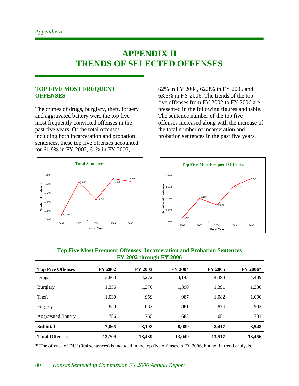# **APPENDIX II TRENDS OF SELECTED OFFENSES**

#### **TOP FIVE MOST FREQUENT OFFENSES**

The crimes of drugs, burglary, theft, forgery and aggravated battery were the top five most frequently convicted offenses in the past five years. Of the total offenses including both incarceration and probation sentences, these top five offenses accounted for 61.9% in FY 2002, 61% in FY 2003,

62% in FY 2004, 62.3% in FY 2005 and 63.5% in FY 2006. The trends of the top five offenses from FY 2002 to FY 2006 are presented in the following figures and table. The sentence number of the top five offenses increased along with the increase of the total number of incarceration and probation sentences in the past five years.



#### **Top Five Most Frequent Offenses: Incarceration and Probation Sentences FY 2002 through FY 2006**

| <b>Top Five Offenses</b>  | <b>FY 2002</b> | <b>FY 2003</b> | <b>FY 2004</b> | <b>FY 2005</b> | <b>FY 2006*</b> |
|---------------------------|----------------|----------------|----------------|----------------|-----------------|
| Drugs                     | 3,863          | 4,272          | 4,143          | 4,393          | 4,489           |
| <b>Burglary</b>           | 1,336          | 1,370          | 1,390          | 1,391          | 1,336           |
| Theft                     | 1,030          | 959            | 987            | 1,082          | 1,090           |
| Forgery                   | 850            | 832            | 881            | 870            | 902             |
| <b>Aggravated Battery</b> | 786            | 765            | 688            | 681            | 731             |
| <b>Subtotal</b>           | 7,865          | 8,198          | 8,089          | 8,417          | 8,548           |
| <b>Total Offenses</b>     | 12,709         | 13,439         | 13,049         | 13,517         | 13,456          |

**\*** The offense of DUI (904 sentences) is included in the top five offenses in FY 2006, but not in trend analysis.

#### 80 *Kansas Sentencing Commission FY 2006 Annual Report*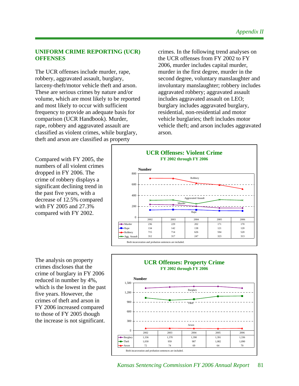#### **UNIFORM CRIME REPORTING (UCR) OFFENSES**

The UCR offenses include murder, rape, robbery, aggravated assault, burglary, larceny-theft/motor vehicle theft and arson. These are serious crimes by nature and/or volume, which are most likely to be reported and most likely to occur with sufficient frequency to provide an adequate basis for comparison (UCR Handbook). Murder, rape, robbery and aggravated assault are classified as violent crimes, while burglary, theft and arson are classified as property

Compared with FY 2005, the numbers of all violent crimes dropped in FY 2006. The crime of robbery displays a significant declining trend in the past five years, with a decrease of 12.5% compared with FY 2005 and 27.3% compared with FY 2002.

crimes. In the following trend analyses on the UCR offenses from FY 2002 to FY 2006, murder includes capital murder, murder in the first degree, murder in the second degree, voluntary manslaughter and involuntary manslaughter; robbery includes aggravated robbery; aggravated assault includes aggravated assault on LEO; burglary includes aggravated burglary, residential, non-residential and motor vehicle burglaries; theft includes motor vehicle theft; and arson includes aggravated arson.



The analysis on property crimes discloses that the crime of burglary in FY 2006 reduced in number by 4%, which is the lowest in the past five years. However, the crimes of theft and arson in FY 2006 increased compared to those of FY 2005 though the increase is not significant.

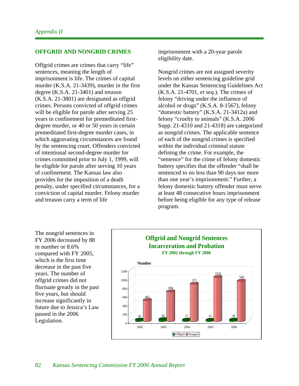#### **OFFGRID AND NONGRID CRIMES**

Offgrid crimes are crimes that carry "life" sentences, meaning the length of imprisonment is life. The crimes of capital murder (K.S.A. 21-3439), murder in the first degree (K.S.A. 21-3401) and treason (K.S.A. 21-3801) are designated as offgrid crimes. Persons convicted of offgrid crimes will be eligible for parole after serving 25 years in confinement for premeditated firstdegree murder, or 40 or 50 years in certain premeditated first-degree murder cases, in which aggravating circumstances are found by the sentencing court. Offenders convicted of intentional second-degree murder for crimes committed prior to July 1, 1999, will be eligible for parole after serving 10 years of confinement. The Kansas law also provides for the imposition of a death penalty, under specified circumstances, for a conviction of capital murder. Felony murder and treason carry a term of life

imprisonment with a 20-year parole eligibility date.

Nongrid crimes are not assigned severity levels on either sentencing guideline grid under the Kansas Sentencing Guidelines Act (K.S.A. 21-4701, *et seq.*). The crimes of felony "driving under the influence of alcohol or drugs" (K.S.A. 8-1567), felony "domestic battery" (K.S.A. 21-3412a) and felony "cruelty to animals" (K.S.A. 2006 Supp. 21-4310 and 21-4318) are categorized as nongrid crimes. The applicable sentence of each of the nongrid crimes is specified within the individual criminal statute defining the crime. For example, the "sentence" for the crime of felony domestic battery specifies that the offender "shall be sentenced to no less than 90 days nor more than one year's imprisonment." Further, a felony domestic battery offender must serve at least 48 consecutive hours imprisonment before being eligible for any type of release program.

The nongrid sentences in FY 2006 decreased by 88 in number or 8.6% compared with FY 2005, which is the first time decrease in the past five years. The number of offgrid crimes did not fluctuate greatly in the past five years, but should increase significantly in future due to Jessica's Law passed in the 2006 Legislation.